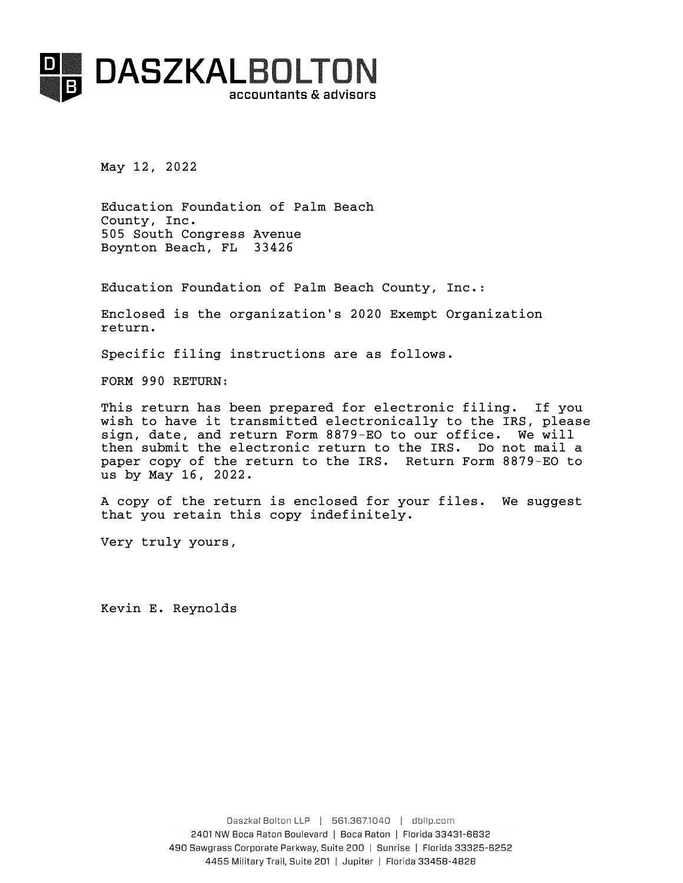

May 12, 2022

Education Foundation of Palm Beach County, Inc. 505 South Congress Avenue Boynton Beach, FL 33426

Education Foundation of Palm Beach County, Inc.:

Enclosed is the organization's 2020 Exempt Organization return.

Specific filing instructions are as follows.

FORM 990 RETURN:

This return has been prepared for electronic filing. If you wish to have it transmitted electronically to the IRS, please sign, date, and return Form 8879-EO to our office. We will then submit the electronic return to the IRS. Do not mail a paper copy of the return to the IRS. Return Form 8879-EO to us by May 16, 2022.

A copy of the return is enclosed for your files. We suggest that you retain this copy indefinitely.

Very truly yours,

Kevin E. Reynolds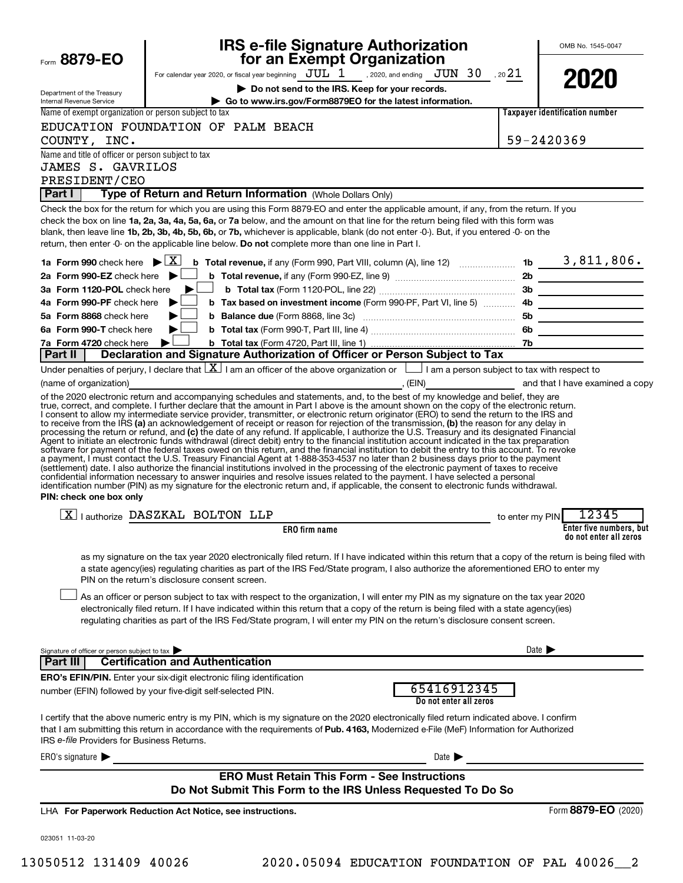|                                                        | <b>IRS e-file Signature Authorization</b>                                                                                                                                                                                                                                                                                                                                                                                                                                                                                                                                                                                                                                                                                                                 |                            | OMB No. 1545-0047                                 |
|--------------------------------------------------------|-----------------------------------------------------------------------------------------------------------------------------------------------------------------------------------------------------------------------------------------------------------------------------------------------------------------------------------------------------------------------------------------------------------------------------------------------------------------------------------------------------------------------------------------------------------------------------------------------------------------------------------------------------------------------------------------------------------------------------------------------------------|----------------------------|---------------------------------------------------|
| Form 8879-EO                                           | for an Exempt Organization                                                                                                                                                                                                                                                                                                                                                                                                                                                                                                                                                                                                                                                                                                                                |                            |                                                   |
|                                                        | For calendar year 2020, or fiscal year beginning $JUL$ $1$ , 2020, and ending $JUN$ $30$ , 20 $21$<br>Do not send to the IRS. Keep for your records.                                                                                                                                                                                                                                                                                                                                                                                                                                                                                                                                                                                                      |                            | 2020                                              |
| Department of the Treasury<br>Internal Revenue Service | Go to www.irs.gov/Form8879EO for the latest information.                                                                                                                                                                                                                                                                                                                                                                                                                                                                                                                                                                                                                                                                                                  |                            |                                                   |
| Name of exempt organization or person subject to tax   |                                                                                                                                                                                                                                                                                                                                                                                                                                                                                                                                                                                                                                                                                                                                                           |                            | Taxpayer identification number                    |
|                                                        | EDUCATION FOUNDATION OF PALM BEACH                                                                                                                                                                                                                                                                                                                                                                                                                                                                                                                                                                                                                                                                                                                        |                            |                                                   |
| COUNTY, INC.                                           |                                                                                                                                                                                                                                                                                                                                                                                                                                                                                                                                                                                                                                                                                                                                                           |                            | 59-2420369                                        |
| Name and title of officer or person subject to tax     |                                                                                                                                                                                                                                                                                                                                                                                                                                                                                                                                                                                                                                                                                                                                                           |                            |                                                   |
| JAMES S. GAVRILOS                                      |                                                                                                                                                                                                                                                                                                                                                                                                                                                                                                                                                                                                                                                                                                                                                           |                            |                                                   |
| PRESIDENT/CEO<br>Part I                                | Type of Return and Return Information (Whole Dollars Only)                                                                                                                                                                                                                                                                                                                                                                                                                                                                                                                                                                                                                                                                                                |                            |                                                   |
|                                                        | Check the box for the return for which you are using this Form 8879-EO and enter the applicable amount, if any, from the return. If you                                                                                                                                                                                                                                                                                                                                                                                                                                                                                                                                                                                                                   |                            |                                                   |
|                                                        | check the box on line 1a, 2a, 3a, 4a, 5a, 6a, or 7a below, and the amount on that line for the return being filed with this form was                                                                                                                                                                                                                                                                                                                                                                                                                                                                                                                                                                                                                      |                            |                                                   |
|                                                        | blank, then leave line 1b, 2b, 3b, 4b, 5b, 6b, or 7b, whichever is applicable, blank (do not enter -0-). But, if you entered -0- on the                                                                                                                                                                                                                                                                                                                                                                                                                                                                                                                                                                                                                   |                            |                                                   |
|                                                        | return, then enter -0- on the applicable line below. Do not complete more than one line in Part I.                                                                                                                                                                                                                                                                                                                                                                                                                                                                                                                                                                                                                                                        |                            |                                                   |
| 1a Form 990 check here $\blacktriangleright \boxed{X}$ |                                                                                                                                                                                                                                                                                                                                                                                                                                                                                                                                                                                                                                                                                                                                                           |                            |                                                   |
| 2a Form 990-EZ check here                              |                                                                                                                                                                                                                                                                                                                                                                                                                                                                                                                                                                                                                                                                                                                                                           |                            |                                                   |
| 3a Form 1120-POL check here                            | ▶                                                                                                                                                                                                                                                                                                                                                                                                                                                                                                                                                                                                                                                                                                                                                         |                            |                                                   |
| 4a Form 990-PF check here                              | ▶                                                                                                                                                                                                                                                                                                                                                                                                                                                                                                                                                                                                                                                                                                                                                         |                            |                                                   |
| 5a Form 8868 check here                                | ▶                                                                                                                                                                                                                                                                                                                                                                                                                                                                                                                                                                                                                                                                                                                                                         |                            |                                                   |
| 6a Form 990-T check here                               |                                                                                                                                                                                                                                                                                                                                                                                                                                                                                                                                                                                                                                                                                                                                                           |                            |                                                   |
| 7a Form 4720 check here<br>Part II                     | Declaration and Signature Authorization of Officer or Person Subject to Tax                                                                                                                                                                                                                                                                                                                                                                                                                                                                                                                                                                                                                                                                               |                            |                                                   |
|                                                        | Under penalties of perjury, I declare that $\lfloor \underline{X} \rfloor$ I am an officer of the above organization or $\lfloor \underline{\hspace{1cm}} \rfloor$ I am a person subject to tax with respect to                                                                                                                                                                                                                                                                                                                                                                                                                                                                                                                                           |                            |                                                   |
| (name of organization)                                 | (EIN) <sub>1</sub> and that I have examined a copy <sub>1</sub> contains the state of the state of the state of the state of the state of the state of the state of the state of the state of the state of the state of the state of the state of                                                                                                                                                                                                                                                                                                                                                                                                                                                                                                         |                            |                                                   |
|                                                        | of the 2020 electronic return and accompanying schedules and statements, and, to the best of my knowledge and belief, they are                                                                                                                                                                                                                                                                                                                                                                                                                                                                                                                                                                                                                            |                            |                                                   |
| PIN: check one box only                                | a payment, I must contact the U.S. Treasury Financial Agent at 1-888-353-4537 no later than 2 business days prior to the payment<br>(settlement) date. I also authorize the financial institutions involved in the processing of the electronic payment of taxes to receive<br>confidential information necessary to answer inquiries and resolve issues related to the payment. I have selected a personal<br>identification number (PIN) as my signature for the electronic return and, if applicable, the consent to electronic funds withdrawal.                                                                                                                                                                                                      |                            |                                                   |
|                                                        | $\boxed{\text{X}}$   authorize DASZKAL BOLTON LLP                                                                                                                                                                                                                                                                                                                                                                                                                                                                                                                                                                                                                                                                                                         | to enter my PIN            | 12345                                             |
|                                                        | <b>ERO</b> firm name                                                                                                                                                                                                                                                                                                                                                                                                                                                                                                                                                                                                                                                                                                                                      |                            | Enter five numbers, but<br>do not enter all zeros |
|                                                        | as my signature on the tax year 2020 electronically filed return. If I have indicated within this return that a copy of the return is being filed with<br>a state agency(ies) regulating charities as part of the IRS Fed/State program, I also authorize the aforementioned ERO to enter my<br>PIN on the return's disclosure consent screen.<br>As an officer or person subject to tax with respect to the organization, I will enter my PIN as my signature on the tax year 2020<br>electronically filed return. If I have indicated within this return that a copy of the return is being filed with a state agency(ies)<br>regulating charities as part of the IRS Fed/State program, I will enter my PIN on the return's disclosure consent screen. |                            |                                                   |
| Signature of officer or person subject to tax          |                                                                                                                                                                                                                                                                                                                                                                                                                                                                                                                                                                                                                                                                                                                                                           | Date $\blacktriangleright$ |                                                   |
| Part III                                               | <b>Certification and Authentication</b>                                                                                                                                                                                                                                                                                                                                                                                                                                                                                                                                                                                                                                                                                                                   |                            |                                                   |
|                                                        | <b>ERO's EFIN/PIN.</b> Enter your six-digit electronic filing identification                                                                                                                                                                                                                                                                                                                                                                                                                                                                                                                                                                                                                                                                              |                            |                                                   |
|                                                        | 65416912345<br>number (EFIN) followed by your five-digit self-selected PIN.<br>Do not enter all zeros                                                                                                                                                                                                                                                                                                                                                                                                                                                                                                                                                                                                                                                     |                            |                                                   |
| IRS e-file Providers for Business Returns.             | I certify that the above numeric entry is my PIN, which is my signature on the 2020 electronically filed return indicated above. I confirm<br>that I am submitting this return in accordance with the requirements of Pub. 4163, Modernized e-File (MeF) Information for Authorized                                                                                                                                                                                                                                                                                                                                                                                                                                                                       |                            |                                                   |
| ERO's signature $\blacktriangleright$                  | Date $\blacktriangleright$                                                                                                                                                                                                                                                                                                                                                                                                                                                                                                                                                                                                                                                                                                                                |                            |                                                   |
|                                                        | <b>ERO Must Retain This Form - See Instructions</b><br>Do Not Submit This Form to the IRS Unless Requested To Do So                                                                                                                                                                                                                                                                                                                                                                                                                                                                                                                                                                                                                                       |                            |                                                   |
|                                                        | LHA For Paperwork Reduction Act Notice, see instructions.                                                                                                                                                                                                                                                                                                                                                                                                                                                                                                                                                                                                                                                                                                 |                            | Form 8879-EO (2020)                               |
|                                                        |                                                                                                                                                                                                                                                                                                                                                                                                                                                                                                                                                                                                                                                                                                                                                           |                            |                                                   |
| 023051 11-03-20                                        |                                                                                                                                                                                                                                                                                                                                                                                                                                                                                                                                                                                                                                                                                                                                                           |                            |                                                   |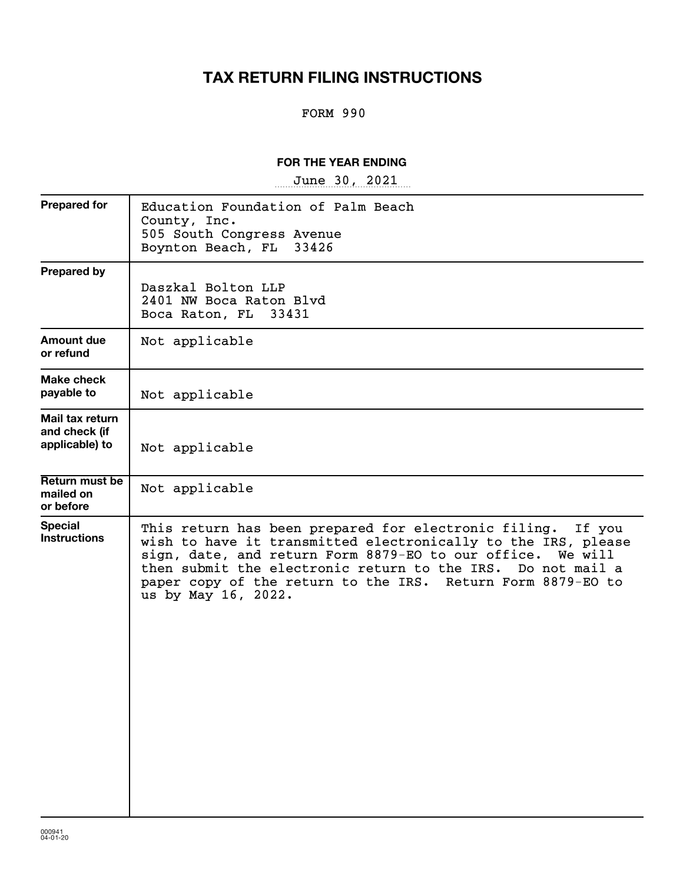# **TAX RETURN FILING INSTRUCTIONS**

### FORM 990

### **FOR THE YEAR ENDING**

~~~~~~~~~~~~~~~~~ June 30, 2021

| <b>Prepared for</b>                                | Education Foundation of Palm Beach<br>County, Inc.<br>505 South Congress Avenue<br>Boynton Beach, FL<br>33426                                                                                                                                                                                                                                         |
|----------------------------------------------------|-------------------------------------------------------------------------------------------------------------------------------------------------------------------------------------------------------------------------------------------------------------------------------------------------------------------------------------------------------|
| <b>Prepared by</b>                                 | Daszkal Bolton LLP<br>2401 NW Boca Raton Blvd<br>33431<br>Boca Raton, FL                                                                                                                                                                                                                                                                              |
| Amount due<br>or refund                            | Not applicable                                                                                                                                                                                                                                                                                                                                        |
| Make check<br>payable to                           | Not applicable                                                                                                                                                                                                                                                                                                                                        |
| Mail tax return<br>and check (if<br>applicable) to | Not applicable                                                                                                                                                                                                                                                                                                                                        |
| Return must be<br>mailed on<br>or before           | Not applicable                                                                                                                                                                                                                                                                                                                                        |
| <b>Special</b><br><b>Instructions</b>              | This return has been prepared for electronic filing. If you<br>wish to have it transmitted electronically to the IRS, please<br>sign, date, and return Form 8879-EO to our office.<br>We will<br>then submit the electronic return to the IRS.<br>Do not mail a<br>paper copy of the return to the IRS. Return Form 8879-EO to<br>us by May 16, 2022. |
|                                                    |                                                                                                                                                                                                                                                                                                                                                       |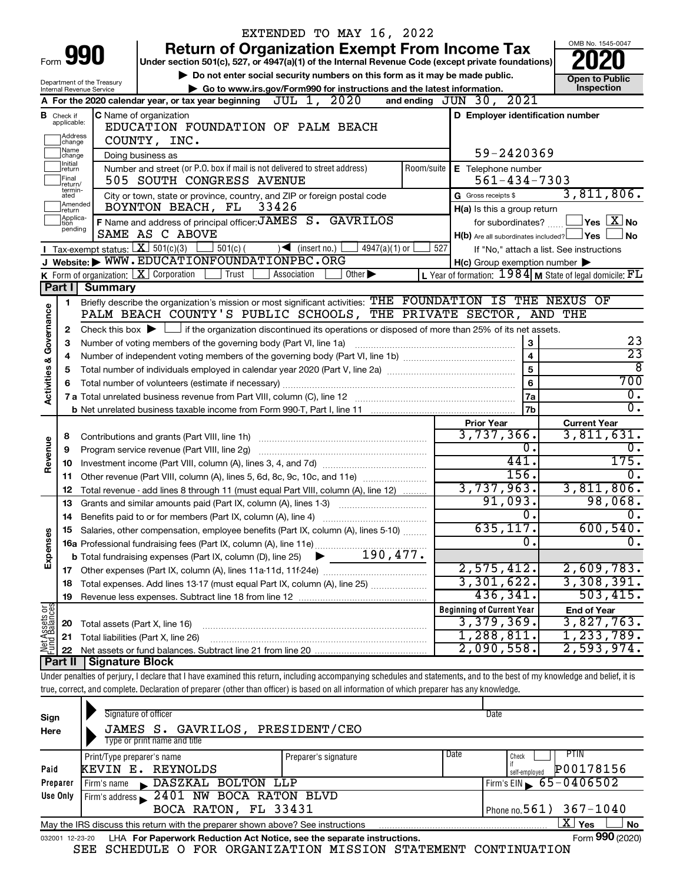|                                |                               |                                                        | EXTENDED TO MAY 16, 2022                                                                                                                                                                                         |                                                         |                                          |
|--------------------------------|-------------------------------|--------------------------------------------------------|------------------------------------------------------------------------------------------------------------------------------------------------------------------------------------------------------------------|---------------------------------------------------------|------------------------------------------|
|                                |                               |                                                        | <b>Return of Organization Exempt From Income Tax</b>                                                                                                                                                             |                                                         | OMB No. 1545-0047                        |
|                                |                               | Form 990                                               | Under section 501(c), 527, or 4947(a)(1) of the Internal Revenue Code (except private foundations)                                                                                                               |                                                         |                                          |
|                                |                               |                                                        | Do not enter social security numbers on this form as it may be made public.                                                                                                                                      |                                                         | <b>Open to Public</b>                    |
|                                |                               | Department of the Treasury<br>Internal Revenue Service | Go to www.irs.gov/Form990 for instructions and the latest information.                                                                                                                                           |                                                         | Inspection                               |
|                                |                               |                                                        | JUL 1, 2020<br>A For the 2020 calendar year, or tax year beginning                                                                                                                                               | and ending JUN 30, 2021                                 |                                          |
|                                | <b>B</b> Check if applicable: |                                                        | <b>C</b> Name of organization                                                                                                                                                                                    | D Employer identification number                        |                                          |
|                                |                               |                                                        | EDUCATION FOUNDATION OF PALM BEACH                                                                                                                                                                               |                                                         |                                          |
|                                | Address<br> change<br>Name    |                                                        | COUNTY, INC.                                                                                                                                                                                                     |                                                         |                                          |
|                                | change<br>Initial             |                                                        | Doing business as                                                                                                                                                                                                | 59-2420369                                              |                                          |
|                                | return                        |                                                        | Number and street (or P.O. box if mail is not delivered to street address)<br>Room/suite                                                                                                                         | E Telephone number                                      |                                          |
|                                | Final<br>return/<br>termin-   |                                                        | 505 SOUTH CONGRESS AVENUE                                                                                                                                                                                        | $561 - 434 - 7303$                                      |                                          |
|                                | ated<br>Amended               |                                                        | City or town, state or province, country, and ZIP or foreign postal code                                                                                                                                         | G Gross receipts \$                                     | 3,811,806.                               |
|                                | Ireturn                       |                                                        | 33426<br>BOYNTON BEACH, FL                                                                                                                                                                                       | H(a) Is this a group return                             |                                          |
|                                | Applica-<br>Ition<br>pending  |                                                        | F Name and address of principal officer: JAMES S. GAVRILOS                                                                                                                                                       | for subordinates?                                       | $\sqrt{}$ Yes $\sqrt{X}$ No              |
|                                |                               |                                                        | SAME AS C ABOVE                                                                                                                                                                                                  | $H(b)$ Are all subordinates included? $\Box$ Yes $\Box$ | <b>No</b>                                |
|                                |                               |                                                        | Tax-exempt status: $X \over 301(c)(3)$<br>501(c) (<br>$\sqrt{\bullet}$ (insert no.)<br>$4947(a)(1)$ or<br>J Website: WWW.EDUCATIONFOUNDATIONPBC.ORG                                                              | 527                                                     | If "No," attach a list. See instructions |
|                                |                               |                                                        |                                                                                                                                                                                                                  | $H(c)$ Group exemption number $\blacktriangleright$     |                                          |
|                                | Part I                        |                                                        | <b>K</b> Form of organization: $\boxed{\mathbf{X}}$ Corporation<br>Trust<br>Other $\blacktriangleright$<br>Association                                                                                           | L Year of formation: 1984 M State of legal domicile: FL |                                          |
|                                |                               | <b>Summary</b>                                         |                                                                                                                                                                                                                  |                                                         |                                          |
|                                | 1.                            |                                                        | Briefly describe the organization's mission or most significant activities: THE FOUNDATION IS THE NEXUS OF<br>PALM BEACH COUNTY'S PUBLIC SCHOOLS, THE PRIVATE SECTOR, AND THE                                    |                                                         |                                          |
|                                |                               |                                                        |                                                                                                                                                                                                                  |                                                         |                                          |
| Governance                     | 2                             |                                                        | Check this box $\blacktriangleright$ $\Box$ if the organization discontinued its operations or disposed of more than 25% of its net assets.<br>Number of voting members of the governing body (Part VI, line 1a) | 3                                                       | 23                                       |
|                                | з                             |                                                        | 4                                                                                                                                                                                                                | $\overline{23}$                                         |                                          |
|                                | 4<br>5                        |                                                        | $\overline{\mathbf{8}}$                                                                                                                                                                                          |                                                         |                                          |
| <b>Activities &amp;</b>        | 6                             |                                                        |                                                                                                                                                                                                                  |                                                         | 700                                      |
|                                |                               |                                                        |                                                                                                                                                                                                                  | 6<br>7a                                                 | $\overline{0}$ .                         |
|                                |                               |                                                        | b Net unrelated business taxable income from Form 990-T, Part I, line 11 [1] [1] [1] [1] Net unrelated business taxable income from Form 990-T, Part I, line 11                                                  | 7b                                                      | $\overline{0}$ .                         |
|                                |                               |                                                        |                                                                                                                                                                                                                  | <b>Prior Year</b>                                       | <b>Current Year</b>                      |
|                                | 8                             |                                                        |                                                                                                                                                                                                                  | $3,737,366$ .                                           | 3,811,631.                               |
| Revenue                        | 9                             |                                                        | Program service revenue (Part VIII, line 2g)                                                                                                                                                                     | $\overline{0}$ .                                        | 0.                                       |
|                                | 10                            |                                                        |                                                                                                                                                                                                                  | 441.                                                    | 175.                                     |
|                                |                               |                                                        | 11 Other revenue (Part VIII, column (A), lines 5, 6d, 8c, 9c, 10c, and 11e)                                                                                                                                      | 156.                                                    | 0.                                       |
|                                | 12                            |                                                        | Total revenue - add lines 8 through 11 (must equal Part VIII, column (A), line 12)                                                                                                                               | 3,737,963.                                              | 3,811,806.                               |
|                                | 13                            |                                                        | Grants and similar amounts paid (Part IX, column (A), lines 1-3)                                                                                                                                                 | 91,093.                                                 | 98,068.                                  |
|                                |                               |                                                        |                                                                                                                                                                                                                  | $\overline{0}$ .                                        | 0.                                       |
|                                |                               |                                                        | Salaries, other compensation, employee benefits (Part IX, column (A), lines 5-10)                                                                                                                                | 635, 117.                                               | 600, 540.                                |
| Expenses                       |                               |                                                        |                                                                                                                                                                                                                  | $\overline{0}$                                          | $\overline{0}$ .                         |
|                                |                               |                                                        |                                                                                                                                                                                                                  |                                                         |                                          |
|                                |                               |                                                        |                                                                                                                                                                                                                  | 2,575,412.                                              | 2,609,783.                               |
|                                | 18                            |                                                        | Total expenses. Add lines 13-17 (must equal Part IX, column (A), line 25)                                                                                                                                        | 3,301,622.                                              | 3,308,391.                               |
|                                | 19                            |                                                        |                                                                                                                                                                                                                  | 436, 341.                                               | 503, 415.                                |
| Net Assets or<br>Fund Balances |                               |                                                        |                                                                                                                                                                                                                  | <b>Beginning of Current Year</b>                        | <b>End of Year</b>                       |
|                                | 20                            | Total assets (Part X, line 16)                         |                                                                                                                                                                                                                  | 3,379,369.                                              | 3,827,763.                               |
|                                | 21                            |                                                        | Total liabilities (Part X, line 26)                                                                                                                                                                              | 1,288,811.                                              | 1, 233, 789.                             |
|                                | 22                            |                                                        |                                                                                                                                                                                                                  | 2,090,558.                                              | 2,593,974.                               |
|                                | Part II                       | <b>Signature Block</b>                                 |                                                                                                                                                                                                                  |                                                         |                                          |
|                                |                               |                                                        | Under penalties of perjury, I declare that I have examined this return, including accompanying schedules and statements, and to the best of my knowledge and belief, it is                                       |                                                         |                                          |
|                                |                               |                                                        | true, correct, and complete. Declaration of preparer (other than officer) is based on all information of which preparer has any knowledge.                                                                       |                                                         |                                          |
|                                |                               |                                                        |                                                                                                                                                                                                                  |                                                         |                                          |
| Sian                           |                               |                                                        | Signature of officer                                                                                                                                                                                             | Date                                                    |                                          |

| Sign     | Signature of officer                                                                                            |                              | Date                           |  |  |  |  |  |  |
|----------|-----------------------------------------------------------------------------------------------------------------|------------------------------|--------------------------------|--|--|--|--|--|--|
| Here     | JAMES S. GAVRILOS, PRESIDENT/CEO                                                                                |                              |                                |  |  |  |  |  |  |
|          | Type or print name and title                                                                                    |                              |                                |  |  |  |  |  |  |
|          | Print/Type preparer's name                                                                                      | Date<br>Preparer's signature | PTIN<br>Check                  |  |  |  |  |  |  |
| Paid     | KEVIN E. REYNOLDS                                                                                               |                              | P00178156<br>self-emploved     |  |  |  |  |  |  |
| Preparer | DASZKAL BOLTON LLP<br>Firm's name                                                                               |                              | Firm's EIN $\sqrt{65-0406502}$ |  |  |  |  |  |  |
| Use Only | Firm's address 2401 NW BOCA RATON BLVD                                                                          |                              |                                |  |  |  |  |  |  |
|          | BOCA RATON, FL 33431                                                                                            |                              | Phone no. $561$ ) $367 - 1040$ |  |  |  |  |  |  |
|          | $X \mid$<br><b>No</b><br>Yes<br>May the IRS discuss this return with the preparer shown above? See instructions |                              |                                |  |  |  |  |  |  |
|          | Form 990 (2020)<br>LHA For Paperwork Reduction Act Notice, see the separate instructions.<br>032001 12-23-20    |                              |                                |  |  |  |  |  |  |

| SEE SCHEDULE O FOR ORGANIZATION MISSION STATEMENT CONTINUAT |  |  |  |  |  |
|-------------------------------------------------------------|--|--|--|--|--|
|                                                             |  |  |  |  |  |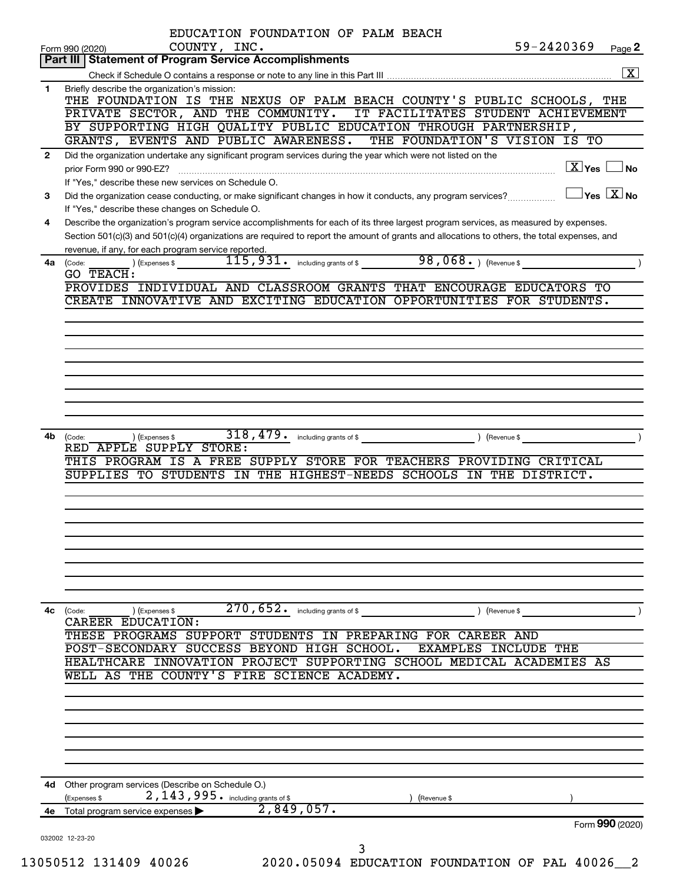| Form 990 (2020)<br>Part III   Statement of Program Service Accomplishments<br>Briefly describe the organization's mission:<br>$\mathbf{1}$<br>THE FOUNDATION IS THE NEXUS OF PALM BEACH COUNTY'S PUBLIC SCHOOLS, THE<br>PRIVATE SECTOR, AND THE COMMUNITY.<br>IT FACILITATES STUDENT ACHIEVEMENT<br>BY SUPPORTING HIGH QUALITY PUBLIC EDUCATION THROUGH PARTNERSHIP,<br>GRANTS, EVENTS AND PUBLIC AWARENESS. THE FOUNDATION'S VISION IS TO<br>Did the organization undertake any significant program services during the year which were not listed on the<br>$\mathbf{2}$<br>prior Form 990 or 990-EZ?<br>If "Yes," describe these new services on Schedule O.<br>Did the organization cease conducting, or make significant changes in how it conducts, any program services?<br>3<br>If "Yes," describe these changes on Schedule O.<br>Describe the organization's program service accomplishments for each of its three largest program services, as measured by expenses.<br>4<br>Section 501(c)(3) and 501(c)(4) organizations are required to report the amount of grants and allocations to others, the total expenses, and<br>revenue, if any, for each program service reported.<br>$\frac{115}{115}$ , 931 . including grants of \$ ___________98, 068 . ) (Revenue \$<br>(Expenses \$<br>4a<br>(Code:<br>GO TEACH:<br>4b<br>) (Expenses \$<br>(Code:<br>RED APPLE SUPPLY STORE:<br>THIS PROGRAM IS A FREE SUPPLY STORE FOR TEACHERS PROVIDING CRITICAL<br>SUPPLIES TO STUDENTS IN THE HIGHEST-NEEDS SCHOOLS IN THE DISTRICT.<br>$\overline{270}$ , $\overline{652}$ $\cdot$ including grants of \$<br>4с<br>(Code:<br>(Expenses \$<br>Revenue \$<br>CAREER EDUCATION:<br>THESE PROGRAMS SUPPORT STUDENTS IN PREPARING FOR CAREER AND<br>POST-SECONDARY SUCCESS BEYOND HIGH SCHOOL.<br><b>EXAMPLES INCLUDE THE</b><br>WELL AS THE COUNTY'S FIRE SCIENCE ACADEMY.<br>4d Other program services (Describe on Schedule O.)<br>2, 143, 995. including grants of \$<br>(Expenses \$<br>(Revenue \$<br>2,849,057.<br>Total program service expenses<br>4е | EDUCATION FOUNDATION OF PALM BEACH<br>59-2420369                     |
|-----------------------------------------------------------------------------------------------------------------------------------------------------------------------------------------------------------------------------------------------------------------------------------------------------------------------------------------------------------------------------------------------------------------------------------------------------------------------------------------------------------------------------------------------------------------------------------------------------------------------------------------------------------------------------------------------------------------------------------------------------------------------------------------------------------------------------------------------------------------------------------------------------------------------------------------------------------------------------------------------------------------------------------------------------------------------------------------------------------------------------------------------------------------------------------------------------------------------------------------------------------------------------------------------------------------------------------------------------------------------------------------------------------------------------------------------------------------------------------------------------------------------------------------------------------------------------------------------------------------------------------------------------------------------------------------------------------------------------------------------------------------------------------------------------------------------------------------------------------------------------------------------------------------------------------------------------------------------------------------------------------------------------------------------------------------|----------------------------------------------------------------------|
|                                                                                                                                                                                                                                                                                                                                                                                                                                                                                                                                                                                                                                                                                                                                                                                                                                                                                                                                                                                                                                                                                                                                                                                                                                                                                                                                                                                                                                                                                                                                                                                                                                                                                                                                                                                                                                                                                                                                                                                                                                                                 | COUNTY, INC.<br>Page 2                                               |
|                                                                                                                                                                                                                                                                                                                                                                                                                                                                                                                                                                                                                                                                                                                                                                                                                                                                                                                                                                                                                                                                                                                                                                                                                                                                                                                                                                                                                                                                                                                                                                                                                                                                                                                                                                                                                                                                                                                                                                                                                                                                 |                                                                      |
|                                                                                                                                                                                                                                                                                                                                                                                                                                                                                                                                                                                                                                                                                                                                                                                                                                                                                                                                                                                                                                                                                                                                                                                                                                                                                                                                                                                                                                                                                                                                                                                                                                                                                                                                                                                                                                                                                                                                                                                                                                                                 |                                                                      |
|                                                                                                                                                                                                                                                                                                                                                                                                                                                                                                                                                                                                                                                                                                                                                                                                                                                                                                                                                                                                                                                                                                                                                                                                                                                                                                                                                                                                                                                                                                                                                                                                                                                                                                                                                                                                                                                                                                                                                                                                                                                                 |                                                                      |
|                                                                                                                                                                                                                                                                                                                                                                                                                                                                                                                                                                                                                                                                                                                                                                                                                                                                                                                                                                                                                                                                                                                                                                                                                                                                                                                                                                                                                                                                                                                                                                                                                                                                                                                                                                                                                                                                                                                                                                                                                                                                 |                                                                      |
|                                                                                                                                                                                                                                                                                                                                                                                                                                                                                                                                                                                                                                                                                                                                                                                                                                                                                                                                                                                                                                                                                                                                                                                                                                                                                                                                                                                                                                                                                                                                                                                                                                                                                                                                                                                                                                                                                                                                                                                                                                                                 |                                                                      |
|                                                                                                                                                                                                                                                                                                                                                                                                                                                                                                                                                                                                                                                                                                                                                                                                                                                                                                                                                                                                                                                                                                                                                                                                                                                                                                                                                                                                                                                                                                                                                                                                                                                                                                                                                                                                                                                                                                                                                                                                                                                                 |                                                                      |
|                                                                                                                                                                                                                                                                                                                                                                                                                                                                                                                                                                                                                                                                                                                                                                                                                                                                                                                                                                                                                                                                                                                                                                                                                                                                                                                                                                                                                                                                                                                                                                                                                                                                                                                                                                                                                                                                                                                                                                                                                                                                 | $X$ Yes $\Box$ No                                                    |
|                                                                                                                                                                                                                                                                                                                                                                                                                                                                                                                                                                                                                                                                                                                                                                                                                                                                                                                                                                                                                                                                                                                                                                                                                                                                                                                                                                                                                                                                                                                                                                                                                                                                                                                                                                                                                                                                                                                                                                                                                                                                 |                                                                      |
|                                                                                                                                                                                                                                                                                                                                                                                                                                                                                                                                                                                                                                                                                                                                                                                                                                                                                                                                                                                                                                                                                                                                                                                                                                                                                                                                                                                                                                                                                                                                                                                                                                                                                                                                                                                                                                                                                                                                                                                                                                                                 | $\Box$ Yes $\boxed{\text{X}}$ No                                     |
|                                                                                                                                                                                                                                                                                                                                                                                                                                                                                                                                                                                                                                                                                                                                                                                                                                                                                                                                                                                                                                                                                                                                                                                                                                                                                                                                                                                                                                                                                                                                                                                                                                                                                                                                                                                                                                                                                                                                                                                                                                                                 |                                                                      |
|                                                                                                                                                                                                                                                                                                                                                                                                                                                                                                                                                                                                                                                                                                                                                                                                                                                                                                                                                                                                                                                                                                                                                                                                                                                                                                                                                                                                                                                                                                                                                                                                                                                                                                                                                                                                                                                                                                                                                                                                                                                                 |                                                                      |
|                                                                                                                                                                                                                                                                                                                                                                                                                                                                                                                                                                                                                                                                                                                                                                                                                                                                                                                                                                                                                                                                                                                                                                                                                                                                                                                                                                                                                                                                                                                                                                                                                                                                                                                                                                                                                                                                                                                                                                                                                                                                 |                                                                      |
|                                                                                                                                                                                                                                                                                                                                                                                                                                                                                                                                                                                                                                                                                                                                                                                                                                                                                                                                                                                                                                                                                                                                                                                                                                                                                                                                                                                                                                                                                                                                                                                                                                                                                                                                                                                                                                                                                                                                                                                                                                                                 |                                                                      |
|                                                                                                                                                                                                                                                                                                                                                                                                                                                                                                                                                                                                                                                                                                                                                                                                                                                                                                                                                                                                                                                                                                                                                                                                                                                                                                                                                                                                                                                                                                                                                                                                                                                                                                                                                                                                                                                                                                                                                                                                                                                                 |                                                                      |
|                                                                                                                                                                                                                                                                                                                                                                                                                                                                                                                                                                                                                                                                                                                                                                                                                                                                                                                                                                                                                                                                                                                                                                                                                                                                                                                                                                                                                                                                                                                                                                                                                                                                                                                                                                                                                                                                                                                                                                                                                                                                 | PROVIDES INDIVIDUAL AND CLASSROOM GRANTS THAT ENCOURAGE EDUCATORS TO |
|                                                                                                                                                                                                                                                                                                                                                                                                                                                                                                                                                                                                                                                                                                                                                                                                                                                                                                                                                                                                                                                                                                                                                                                                                                                                                                                                                                                                                                                                                                                                                                                                                                                                                                                                                                                                                                                                                                                                                                                                                                                                 | CREATE INNOVATIVE AND EXCITING EDUCATION OPPORTUNITIES FOR STUDENTS. |
|                                                                                                                                                                                                                                                                                                                                                                                                                                                                                                                                                                                                                                                                                                                                                                                                                                                                                                                                                                                                                                                                                                                                                                                                                                                                                                                                                                                                                                                                                                                                                                                                                                                                                                                                                                                                                                                                                                                                                                                                                                                                 |                                                                      |
|                                                                                                                                                                                                                                                                                                                                                                                                                                                                                                                                                                                                                                                                                                                                                                                                                                                                                                                                                                                                                                                                                                                                                                                                                                                                                                                                                                                                                                                                                                                                                                                                                                                                                                                                                                                                                                                                                                                                                                                                                                                                 |                                                                      |
|                                                                                                                                                                                                                                                                                                                                                                                                                                                                                                                                                                                                                                                                                                                                                                                                                                                                                                                                                                                                                                                                                                                                                                                                                                                                                                                                                                                                                                                                                                                                                                                                                                                                                                                                                                                                                                                                                                                                                                                                                                                                 |                                                                      |
|                                                                                                                                                                                                                                                                                                                                                                                                                                                                                                                                                                                                                                                                                                                                                                                                                                                                                                                                                                                                                                                                                                                                                                                                                                                                                                                                                                                                                                                                                                                                                                                                                                                                                                                                                                                                                                                                                                                                                                                                                                                                 |                                                                      |
|                                                                                                                                                                                                                                                                                                                                                                                                                                                                                                                                                                                                                                                                                                                                                                                                                                                                                                                                                                                                                                                                                                                                                                                                                                                                                                                                                                                                                                                                                                                                                                                                                                                                                                                                                                                                                                                                                                                                                                                                                                                                 |                                                                      |
|                                                                                                                                                                                                                                                                                                                                                                                                                                                                                                                                                                                                                                                                                                                                                                                                                                                                                                                                                                                                                                                                                                                                                                                                                                                                                                                                                                                                                                                                                                                                                                                                                                                                                                                                                                                                                                                                                                                                                                                                                                                                 |                                                                      |
|                                                                                                                                                                                                                                                                                                                                                                                                                                                                                                                                                                                                                                                                                                                                                                                                                                                                                                                                                                                                                                                                                                                                                                                                                                                                                                                                                                                                                                                                                                                                                                                                                                                                                                                                                                                                                                                                                                                                                                                                                                                                 |                                                                      |
|                                                                                                                                                                                                                                                                                                                                                                                                                                                                                                                                                                                                                                                                                                                                                                                                                                                                                                                                                                                                                                                                                                                                                                                                                                                                                                                                                                                                                                                                                                                                                                                                                                                                                                                                                                                                                                                                                                                                                                                                                                                                 |                                                                      |
|                                                                                                                                                                                                                                                                                                                                                                                                                                                                                                                                                                                                                                                                                                                                                                                                                                                                                                                                                                                                                                                                                                                                                                                                                                                                                                                                                                                                                                                                                                                                                                                                                                                                                                                                                                                                                                                                                                                                                                                                                                                                 |                                                                      |
|                                                                                                                                                                                                                                                                                                                                                                                                                                                                                                                                                                                                                                                                                                                                                                                                                                                                                                                                                                                                                                                                                                                                                                                                                                                                                                                                                                                                                                                                                                                                                                                                                                                                                                                                                                                                                                                                                                                                                                                                                                                                 |                                                                      |
|                                                                                                                                                                                                                                                                                                                                                                                                                                                                                                                                                                                                                                                                                                                                                                                                                                                                                                                                                                                                                                                                                                                                                                                                                                                                                                                                                                                                                                                                                                                                                                                                                                                                                                                                                                                                                                                                                                                                                                                                                                                                 |                                                                      |
|                                                                                                                                                                                                                                                                                                                                                                                                                                                                                                                                                                                                                                                                                                                                                                                                                                                                                                                                                                                                                                                                                                                                                                                                                                                                                                                                                                                                                                                                                                                                                                                                                                                                                                                                                                                                                                                                                                                                                                                                                                                                 |                                                                      |
|                                                                                                                                                                                                                                                                                                                                                                                                                                                                                                                                                                                                                                                                                                                                                                                                                                                                                                                                                                                                                                                                                                                                                                                                                                                                                                                                                                                                                                                                                                                                                                                                                                                                                                                                                                                                                                                                                                                                                                                                                                                                 |                                                                      |
|                                                                                                                                                                                                                                                                                                                                                                                                                                                                                                                                                                                                                                                                                                                                                                                                                                                                                                                                                                                                                                                                                                                                                                                                                                                                                                                                                                                                                                                                                                                                                                                                                                                                                                                                                                                                                                                                                                                                                                                                                                                                 |                                                                      |
|                                                                                                                                                                                                                                                                                                                                                                                                                                                                                                                                                                                                                                                                                                                                                                                                                                                                                                                                                                                                                                                                                                                                                                                                                                                                                                                                                                                                                                                                                                                                                                                                                                                                                                                                                                                                                                                                                                                                                                                                                                                                 |                                                                      |
|                                                                                                                                                                                                                                                                                                                                                                                                                                                                                                                                                                                                                                                                                                                                                                                                                                                                                                                                                                                                                                                                                                                                                                                                                                                                                                                                                                                                                                                                                                                                                                                                                                                                                                                                                                                                                                                                                                                                                                                                                                                                 |                                                                      |
|                                                                                                                                                                                                                                                                                                                                                                                                                                                                                                                                                                                                                                                                                                                                                                                                                                                                                                                                                                                                                                                                                                                                                                                                                                                                                                                                                                                                                                                                                                                                                                                                                                                                                                                                                                                                                                                                                                                                                                                                                                                                 |                                                                      |
|                                                                                                                                                                                                                                                                                                                                                                                                                                                                                                                                                                                                                                                                                                                                                                                                                                                                                                                                                                                                                                                                                                                                                                                                                                                                                                                                                                                                                                                                                                                                                                                                                                                                                                                                                                                                                                                                                                                                                                                                                                                                 |                                                                      |
|                                                                                                                                                                                                                                                                                                                                                                                                                                                                                                                                                                                                                                                                                                                                                                                                                                                                                                                                                                                                                                                                                                                                                                                                                                                                                                                                                                                                                                                                                                                                                                                                                                                                                                                                                                                                                                                                                                                                                                                                                                                                 |                                                                      |
|                                                                                                                                                                                                                                                                                                                                                                                                                                                                                                                                                                                                                                                                                                                                                                                                                                                                                                                                                                                                                                                                                                                                                                                                                                                                                                                                                                                                                                                                                                                                                                                                                                                                                                                                                                                                                                                                                                                                                                                                                                                                 |                                                                      |
|                                                                                                                                                                                                                                                                                                                                                                                                                                                                                                                                                                                                                                                                                                                                                                                                                                                                                                                                                                                                                                                                                                                                                                                                                                                                                                                                                                                                                                                                                                                                                                                                                                                                                                                                                                                                                                                                                                                                                                                                                                                                 |                                                                      |
|                                                                                                                                                                                                                                                                                                                                                                                                                                                                                                                                                                                                                                                                                                                                                                                                                                                                                                                                                                                                                                                                                                                                                                                                                                                                                                                                                                                                                                                                                                                                                                                                                                                                                                                                                                                                                                                                                                                                                                                                                                                                 |                                                                      |
|                                                                                                                                                                                                                                                                                                                                                                                                                                                                                                                                                                                                                                                                                                                                                                                                                                                                                                                                                                                                                                                                                                                                                                                                                                                                                                                                                                                                                                                                                                                                                                                                                                                                                                                                                                                                                                                                                                                                                                                                                                                                 |                                                                      |
|                                                                                                                                                                                                                                                                                                                                                                                                                                                                                                                                                                                                                                                                                                                                                                                                                                                                                                                                                                                                                                                                                                                                                                                                                                                                                                                                                                                                                                                                                                                                                                                                                                                                                                                                                                                                                                                                                                                                                                                                                                                                 | HEALTHCARE INNOVATION PROJECT SUPPORTING SCHOOL MEDICAL ACADEMIES AS |
|                                                                                                                                                                                                                                                                                                                                                                                                                                                                                                                                                                                                                                                                                                                                                                                                                                                                                                                                                                                                                                                                                                                                                                                                                                                                                                                                                                                                                                                                                                                                                                                                                                                                                                                                                                                                                                                                                                                                                                                                                                                                 |                                                                      |
|                                                                                                                                                                                                                                                                                                                                                                                                                                                                                                                                                                                                                                                                                                                                                                                                                                                                                                                                                                                                                                                                                                                                                                                                                                                                                                                                                                                                                                                                                                                                                                                                                                                                                                                                                                                                                                                                                                                                                                                                                                                                 |                                                                      |
|                                                                                                                                                                                                                                                                                                                                                                                                                                                                                                                                                                                                                                                                                                                                                                                                                                                                                                                                                                                                                                                                                                                                                                                                                                                                                                                                                                                                                                                                                                                                                                                                                                                                                                                                                                                                                                                                                                                                                                                                                                                                 |                                                                      |
|                                                                                                                                                                                                                                                                                                                                                                                                                                                                                                                                                                                                                                                                                                                                                                                                                                                                                                                                                                                                                                                                                                                                                                                                                                                                                                                                                                                                                                                                                                                                                                                                                                                                                                                                                                                                                                                                                                                                                                                                                                                                 |                                                                      |
|                                                                                                                                                                                                                                                                                                                                                                                                                                                                                                                                                                                                                                                                                                                                                                                                                                                                                                                                                                                                                                                                                                                                                                                                                                                                                                                                                                                                                                                                                                                                                                                                                                                                                                                                                                                                                                                                                                                                                                                                                                                                 |                                                                      |
|                                                                                                                                                                                                                                                                                                                                                                                                                                                                                                                                                                                                                                                                                                                                                                                                                                                                                                                                                                                                                                                                                                                                                                                                                                                                                                                                                                                                                                                                                                                                                                                                                                                                                                                                                                                                                                                                                                                                                                                                                                                                 |                                                                      |
|                                                                                                                                                                                                                                                                                                                                                                                                                                                                                                                                                                                                                                                                                                                                                                                                                                                                                                                                                                                                                                                                                                                                                                                                                                                                                                                                                                                                                                                                                                                                                                                                                                                                                                                                                                                                                                                                                                                                                                                                                                                                 |                                                                      |
|                                                                                                                                                                                                                                                                                                                                                                                                                                                                                                                                                                                                                                                                                                                                                                                                                                                                                                                                                                                                                                                                                                                                                                                                                                                                                                                                                                                                                                                                                                                                                                                                                                                                                                                                                                                                                                                                                                                                                                                                                                                                 |                                                                      |
|                                                                                                                                                                                                                                                                                                                                                                                                                                                                                                                                                                                                                                                                                                                                                                                                                                                                                                                                                                                                                                                                                                                                                                                                                                                                                                                                                                                                                                                                                                                                                                                                                                                                                                                                                                                                                                                                                                                                                                                                                                                                 |                                                                      |
|                                                                                                                                                                                                                                                                                                                                                                                                                                                                                                                                                                                                                                                                                                                                                                                                                                                                                                                                                                                                                                                                                                                                                                                                                                                                                                                                                                                                                                                                                                                                                                                                                                                                                                                                                                                                                                                                                                                                                                                                                                                                 |                                                                      |
|                                                                                                                                                                                                                                                                                                                                                                                                                                                                                                                                                                                                                                                                                                                                                                                                                                                                                                                                                                                                                                                                                                                                                                                                                                                                                                                                                                                                                                                                                                                                                                                                                                                                                                                                                                                                                                                                                                                                                                                                                                                                 | Form 990 (2020)                                                      |
| 032002 12-23-20<br>3                                                                                                                                                                                                                                                                                                                                                                                                                                                                                                                                                                                                                                                                                                                                                                                                                                                                                                                                                                                                                                                                                                                                                                                                                                                                                                                                                                                                                                                                                                                                                                                                                                                                                                                                                                                                                                                                                                                                                                                                                                            |                                                                      |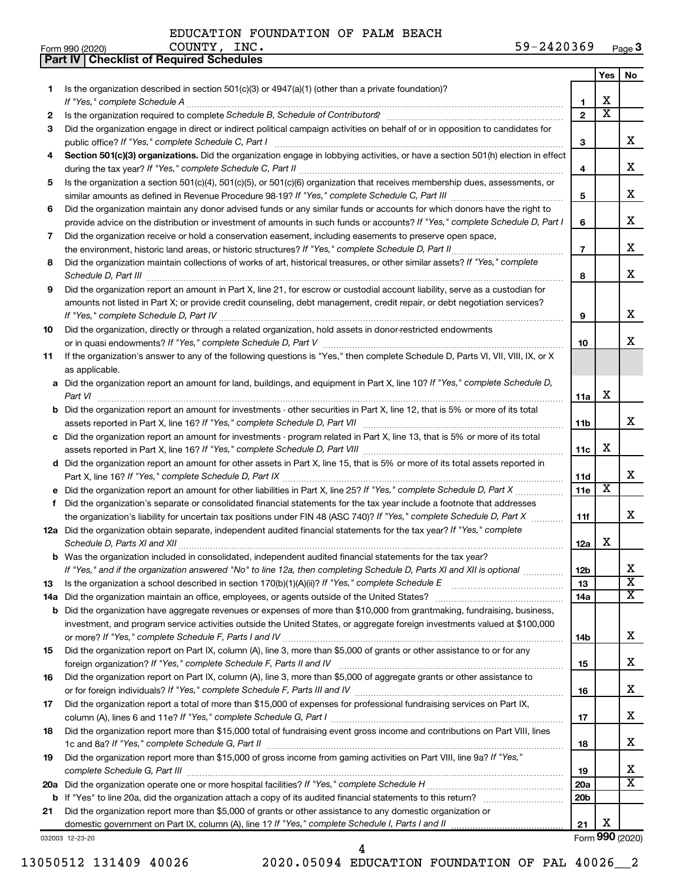EDUCATION FOUNDATION OF PALM BEACH COUNTY, INC.

**Part IV Checklist of Required Schedules**

|     |                                                                                                                                       |                 | Yes | No                      |
|-----|---------------------------------------------------------------------------------------------------------------------------------------|-----------------|-----|-------------------------|
| 1.  | Is the organization described in section 501(c)(3) or 4947(a)(1) (other than a private foundation)?                                   |                 |     |                         |
|     |                                                                                                                                       | 1               | х   |                         |
| 2   |                                                                                                                                       | $\overline{2}$  | х   |                         |
| 3   | Did the organization engage in direct or indirect political campaign activities on behalf of or in opposition to candidates for       |                 |     |                         |
|     | public office? If "Yes," complete Schedule C, Part I                                                                                  | 3               |     | x                       |
|     | Section 501(c)(3) organizations. Did the organization engage in lobbying activities, or have a section 501(h) election in effect      |                 |     |                         |
|     |                                                                                                                                       | 4               |     | x                       |
| 5   | Is the organization a section 501(c)(4), 501(c)(5), or 501(c)(6) organization that receives membership dues, assessments, or          |                 |     |                         |
|     |                                                                                                                                       | 5               |     | х                       |
| 6   | Did the organization maintain any donor advised funds or any similar funds or accounts for which donors have the right to             |                 |     |                         |
|     | provide advice on the distribution or investment of amounts in such funds or accounts? If "Yes," complete Schedule D, Part I          | 6               |     | х                       |
| 7   | Did the organization receive or hold a conservation easement, including easements to preserve open space,                             |                 |     | х                       |
|     |                                                                                                                                       | $\overline{7}$  |     |                         |
| 8   | Did the organization maintain collections of works of art, historical treasures, or other similar assets? If "Yes," complete          |                 |     | x                       |
|     |                                                                                                                                       | 8               |     |                         |
| 9   | Did the organization report an amount in Part X, line 21, for escrow or custodial account liability, serve as a custodian for         |                 |     |                         |
|     | amounts not listed in Part X; or provide credit counseling, debt management, credit repair, or debt negotiation services?             | 9               |     | х                       |
| 10  | Did the organization, directly or through a related organization, hold assets in donor-restricted endowments                          |                 |     |                         |
|     |                                                                                                                                       | 10              |     | x                       |
| 11  | If the organization's answer to any of the following questions is "Yes," then complete Schedule D, Parts VI, VII, VIII, IX, or X      |                 |     |                         |
|     | as applicable.                                                                                                                        |                 |     |                         |
|     | a Did the organization report an amount for land, buildings, and equipment in Part X, line 10? If "Yes," complete Schedule D,         |                 |     |                         |
|     | Part VI                                                                                                                               | 11a             | х   |                         |
|     | <b>b</b> Did the organization report an amount for investments - other securities in Part X, line 12, that is 5% or more of its total |                 |     |                         |
|     | assets reported in Part X, line 16? If "Yes," complete Schedule D, Part VII [[[[[[[[[[[[[[[[[[[[[[[[[[[[[[[[[                         | 11b             |     | x                       |
|     | c Did the organization report an amount for investments - program related in Part X, line 13, that is 5% or more of its total         |                 |     |                         |
|     |                                                                                                                                       | 11c             | х   |                         |
|     | d Did the organization report an amount for other assets in Part X, line 15, that is 5% or more of its total assets reported in       |                 |     |                         |
|     |                                                                                                                                       | 11d             |     | x                       |
|     |                                                                                                                                       | 11e             | х   |                         |
| f   | Did the organization's separate or consolidated financial statements for the tax year include a footnote that addresses               |                 |     |                         |
|     | the organization's liability for uncertain tax positions under FIN 48 (ASC 740)? If "Yes," complete Schedule D, Part X                | 11f             |     | x                       |
|     | 12a Did the organization obtain separate, independent audited financial statements for the tax year? If "Yes," complete               |                 |     |                         |
|     |                                                                                                                                       | 12a             | х   |                         |
|     | <b>b</b> Was the organization included in consolidated, independent audited financial statements for the tax year?                    |                 |     |                         |
|     | If "Yes," and if the organization answered "No" to line 12a, then completing Schedule D, Parts XI and XII is optional                 | 12 <sub>b</sub> |     | х                       |
| 13  |                                                                                                                                       | 13              |     | $\overline{\mathbf{X}}$ |
| 14a |                                                                                                                                       | 14a             |     | x                       |
| b   | Did the organization have aggregate revenues or expenses of more than \$10,000 from grantmaking, fundraising, business,               |                 |     |                         |
|     | investment, and program service activities outside the United States, or aggregate foreign investments valued at \$100,000            |                 |     |                         |
|     |                                                                                                                                       | 14b             |     | x                       |
| 15  | Did the organization report on Part IX, column (A), line 3, more than \$5,000 of grants or other assistance to or for any             |                 |     | x                       |
|     |                                                                                                                                       | 15              |     |                         |
| 16  | Did the organization report on Part IX, column (A), line 3, more than \$5,000 of aggregate grants or other assistance to              |                 |     | x                       |
|     |                                                                                                                                       | 16              |     |                         |
| 17  | Did the organization report a total of more than \$15,000 of expenses for professional fundraising services on Part IX,               | 17              |     | x                       |
| 18  | Did the organization report more than \$15,000 total of fundraising event gross income and contributions on Part VIII, lines          |                 |     |                         |
|     |                                                                                                                                       | 18              |     | x                       |
| 19  | Did the organization report more than \$15,000 of gross income from gaming activities on Part VIII, line 9a? If "Yes,"                |                 |     |                         |
|     |                                                                                                                                       | 19              |     | х                       |
| 20a |                                                                                                                                       | 20a             |     | x                       |
| b   |                                                                                                                                       | 20 <sub>b</sub> |     |                         |
| 21  | Did the organization report more than \$5,000 of grants or other assistance to any domestic organization or                           |                 |     |                         |
|     |                                                                                                                                       | 21              | х   |                         |
|     | 032003 12-23-20                                                                                                                       |                 |     | Form 990 (2020)         |

13050512 131409 40026 2020.05094 EDUCATION FOUNDATION OF PAL 40026\_\_2

4

Form (2020) **990**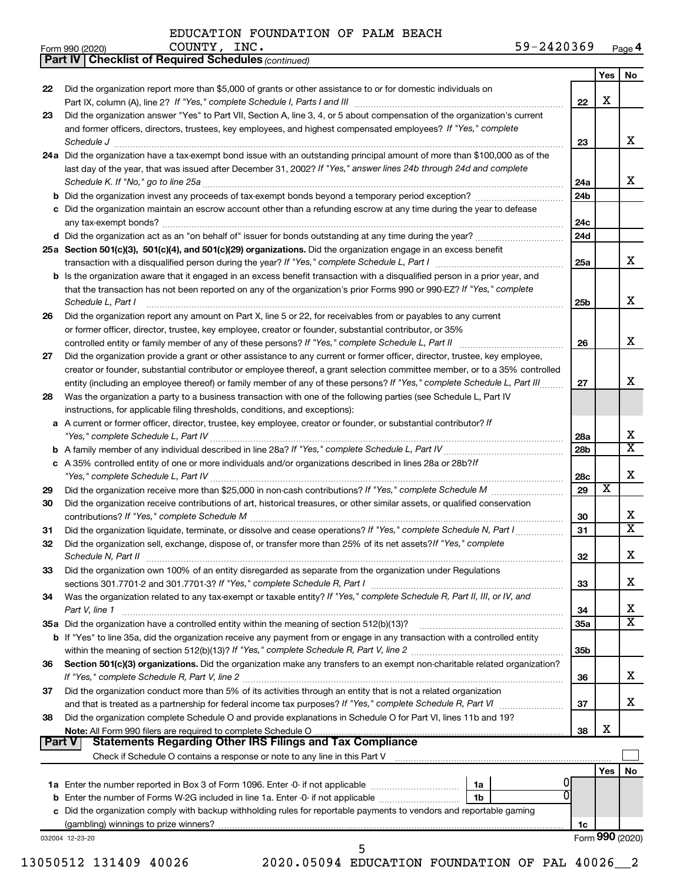*(continued)*

| Form 990 (2020) | INC.<br><b>COUNTY</b> | 59-2420369 | Page 4 |
|-----------------|-----------------------|------------|--------|
|-----------------|-----------------------|------------|--------|

|               |                                                                                                                                                                                                   |                       | Yes | No                      |
|---------------|---------------------------------------------------------------------------------------------------------------------------------------------------------------------------------------------------|-----------------------|-----|-------------------------|
| 22            | Did the organization report more than \$5,000 of grants or other assistance to or for domestic individuals on                                                                                     | 22                    | X   |                         |
| 23            | Did the organization answer "Yes" to Part VII, Section A, line 3, 4, or 5 about compensation of the organization's current                                                                        |                       |     |                         |
|               | and former officers, directors, trustees, key employees, and highest compensated employees? If "Yes," complete<br>Schedule J <b>www.communications.communications.communications.com</b>          | 23                    |     | X                       |
|               | 24a Did the organization have a tax-exempt bond issue with an outstanding principal amount of more than \$100,000 as of the                                                                       |                       |     |                         |
|               | last day of the year, that was issued after December 31, 2002? If "Yes," answer lines 24b through 24d and complete                                                                                |                       |     |                         |
|               |                                                                                                                                                                                                   | 24a                   |     | х                       |
|               |                                                                                                                                                                                                   | 24 <sub>b</sub>       |     |                         |
|               | c Did the organization maintain an escrow account other than a refunding escrow at any time during the year to defease                                                                            | 24c                   |     |                         |
|               |                                                                                                                                                                                                   | 24d                   |     |                         |
|               | 25a Section 501(c)(3), 501(c)(4), and 501(c)(29) organizations. Did the organization engage in an excess benefit                                                                                  |                       |     |                         |
|               |                                                                                                                                                                                                   | 25a                   |     | X                       |
|               | <b>b</b> Is the organization aware that it engaged in an excess benefit transaction with a disqualified person in a prior year, and                                                               |                       |     |                         |
|               | that the transaction has not been reported on any of the organization's prior Forms 990 or 990-EZ? If "Yes," complete<br>Schedule L, Part I                                                       | 25 <sub>b</sub>       |     | X                       |
| 26            | Did the organization report any amount on Part X, line 5 or 22, for receivables from or payables to any current                                                                                   |                       |     |                         |
|               | or former officer, director, trustee, key employee, creator or founder, substantial contributor, or 35%                                                                                           |                       |     |                         |
|               |                                                                                                                                                                                                   | 26                    |     | х                       |
| 27            | Did the organization provide a grant or other assistance to any current or former officer, director, trustee, key employee,                                                                       |                       |     |                         |
|               | creator or founder, substantial contributor or employee thereof, a grant selection committee member, or to a 35% controlled                                                                       |                       |     |                         |
|               | entity (including an employee thereof) or family member of any of these persons? If "Yes," complete Schedule L, Part III                                                                          | 27                    |     | х                       |
| 28            | Was the organization a party to a business transaction with one of the following parties (see Schedule L, Part IV<br>instructions, for applicable filing thresholds, conditions, and exceptions): |                       |     |                         |
|               | a A current or former officer, director, trustee, key employee, creator or founder, or substantial contributor? If                                                                                | 28a                   |     | х                       |
|               |                                                                                                                                                                                                   | 28 <sub>b</sub>       |     | $\overline{\mathbf{x}}$ |
|               | c A 35% controlled entity of one or more individuals and/or organizations described in lines 28a or 28b?/f                                                                                        | 28c                   |     | X                       |
| 29            |                                                                                                                                                                                                   | 29                    | х   |                         |
| 30            | Did the organization receive contributions of art, historical treasures, or other similar assets, or qualified conservation                                                                       | 30                    |     | х                       |
| 31            |                                                                                                                                                                                                   | 31                    |     | $\overline{\mathtt{x}}$ |
| 32            | Did the organization sell, exchange, dispose of, or transfer more than 25% of its net assets? If "Yes," complete                                                                                  | 32                    |     | х                       |
| 33            | Did the organization own 100% of an entity disregarded as separate from the organization under Regulations                                                                                        |                       |     |                         |
|               |                                                                                                                                                                                                   | 33                    |     | х                       |
| 34            | Was the organization related to any tax-exempt or taxable entity? If "Yes," complete Schedule R, Part II, III, or IV, and<br>Part V, line 1                                                       | 34                    |     | х                       |
|               |                                                                                                                                                                                                   | 35a                   |     | $\overline{\mathtt{x}}$ |
|               | <b>b</b> If "Yes" to line 35a, did the organization receive any payment from or engage in any transaction with a controlled entity                                                                |                       |     |                         |
|               |                                                                                                                                                                                                   | 35 <sub>b</sub>       |     |                         |
| 36            | Section 501(c)(3) organizations. Did the organization make any transfers to an exempt non-charitable related organization?                                                                        | 36                    |     | x                       |
| 37            | Did the organization conduct more than 5% of its activities through an entity that is not a related organization                                                                                  | 37                    |     | x                       |
| 38            | Did the organization complete Schedule O and provide explanations in Schedule O for Part VI, lines 11b and 19?                                                                                    | 38                    | X   |                         |
| <b>Part V</b> | <b>Statements Regarding Other IRS Filings and Tax Compliance</b>                                                                                                                                  |                       |     |                         |
|               |                                                                                                                                                                                                   |                       |     |                         |
|               |                                                                                                                                                                                                   |                       | Yes | No                      |
|               |                                                                                                                                                                                                   |                       |     |                         |
|               | 1b                                                                                                                                                                                                |                       |     |                         |
| b             |                                                                                                                                                                                                   |                       |     |                         |
|               | c Did the organization comply with backup withholding rules for reportable payments to vendors and reportable gaming                                                                              |                       |     |                         |
|               | 032004 12-23-20                                                                                                                                                                                   | 1c<br>Form 990 (2020) |     |                         |

**Part IV Checklist of Required Schedules**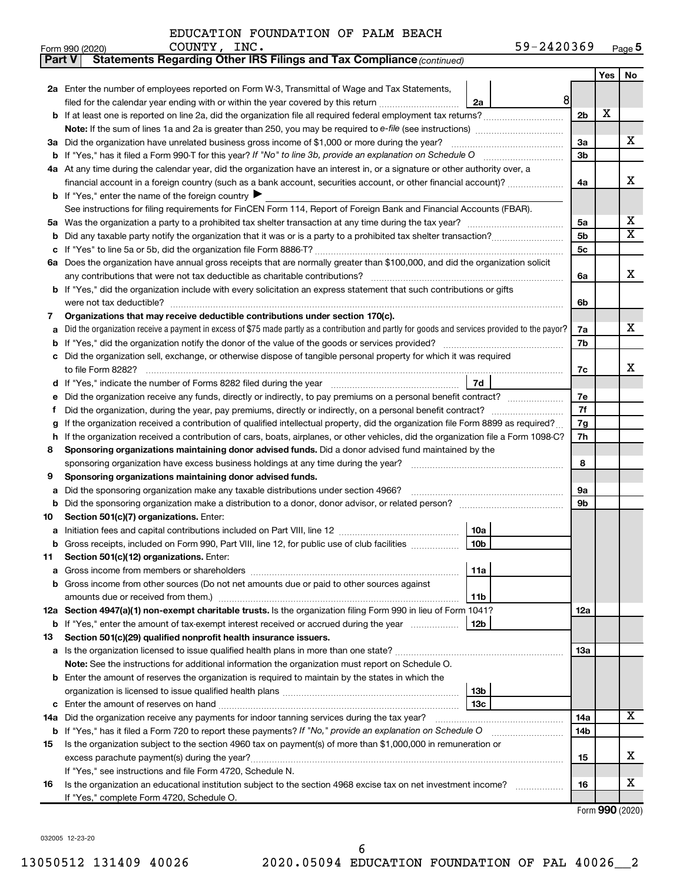| Part V                                                                                                              | Statements Regarding Other IRS Filings and Tax Compliance (continued)                                                                                           |                |     |                         |
|---------------------------------------------------------------------------------------------------------------------|-----------------------------------------------------------------------------------------------------------------------------------------------------------------|----------------|-----|-------------------------|
|                                                                                                                     |                                                                                                                                                                 |                | Yes | No                      |
|                                                                                                                     | 2a Enter the number of employees reported on Form W-3, Transmittal of Wage and Tax Statements,                                                                  |                |     |                         |
|                                                                                                                     | 8 <sup>1</sup><br>filed for the calendar year ending with or within the year covered by this return<br>2a                                                       |                |     |                         |
|                                                                                                                     |                                                                                                                                                                 | 2 <sub>b</sub> | X   |                         |
|                                                                                                                     |                                                                                                                                                                 |                |     |                         |
| За                                                                                                                  | Did the organization have unrelated business gross income of \$1,000 or more during the year?                                                                   | За             |     | х                       |
|                                                                                                                     |                                                                                                                                                                 | 3b             |     |                         |
|                                                                                                                     | 4a At any time during the calendar year, did the organization have an interest in, or a signature or other authority over, a                                    |                |     |                         |
|                                                                                                                     | financial account in a foreign country (such as a bank account, securities account, or other financial account)?                                                | 4a             |     | х                       |
|                                                                                                                     | <b>b</b> If "Yes," enter the name of the foreign country $\blacktriangleright$                                                                                  |                |     |                         |
|                                                                                                                     | See instructions for filing requirements for FinCEN Form 114, Report of Foreign Bank and Financial Accounts (FBAR).                                             |                |     |                         |
| 5a                                                                                                                  |                                                                                                                                                                 | 5a             |     | x                       |
| b                                                                                                                   |                                                                                                                                                                 | 5b             |     | $\overline{\textbf{x}}$ |
|                                                                                                                     |                                                                                                                                                                 | 5с             |     |                         |
|                                                                                                                     | 6a Does the organization have annual gross receipts that are normally greater than \$100,000, and did the organization solicit                                  |                |     |                         |
|                                                                                                                     |                                                                                                                                                                 | 6a             |     | х                       |
|                                                                                                                     | b If "Yes," did the organization include with every solicitation an express statement that such contributions or gifts                                          |                |     |                         |
|                                                                                                                     | were not tax deductible?                                                                                                                                        | 6b             |     |                         |
| 7                                                                                                                   | Organizations that may receive deductible contributions under section 170(c).                                                                                   |                |     |                         |
| a                                                                                                                   | Did the organization receive a payment in excess of \$75 made partly as a contribution and partly for goods and services provided to the payor?                 | 7a             |     | х                       |
| b                                                                                                                   |                                                                                                                                                                 | 7b             |     |                         |
| c                                                                                                                   | Did the organization sell, exchange, or otherwise dispose of tangible personal property for which it was required                                               |                |     |                         |
|                                                                                                                     |                                                                                                                                                                 | 7c             |     | х                       |
| d                                                                                                                   | 7d                                                                                                                                                              |                |     |                         |
|                                                                                                                     | Did the organization receive any funds, directly or indirectly, to pay premiums on a personal benefit contract?                                                 | 7e             |     |                         |
| f                                                                                                                   |                                                                                                                                                                 | 7f             |     |                         |
| g                                                                                                                   | If the organization received a contribution of qualified intellectual property, did the organization file Form 8899 as required?                                | 7g             |     |                         |
| h                                                                                                                   | If the organization received a contribution of cars, boats, airplanes, or other vehicles, did the organization file a Form 1098-C?                              | 7h             |     |                         |
| 8                                                                                                                   | Sponsoring organizations maintaining donor advised funds. Did a donor advised fund maintained by the                                                            |                |     |                         |
|                                                                                                                     |                                                                                                                                                                 | 8              |     |                         |
| 9                                                                                                                   | Sponsoring organizations maintaining donor advised funds.                                                                                                       |                |     |                         |
| а                                                                                                                   | Did the sponsoring organization make any taxable distributions under section 4966?                                                                              | 9а             |     |                         |
| b                                                                                                                   |                                                                                                                                                                 | 9b             |     |                         |
| 10                                                                                                                  | Section 501(c)(7) organizations. Enter:                                                                                                                         |                |     |                         |
| а                                                                                                                   | 10a<br>10b                                                                                                                                                      |                |     |                         |
|                                                                                                                     | <b>b</b> Gross receipts, included on Form 990, Part VIII, line 12, for public use of club facilities <i>manumum</i><br>Section 501(c)(12) organizations. Enter: |                |     |                         |
| 11<br>а                                                                                                             | 11a                                                                                                                                                             |                |     |                         |
|                                                                                                                     | Gross income from other sources (Do not net amounts due or paid to other sources against                                                                        |                |     |                         |
|                                                                                                                     | amounts due or received from them.)<br>11b                                                                                                                      |                |     |                         |
|                                                                                                                     | 12a Section 4947(a)(1) non-exempt charitable trusts. Is the organization filing Form 990 in lieu of Form 1041?                                                  | 12a            |     |                         |
|                                                                                                                     | 12b<br><b>b</b> If "Yes," enter the amount of tax-exempt interest received or accrued during the year                                                           |                |     |                         |
| 13                                                                                                                  | Section 501(c)(29) qualified nonprofit health insurance issuers.                                                                                                |                |     |                         |
|                                                                                                                     | a Is the organization licensed to issue qualified health plans in more than one state?                                                                          | 13a            |     |                         |
|                                                                                                                     | Note: See the instructions for additional information the organization must report on Schedule O.                                                               |                |     |                         |
|                                                                                                                     | <b>b</b> Enter the amount of reserves the organization is required to maintain by the states in which the                                                       |                |     |                         |
|                                                                                                                     | 13b                                                                                                                                                             |                |     |                         |
| c                                                                                                                   | 13c                                                                                                                                                             |                |     |                         |
|                                                                                                                     | 14a Did the organization receive any payments for indoor tanning services during the tax year?                                                                  | 14a            |     | x                       |
|                                                                                                                     | <b>b</b> If "Yes," has it filed a Form 720 to report these payments? If "No," provide an explanation on Schedule O                                              | 14b            |     |                         |
| Is the organization subject to the section 4960 tax on payment(s) of more than \$1,000,000 in remuneration or<br>15 |                                                                                                                                                                 |                |     |                         |
|                                                                                                                     | excess parachute payment(s) during the year?                                                                                                                    | 15             |     | х                       |
|                                                                                                                     | If "Yes," see instructions and file Form 4720, Schedule N.                                                                                                      |                |     |                         |
| 16                                                                                                                  | Is the organization an educational institution subject to the section 4968 excise tax on net investment income?                                                 | 16             |     | x                       |
|                                                                                                                     | If "Yes," complete Form 4720, Schedule O.                                                                                                                       |                |     |                         |

Form (2020) **990**

032005 12-23-20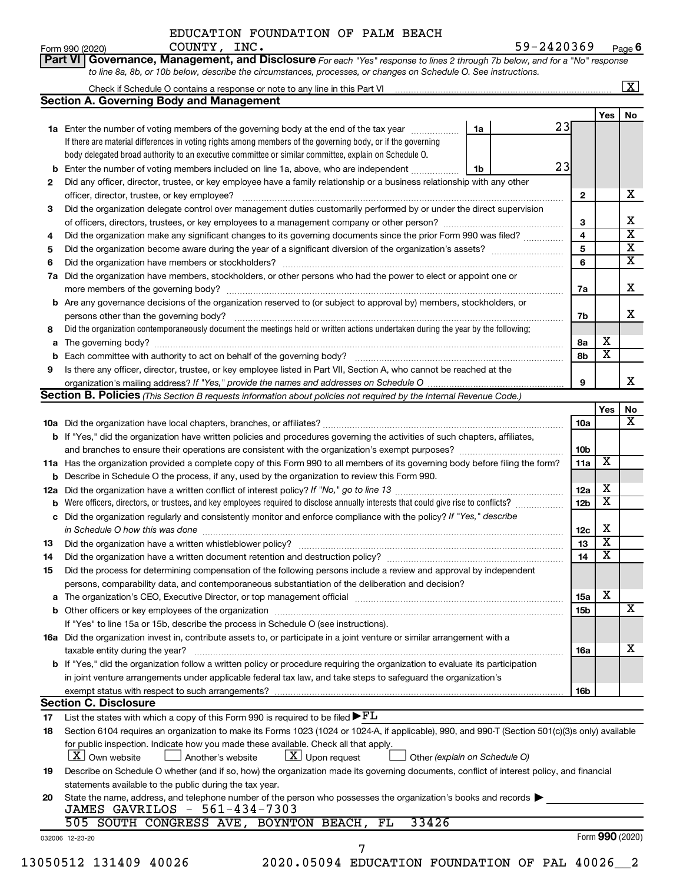**Part VI** Governance, Management, and Disclosure For each "Yes" response to lines 2 through 7b below, and for a "No" response Form 990 (2020)  $\qquad \qquad \text{COUNTY}, \quad \text{INC.} \qquad \qquad \qquad \text{59--2420369} \qquad \qquad \text{Page}$ **6**

|    |                                                                                                                                                  |    |    |                 |                         | $\boxed{\text{X}}$      |
|----|--------------------------------------------------------------------------------------------------------------------------------------------------|----|----|-----------------|-------------------------|-------------------------|
|    | <b>Section A. Governing Body and Management</b>                                                                                                  |    |    |                 |                         |                         |
|    |                                                                                                                                                  |    |    |                 | Yes                     | No                      |
|    | 1a Enter the number of voting members of the governing body at the end of the tax year                                                           | 1a | 23 |                 |                         |                         |
|    | If there are material differences in voting rights among members of the governing body, or if the governing                                      |    |    |                 |                         |                         |
|    | body delegated broad authority to an executive committee or similar committee, explain on Schedule O.                                            |    |    |                 |                         |                         |
|    | <b>b</b> Enter the number of voting members included on line 1a, above, who are independent                                                      |    | 23 |                 |                         |                         |
|    |                                                                                                                                                  | 1b |    |                 |                         |                         |
| 2  | Did any officer, director, trustee, or key employee have a family relationship or a business relationship with any other                         |    |    |                 |                         | х                       |
|    |                                                                                                                                                  |    |    | $\mathbf{2}$    |                         |                         |
| З  | Did the organization delegate control over management duties customarily performed by or under the direct supervision                            |    |    |                 |                         | X                       |
|    |                                                                                                                                                  |    |    | 3               |                         | $\overline{\mathbf{x}}$ |
| 4  | Did the organization make any significant changes to its governing documents since the prior Form 990 was filed?                                 |    |    | 4               |                         |                         |
| 5  |                                                                                                                                                  |    |    | 5               |                         | $\overline{\mathbf{X}}$ |
| 6  |                                                                                                                                                  |    |    | 6               |                         | $\overline{\mathbf{x}}$ |
|    | 7a Did the organization have members, stockholders, or other persons who had the power to elect or appoint one or                                |    |    |                 |                         |                         |
|    |                                                                                                                                                  |    |    | 7a              |                         | X                       |
|    | <b>b</b> Are any governance decisions of the organization reserved to (or subject to approval by) members, stockholders, or                      |    |    |                 |                         |                         |
|    | persons other than the governing body?                                                                                                           |    |    | 7b              |                         | X                       |
| 8  | Did the organization contemporaneously document the meetings held or written actions undertaken during the year by the following:                |    |    |                 |                         |                         |
|    |                                                                                                                                                  |    |    | 8a              | x                       |                         |
|    |                                                                                                                                                  |    |    | 8b              | $\overline{\textbf{x}}$ |                         |
| 9  | Is there any officer, director, trustee, or key employee listed in Part VII, Section A, who cannot be reached at the                             |    |    |                 |                         |                         |
|    |                                                                                                                                                  |    |    | 9               |                         | x                       |
|    | <b>Section B. Policies</b> (This Section B requests information about policies not required by the Internal Revenue Code.)                       |    |    |                 |                         |                         |
|    |                                                                                                                                                  |    |    |                 | Yes                     | No                      |
|    |                                                                                                                                                  |    |    | 10a             |                         | х                       |
|    | <b>b</b> If "Yes," did the organization have written policies and procedures governing the activities of such chapters, affiliates,              |    |    |                 |                         |                         |
|    |                                                                                                                                                  |    |    | 10 <sub>b</sub> |                         |                         |
|    | 11a Has the organization provided a complete copy of this Form 990 to all members of its governing body before filing the form?                  |    |    | 11a             | X                       |                         |
|    | <b>b</b> Describe in Schedule O the process, if any, used by the organization to review this Form 990.                                           |    |    |                 |                         |                         |
|    |                                                                                                                                                  |    |    | 12a             | х                       |                         |
|    |                                                                                                                                                  |    |    | 12 <sub>b</sub> | $\overline{\textbf{x}}$ |                         |
|    | c Did the organization regularly and consistently monitor and enforce compliance with the policy? If "Yes," describe                             |    |    |                 |                         |                         |
|    | in Schedule O how this was done <b>construction and construction</b> construction of the schedule O how this was done                            |    |    | 12c             | х                       |                         |
| 13 |                                                                                                                                                  |    |    | 13              | $\overline{\textbf{x}}$ |                         |
|    | Did the organization have a written document retention and destruction policy? [11] manufaction manufaction in                                   |    |    | 14              | $\overline{\textbf{x}}$ |                         |
| 14 |                                                                                                                                                  |    |    |                 |                         |                         |
| 15 | Did the process for determining compensation of the following persons include a review and approval by independent                               |    |    |                 |                         |                         |
|    | persons, comparability data, and contemporaneous substantiation of the deliberation and decision?                                                |    |    |                 | X                       |                         |
|    |                                                                                                                                                  |    |    | 15a             |                         | X                       |
|    |                                                                                                                                                  |    |    | 15b             |                         |                         |
|    | If "Yes" to line 15a or 15b, describe the process in Schedule O (see instructions).                                                              |    |    |                 |                         |                         |
|    | 16a Did the organization invest in, contribute assets to, or participate in a joint venture or similar arrangement with a                        |    |    |                 |                         |                         |
|    | taxable entity during the year?                                                                                                                  |    |    | 16a             |                         | х                       |
|    | b If "Yes," did the organization follow a written policy or procedure requiring the organization to evaluate its participation                   |    |    |                 |                         |                         |
|    | in joint venture arrangements under applicable federal tax law, and take steps to safeguard the organization's                                   |    |    |                 |                         |                         |
|    |                                                                                                                                                  |    |    | 16b             |                         |                         |
|    | <b>Section C. Disclosure</b>                                                                                                                     |    |    |                 |                         |                         |
| 17 | List the states with which a copy of this Form 990 is required to be filed $\blacktriangleright$ FL                                              |    |    |                 |                         |                         |
| 18 | Section 6104 requires an organization to make its Forms 1023 (1024 or 1024-A, if applicable), 990, and 990-T (Section 501(c)(3)s only) available |    |    |                 |                         |                         |
|    | for public inspection. Indicate how you made these available. Check all that apply.                                                              |    |    |                 |                         |                         |
|    | $X$ Own website<br>$\lfloor \underline{X} \rfloor$ Upon request<br>Another's website<br>Other (explain on Schedule O)                            |    |    |                 |                         |                         |
| 19 | Describe on Schedule O whether (and if so, how) the organization made its governing documents, conflict of interest policy, and financial        |    |    |                 |                         |                         |
|    | statements available to the public during the tax year.                                                                                          |    |    |                 |                         |                         |
| 20 | State the name, address, and telephone number of the person who possesses the organization's books and records                                   |    |    |                 |                         |                         |
|    | JAMES GAVRILOS - 561-434-7303                                                                                                                    |    |    |                 |                         |                         |
|    | FL<br>33426<br>505 SOUTH CONGRESS AVE, BOYNTON BEACH,                                                                                            |    |    |                 |                         |                         |
|    |                                                                                                                                                  |    |    |                 | Form 990 (2020)         |                         |
|    | 032006 12-23-20                                                                                                                                  |    |    |                 |                         |                         |
|    | 13050512 131409 40026<br>2020.05094 EDUCATION FOUNDATION OF PAL 40026 2                                                                          |    |    |                 |                         |                         |
|    |                                                                                                                                                  |    |    |                 |                         |                         |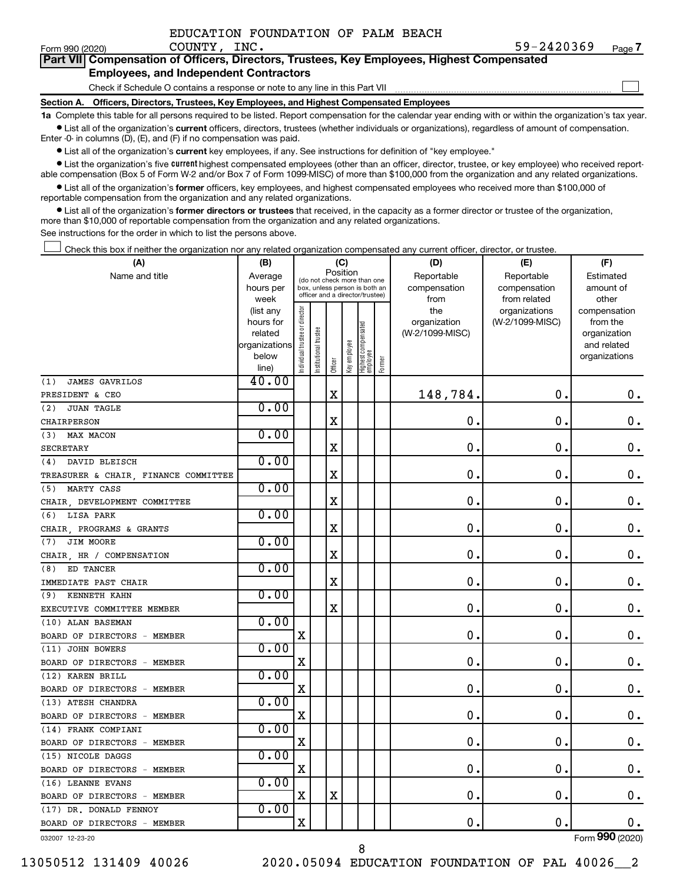|  |  | EDUCATION FOUNDATION OF PALM BEACH |  |  |  |
|--|--|------------------------------------|--|--|--|
|--|--|------------------------------------|--|--|--|

 $\Box$ 

|  | Part VII Compensation of Officers, Directors, Trustees, Key Employees, Highest Compensated |
|--|--------------------------------------------------------------------------------------------|
|  | <b>Employees, and Independent Contractors</b>                                              |

Check if Schedule O contains a response or note to any line in this Part VII

**Section A. Officers, Directors, Trustees, Key Employees, and Highest Compensated Employees**

**1a**  Complete this table for all persons required to be listed. Report compensation for the calendar year ending with or within the organization's tax year.  $\bullet$  List all of the organization's current officers, directors, trustees (whether individuals or organizations), regardless of amount of compensation.

Enter -0- in columns (D), (E), and (F) if no compensation was paid.

**•** List all of the organization's current key employees, if any. See instructions for definition of "key employee."

• List the organization's five *current* highest compensated employees (other than an officer, director, trustee, or key employee) who received reportable compensation (Box 5 of Form W-2 and/or Box 7 of Form 1099-MISC) of more than \$100,000 from the organization and any related organizations.

 $\bullet$  List all of the organization's former officers, key employees, and highest compensated employees who received more than \$100,000 of reportable compensation from the organization and any related organizations.

**•** List all of the organization's former directors or trustees that received, in the capacity as a former director or trustee of the organization, more than \$10,000 of reportable compensation from the organization and any related organizations.

See instructions for the order in which to list the persons above.

Check this box if neither the organization nor any related organization compensated any current officer, director, or trustee.  $\Box$ 

| (A)                                  | (B)                    |                               |                                                                  |                         | (C)          |                                 |        | (D)                 | (E)                              | (F)                      |
|--------------------------------------|------------------------|-------------------------------|------------------------------------------------------------------|-------------------------|--------------|---------------------------------|--------|---------------------|----------------------------------|--------------------------|
| Name and title                       | Average                |                               | Position<br>(do not check more than one                          |                         |              |                                 |        | Reportable          | Reportable                       | Estimated                |
|                                      | hours per              |                               | box, unless person is both an<br>officer and a director/trustee) |                         |              |                                 |        | compensation        | compensation                     | amount of                |
|                                      | week                   |                               |                                                                  |                         |              |                                 |        | from                | from related                     | other                    |
|                                      | (list any<br>hours for | ndividual trustee or director |                                                                  |                         |              |                                 |        | the<br>organization | organizations<br>(W-2/1099-MISC) | compensation<br>from the |
|                                      | related                |                               |                                                                  |                         |              |                                 |        | (W-2/1099-MISC)     |                                  | organization             |
|                                      | organizations          |                               |                                                                  |                         |              |                                 |        |                     |                                  | and related              |
|                                      | below                  |                               | nstitutional trustee                                             |                         | Key employee |                                 |        |                     |                                  | organizations            |
|                                      | line)                  |                               |                                                                  | Officer                 |              | Highest compensated<br>employee | Former |                     |                                  |                          |
| <b>JAMES GAVRILOS</b><br>(1)         | 40.00                  |                               |                                                                  |                         |              |                                 |        |                     |                                  |                          |
| PRESIDENT & CEO                      |                        |                               |                                                                  | $\mathbf X$             |              |                                 |        | 148,784.            | $\mathbf 0$                      | 0.                       |
| (2)<br><b>JUAN TAGLE</b>             | 0.00                   |                               |                                                                  |                         |              |                                 |        |                     |                                  |                          |
| CHAIRPERSON                          |                        |                               |                                                                  | $\overline{\textbf{X}}$ |              |                                 |        | Ο.                  | $\mathbf 0$                      | $\mathbf 0$ .            |
| MAX MACON<br>(3)                     | 0.00                   |                               |                                                                  |                         |              |                                 |        |                     |                                  |                          |
| SECRETARY                            |                        |                               |                                                                  | X                       |              |                                 |        | $\mathbf 0$ .       | 0                                | $\mathbf 0$ .            |
| (4) DAVID BLEISCH                    | 0.00                   |                               |                                                                  |                         |              |                                 |        |                     |                                  |                          |
| TREASURER & CHAIR, FINANCE COMMITTEE |                        |                               |                                                                  | $\mathbf X$             |              |                                 |        | $\mathbf 0$ .       | $\mathbf 0$                      | $\mathbf 0$ .            |
| <b>MARTY CASS</b><br>(5)             | 0.00                   |                               |                                                                  |                         |              |                                 |        |                     |                                  |                          |
| CHAIR, DEVELOPMENT COMMITTEE         |                        |                               |                                                                  | X                       |              |                                 |        | $\mathbf 0$         | $\mathbf 0$                      | $\mathbf 0$ .            |
| <b>LISA PARK</b><br>(6)              | 0.00                   |                               |                                                                  |                         |              |                                 |        |                     |                                  |                          |
| CHAIR PROGRAMS & GRANTS              |                        |                               |                                                                  | X                       |              |                                 |        | $\mathbf 0$ .       | $\mathbf 0$                      | $\mathbf 0$ .            |
| <b>JIM MOORE</b><br>(7)              | 0.00                   |                               |                                                                  |                         |              |                                 |        |                     |                                  |                          |
| CHAIR HR / COMPENSATION              |                        |                               |                                                                  | $\mathbf X$             |              |                                 |        | $\mathbf 0$ .       | 0                                | $\mathbf 0$ .            |
| ED TANCER<br>(8)                     | 0.00                   |                               |                                                                  |                         |              |                                 |        |                     |                                  |                          |
| IMMEDIATE PAST CHAIR                 |                        |                               |                                                                  | X                       |              |                                 |        | $\mathbf 0$ .       | $\mathbf 0$                      | $\mathbf 0$ .            |
| KENNETH KAHN<br>(9)                  | 0.00                   |                               |                                                                  |                         |              |                                 |        |                     |                                  |                          |
| EXECUTIVE COMMITTEE MEMBER           |                        |                               |                                                                  | $\mathbf X$             |              |                                 |        | $\mathbf 0$ .       | $\mathbf 0$                      | $\mathbf 0$ .            |
| (10) ALAN BASEMAN                    | 0.00                   |                               |                                                                  |                         |              |                                 |        |                     |                                  |                          |
| BOARD OF DIRECTORS - MEMBER          |                        | X                             |                                                                  |                         |              |                                 |        | 0.                  | $\mathbf 0$                      | $\mathbf 0$ .            |
| (11) JOHN BOWERS                     | 0.00                   |                               |                                                                  |                         |              |                                 |        |                     |                                  |                          |
| BOARD OF DIRECTORS - MEMBER          |                        | X                             |                                                                  |                         |              |                                 |        | $\mathbf 0$ .       | 0                                | $\mathbf 0$ .            |
| (12) KAREN BRILL                     | 0.00                   |                               |                                                                  |                         |              |                                 |        |                     |                                  |                          |
| BOARD OF DIRECTORS - MEMBER          |                        | $\mathbf X$                   |                                                                  |                         |              |                                 |        | $\mathbf 0$ .       | $\mathbf 0$                      | $\mathbf 0$ .            |
| (13) ATESH CHANDRA                   | 0.00                   |                               |                                                                  |                         |              |                                 |        |                     |                                  |                          |
| BOARD OF DIRECTORS - MEMBER          |                        | X                             |                                                                  |                         |              |                                 |        | $\mathbf 0$ .       | $\mathbf 0$                      | $\mathbf 0$ .            |
| (14) FRANK COMPIANI                  | 0.00                   |                               |                                                                  |                         |              |                                 |        |                     |                                  |                          |
| BOARD OF DIRECTORS - MEMBER          |                        | X                             |                                                                  |                         |              |                                 |        | 0.                  | 0                                | $0$ .                    |
| (15) NICOLE DAGGS                    | 0.00                   |                               |                                                                  |                         |              |                                 |        |                     |                                  |                          |
| BOARD OF DIRECTORS - MEMBER          |                        | X                             |                                                                  |                         |              |                                 |        | $\mathbf 0$         | 0                                | $\mathbf 0$ .            |
| (16) LEANNE EVANS                    | 0.00                   |                               |                                                                  |                         |              |                                 |        |                     |                                  |                          |
| BOARD OF DIRECTORS - MEMBER          |                        | $\mathbf X$                   |                                                                  | $\mathbf X$             |              |                                 |        | $\mathbf 0$ .       | $\mathbf 0$                      | 0.                       |
| (17) DR. DONALD FENNOY               | 0.00                   |                               |                                                                  |                         |              |                                 |        |                     |                                  |                          |
| BOARD OF DIRECTORS - MEMBER          |                        | X                             |                                                                  |                         |              |                                 |        | 0.                  | $\mathbf 0$                      | 0.                       |
| 032007 12-23-20                      |                        |                               |                                                                  |                         |              |                                 |        |                     |                                  | Form 990 (2020)          |

8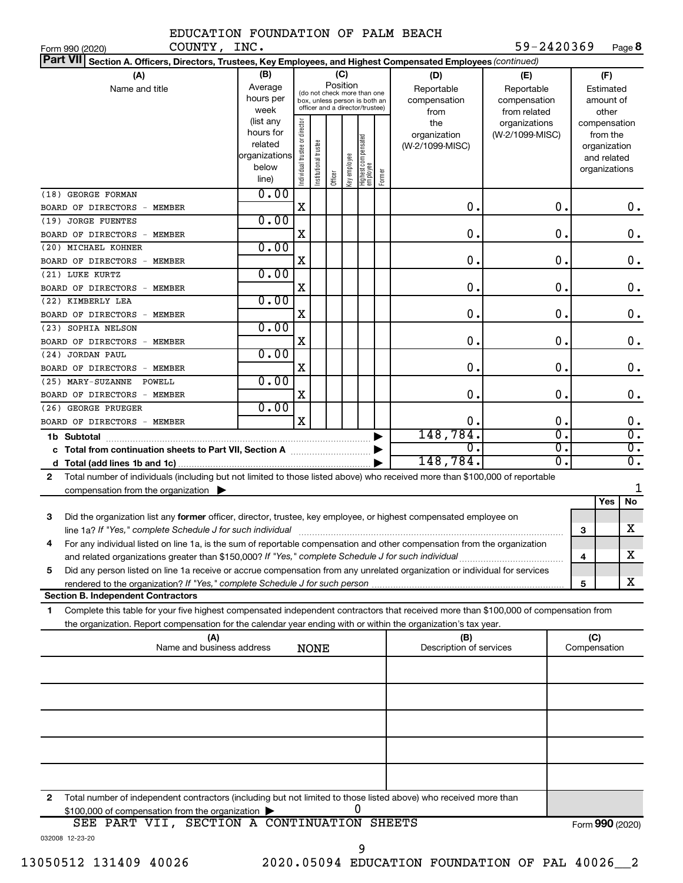COUNTY, INC.

Form 990 (2020) Page **8**

| Part VII Section A. Officers, Directors, Trustees, Key Employees, and Highest Compensated Employees (continued)                           |                          |                                |                       |         |              |                                                              |        |                         |                 |                 |                              |                         |
|-------------------------------------------------------------------------------------------------------------------------------------------|--------------------------|--------------------------------|-----------------------|---------|--------------|--------------------------------------------------------------|--------|-------------------------|-----------------|-----------------|------------------------------|-------------------------|
| (A)                                                                                                                                       | (B)                      |                                |                       |         | (C)          |                                                              |        | (D)                     | (E)             |                 | (F)                          |                         |
| Name and title                                                                                                                            | Average                  |                                |                       |         | Position     |                                                              |        | Reportable              | Reportable      |                 | Estimated                    |                         |
|                                                                                                                                           | hours per                |                                |                       |         |              | (do not check more than one<br>box, unless person is both an |        | compensation            | compensation    |                 | amount of                    |                         |
|                                                                                                                                           | week                     |                                |                       |         |              | officer and a director/trustee)                              |        | from                    | from related    |                 | other                        |                         |
|                                                                                                                                           | (list any                |                                |                       |         |              |                                                              |        | the                     | organizations   |                 | compensation                 |                         |
|                                                                                                                                           | hours for                |                                |                       |         |              |                                                              |        | organization            | (W-2/1099-MISC) |                 | from the                     |                         |
|                                                                                                                                           | related<br>organizations |                                |                       |         |              |                                                              |        | (W-2/1099-MISC)         |                 |                 | organization                 |                         |
|                                                                                                                                           | below                    |                                |                       |         |              |                                                              |        |                         |                 |                 | and related<br>organizations |                         |
|                                                                                                                                           | line)                    | Individual trustee or director | Institutional trustee | Officer | Key employee | Highest compensated<br>employee                              | Former |                         |                 |                 |                              |                         |
| (18) GEORGE FORMAN                                                                                                                        | 0.00                     |                                |                       |         |              |                                                              |        |                         |                 |                 |                              |                         |
|                                                                                                                                           |                          | X                              |                       |         |              |                                                              |        | 0.                      | О.              |                 |                              | 0.                      |
| BOARD OF DIRECTORS - MEMBER                                                                                                               | 0.00                     |                                |                       |         |              |                                                              |        |                         |                 |                 |                              |                         |
| (19) JORGE FUENTES                                                                                                                        |                          |                                |                       |         |              |                                                              |        | $\mathbf 0$ .           | $\mathbf 0$ .   |                 |                              |                         |
| BOARD OF DIRECTORS - MEMBER                                                                                                               | 0.00                     | X                              |                       |         |              |                                                              |        |                         |                 |                 |                              | $\mathbf 0$ .           |
| (20) MICHAEL KOHNER                                                                                                                       |                          |                                |                       |         |              |                                                              |        |                         |                 |                 |                              |                         |
| BOARD OF DIRECTORS - MEMBER                                                                                                               |                          | X                              |                       |         |              |                                                              |        | $\mathbf 0$ .           | $\mathbf 0$ .   |                 |                              | $\mathbf 0$ .           |
| (21) LUKE KURTZ                                                                                                                           | 0.00                     |                                |                       |         |              |                                                              |        |                         |                 |                 |                              |                         |
| BOARD OF DIRECTORS - MEMBER                                                                                                               |                          | X                              |                       |         |              |                                                              |        | $\mathbf 0$ .           | $\mathbf 0$ .   |                 |                              | $\mathbf 0$ .           |
| (22) KIMBERLY LEA                                                                                                                         | 0.00                     |                                |                       |         |              |                                                              |        |                         |                 |                 |                              |                         |
| BOARD OF DIRECTORS - MEMBER                                                                                                               |                          | X                              |                       |         |              |                                                              |        | $\mathbf 0$ .           | $\mathbf 0$ .   |                 |                              | $\mathbf 0$ .           |
| (23) SOPHIA NELSON                                                                                                                        | 0.00                     |                                |                       |         |              |                                                              |        |                         |                 |                 |                              |                         |
| BOARD OF DIRECTORS - MEMBER                                                                                                               |                          | X                              |                       |         |              |                                                              |        | $\mathbf 0$ .           | $\mathbf 0$ .   |                 |                              | $\mathbf 0$ .           |
| (24) JORDAN PAUL                                                                                                                          | 0.00                     |                                |                       |         |              |                                                              |        |                         |                 |                 |                              |                         |
| BOARD OF DIRECTORS - MEMBER                                                                                                               |                          | X                              |                       |         |              |                                                              |        | $\mathbf 0$ .           | 0.              |                 |                              | $\mathbf 0$ .           |
| (25) MARY-SUZANNE<br>POWELL                                                                                                               | 0.00                     |                                |                       |         |              |                                                              |        |                         |                 |                 |                              |                         |
| BOARD OF DIRECTORS - MEMBER                                                                                                               |                          | X                              |                       |         |              |                                                              |        | $\mathbf 0$ .           | О.              |                 |                              | 0.                      |
| (26) GEORGE PRUEGER                                                                                                                       | 0.00                     |                                |                       |         |              |                                                              |        |                         |                 |                 |                              |                         |
| BOARD OF DIRECTORS - MEMBER                                                                                                               |                          | $\mathbf x$                    |                       |         |              |                                                              |        | 0.                      | О.              |                 |                              | 0.                      |
| 1b Subtotal                                                                                                                               |                          |                                |                       |         |              |                                                              |        | 148,784.                | σ.              |                 |                              | σ.                      |
|                                                                                                                                           |                          |                                |                       |         |              |                                                              |        | о.                      | σ.              |                 |                              | σ.                      |
|                                                                                                                                           |                          |                                |                       |         |              |                                                              |        | 148,784.                | О.              |                 |                              | σ.                      |
| Total number of individuals (including but not limited to those listed above) who received more than \$100,000 of reportable<br>2         |                          |                                |                       |         |              |                                                              |        |                         |                 |                 |                              |                         |
| compensation from the organization                                                                                                        |                          |                                |                       |         |              |                                                              |        |                         |                 |                 |                              | 1                       |
|                                                                                                                                           |                          |                                |                       |         |              |                                                              |        |                         |                 |                 | Yes                          | No                      |
| Did the organization list any former officer, director, trustee, key employee, or highest compensated employee on<br>3                    |                          |                                |                       |         |              |                                                              |        |                         |                 |                 |                              |                         |
| line 1a? If "Yes," complete Schedule J for such individual                                                                                |                          |                                |                       |         |              |                                                              |        |                         |                 | 3               |                              | х                       |
| For any individual listed on line 1a, is the sum of reportable compensation and other compensation from the organization<br>4             |                          |                                |                       |         |              |                                                              |        |                         |                 |                 |                              |                         |
| and related organizations greater than \$150,000? If "Yes," complete Schedule J for such individual                                       |                          |                                |                       |         |              |                                                              |        |                         |                 | 4               |                              | $\overline{\textbf{X}}$ |
| Did any person listed on line 1a receive or accrue compensation from any unrelated organization or individual for services<br>5           |                          |                                |                       |         |              |                                                              |        |                         |                 |                 |                              |                         |
|                                                                                                                                           |                          |                                |                       |         |              |                                                              |        |                         |                 | 5               |                              | x                       |
| <b>Section B. Independent Contractors</b>                                                                                                 |                          |                                |                       |         |              |                                                              |        |                         |                 |                 |                              |                         |
| Complete this table for your five highest compensated independent contractors that received more than \$100,000 of compensation from<br>1 |                          |                                |                       |         |              |                                                              |        |                         |                 |                 |                              |                         |
| the organization. Report compensation for the calendar year ending with or within the organization's tax year.                            |                          |                                |                       |         |              |                                                              |        |                         |                 |                 |                              |                         |
| (A)                                                                                                                                       |                          |                                |                       |         |              |                                                              |        | (B)                     |                 | (C)             |                              |                         |
| Name and business address                                                                                                                 |                          |                                | <b>NONE</b>           |         |              |                                                              |        | Description of services |                 | Compensation    |                              |                         |
|                                                                                                                                           |                          |                                |                       |         |              |                                                              |        |                         |                 |                 |                              |                         |
|                                                                                                                                           |                          |                                |                       |         |              |                                                              |        |                         |                 |                 |                              |                         |
|                                                                                                                                           |                          |                                |                       |         |              |                                                              |        |                         |                 |                 |                              |                         |
|                                                                                                                                           |                          |                                |                       |         |              |                                                              |        |                         |                 |                 |                              |                         |
|                                                                                                                                           |                          |                                |                       |         |              |                                                              |        |                         |                 |                 |                              |                         |
|                                                                                                                                           |                          |                                |                       |         |              |                                                              |        |                         |                 |                 |                              |                         |
|                                                                                                                                           |                          |                                |                       |         |              |                                                              |        |                         |                 |                 |                              |                         |
|                                                                                                                                           |                          |                                |                       |         |              |                                                              |        |                         |                 |                 |                              |                         |
|                                                                                                                                           |                          |                                |                       |         |              |                                                              |        |                         |                 |                 |                              |                         |
|                                                                                                                                           |                          |                                |                       |         |              |                                                              |        |                         |                 |                 |                              |                         |
|                                                                                                                                           |                          |                                |                       |         |              |                                                              |        |                         |                 |                 |                              |                         |
| Total number of independent contractors (including but not limited to those listed above) who received more than<br>2                     |                          |                                |                       |         |              | U                                                            |        |                         |                 |                 |                              |                         |
| \$100,000 of compensation from the organization<br>SEE PART VII, SECTION A CONTINUATION SHEETS                                            |                          |                                |                       |         |              |                                                              |        |                         |                 | Form 990 (2020) |                              |                         |
|                                                                                                                                           |                          |                                |                       |         |              |                                                              |        |                         |                 |                 |                              |                         |
| 032008 12-23-20                                                                                                                           |                          |                                |                       |         |              |                                                              |        |                         |                 |                 |                              |                         |

9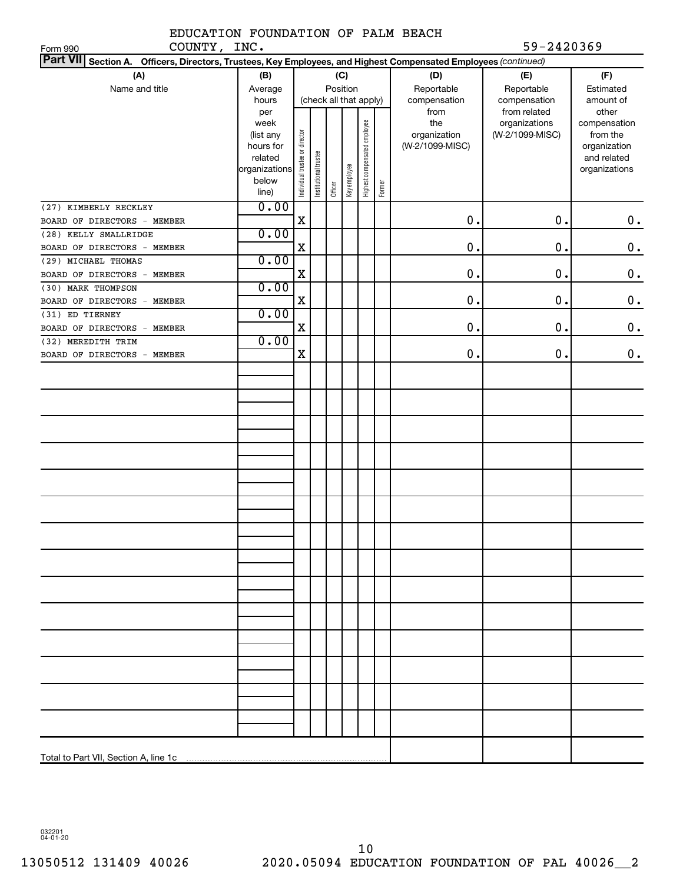|              | EDUCATION FOUNDATION OF PALM BEACH |  |            |
|--------------|------------------------------------|--|------------|
| COUNTY, INC. |                                    |  | 59-2420369 |

| COUNTY, INC.<br>Form 990                                                                                        |                      |                                |                       |         |              |                              |        |                 | 59-2420369      |                             |
|-----------------------------------------------------------------------------------------------------------------|----------------------|--------------------------------|-----------------------|---------|--------------|------------------------------|--------|-----------------|-----------------|-----------------------------|
| Part VII Section A. Officers, Directors, Trustees, Key Employees, and Highest Compensated Employees (continued) |                      |                                |                       |         |              |                              |        |                 |                 |                             |
| (A)                                                                                                             | (B)                  |                                |                       |         | (C)          |                              |        | (D)             | (E)             | (F)                         |
| Name and title                                                                                                  | Average              |                                |                       |         | Position     |                              |        | Reportable      | Reportable      | Estimated                   |
|                                                                                                                 | hours                |                                |                       |         |              | (check all that apply)       |        | compensation    | compensation    | amount of                   |
|                                                                                                                 | per                  |                                |                       |         |              |                              |        | from            | from related    | other                       |
|                                                                                                                 | week                 |                                |                       |         |              |                              |        | the             | organizations   | compensation                |
|                                                                                                                 | (list any            |                                |                       |         |              |                              |        | organization    | (W-2/1099-MISC) | from the                    |
|                                                                                                                 | hours for<br>related |                                |                       |         |              |                              |        | (W-2/1099-MISC) |                 | organization<br>and related |
|                                                                                                                 | organizations        | Individual trustee or director | Institutional trustee |         |              | Highest compensated employee |        |                 |                 | organizations               |
|                                                                                                                 | below                |                                |                       |         | Key employee |                              |        |                 |                 |                             |
|                                                                                                                 | line)                |                                |                       | Officer |              |                              | Former |                 |                 |                             |
| (27) KIMBERLY RECKLEY                                                                                           | 0.00                 |                                |                       |         |              |                              |        |                 |                 |                             |
| BOARD OF DIRECTORS - MEMBER                                                                                     |                      | X                              |                       |         |              |                              |        | 0.              | 0.              | $\mathbf 0$ .               |
| (28) KELLY SMALLRIDGE                                                                                           | 0.00                 |                                |                       |         |              |                              |        |                 |                 |                             |
| BOARD OF DIRECTORS - MEMBER                                                                                     |                      | X                              |                       |         |              |                              |        | 0.              | 0.              | $\boldsymbol{0}$ .          |
| (29) MICHAEL THOMAS                                                                                             | 0.00                 |                                |                       |         |              |                              |        |                 |                 |                             |
| BOARD OF DIRECTORS - MEMBER                                                                                     |                      | X                              |                       |         |              |                              |        | 0.              | 0.              | $\boldsymbol{0}$ .          |
| (30) MARK THOMPSON                                                                                              | 0.00                 |                                |                       |         |              |                              |        |                 |                 |                             |
| BOARD OF DIRECTORS - MEMBER                                                                                     |                      | X                              |                       |         |              |                              |        | 0.              | 0.              | $\boldsymbol{0}$ .          |
| (31) ED TIERNEY                                                                                                 | 0.00                 |                                |                       |         |              |                              |        |                 |                 |                             |
| BOARD OF DIRECTORS - MEMBER                                                                                     |                      | X                              |                       |         |              |                              |        | 0.              | 0.              | $\boldsymbol{0}$ .          |
| (32) MEREDITH TRIM                                                                                              | 0.00                 |                                |                       |         |              |                              |        |                 |                 |                             |
| BOARD OF DIRECTORS - MEMBER                                                                                     |                      | X                              |                       |         |              |                              |        | 0.              | 0.              | $\mathbf 0$ .               |
|                                                                                                                 |                      |                                |                       |         |              |                              |        |                 |                 |                             |
|                                                                                                                 |                      |                                |                       |         |              |                              |        |                 |                 |                             |
|                                                                                                                 |                      |                                |                       |         |              |                              |        |                 |                 |                             |
|                                                                                                                 |                      |                                |                       |         |              |                              |        |                 |                 |                             |
|                                                                                                                 |                      |                                |                       |         |              |                              |        |                 |                 |                             |
|                                                                                                                 |                      |                                |                       |         |              |                              |        |                 |                 |                             |
|                                                                                                                 |                      |                                |                       |         |              |                              |        |                 |                 |                             |
|                                                                                                                 |                      |                                |                       |         |              |                              |        |                 |                 |                             |
|                                                                                                                 |                      |                                |                       |         |              |                              |        |                 |                 |                             |
|                                                                                                                 |                      |                                |                       |         |              |                              |        |                 |                 |                             |
|                                                                                                                 |                      |                                |                       |         |              |                              |        |                 |                 |                             |
|                                                                                                                 |                      |                                |                       |         |              |                              |        |                 |                 |                             |
|                                                                                                                 |                      |                                |                       |         |              |                              |        |                 |                 |                             |
|                                                                                                                 |                      |                                |                       |         |              |                              |        |                 |                 |                             |
|                                                                                                                 |                      |                                |                       |         |              |                              |        |                 |                 |                             |
|                                                                                                                 |                      |                                |                       |         |              |                              |        |                 |                 |                             |
|                                                                                                                 |                      |                                |                       |         |              |                              |        |                 |                 |                             |
|                                                                                                                 |                      |                                |                       |         |              |                              |        |                 |                 |                             |
|                                                                                                                 |                      |                                |                       |         |              |                              |        |                 |                 |                             |
|                                                                                                                 |                      |                                |                       |         |              |                              |        |                 |                 |                             |
|                                                                                                                 |                      |                                |                       |         |              |                              |        |                 |                 |                             |
|                                                                                                                 |                      |                                |                       |         |              |                              |        |                 |                 |                             |
|                                                                                                                 |                      |                                |                       |         |              |                              |        |                 |                 |                             |
|                                                                                                                 |                      |                                |                       |         |              |                              |        |                 |                 |                             |
|                                                                                                                 |                      |                                |                       |         |              |                              |        |                 |                 |                             |
|                                                                                                                 |                      |                                |                       |         |              |                              |        |                 |                 |                             |
|                                                                                                                 |                      |                                |                       |         |              |                              |        |                 |                 |                             |
|                                                                                                                 |                      |                                |                       |         |              |                              |        |                 |                 |                             |
|                                                                                                                 |                      |                                |                       |         |              |                              |        |                 |                 |                             |
|                                                                                                                 |                      |                                |                       |         |              |                              |        |                 |                 |                             |
|                                                                                                                 |                      |                                |                       |         |              |                              |        |                 |                 |                             |

032201 04-01-20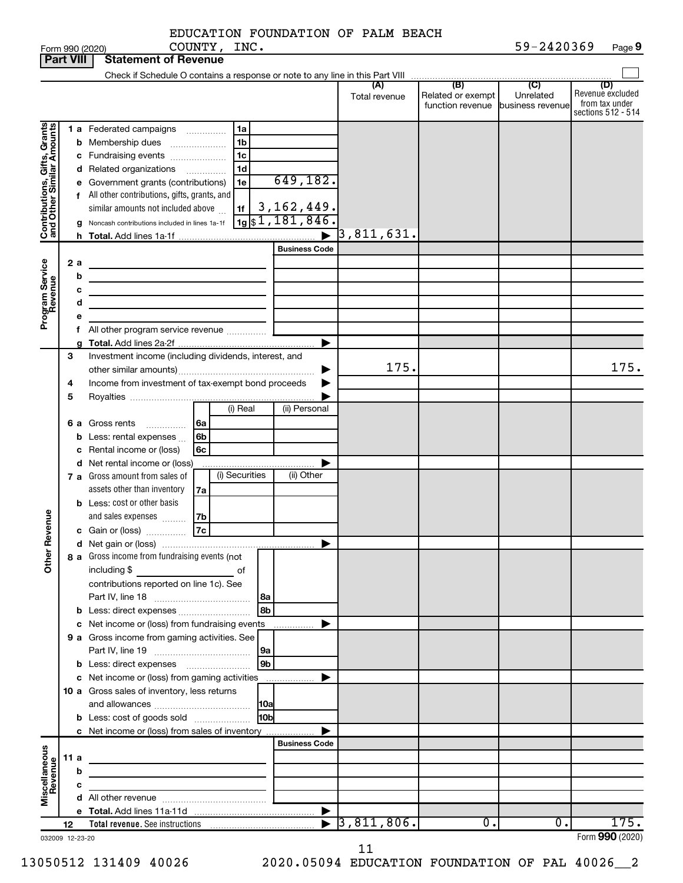|              | EDUCATION FOUNDATION OF PALM BEACH |  |  |
|--------------|------------------------------------|--|--|
| COUNTY, INC. |                                    |  |  |

| <b>Part VIII</b>                                          |      |     | Statement of Revenue                                                                      |                             |                             |                                   |           |                                      |
|-----------------------------------------------------------|------|-----|-------------------------------------------------------------------------------------------|-----------------------------|-----------------------------|-----------------------------------|-----------|--------------------------------------|
|                                                           |      |     |                                                                                           |                             | (A)                         | (B)                               | (C)       | (D)                                  |
|                                                           |      |     |                                                                                           |                             | Total revenue               | Related or exempt                 | Unrelated | Revenue excluded                     |
|                                                           |      |     |                                                                                           |                             |                             | function revenue business revenue |           | from tax under<br>sections 512 - 514 |
|                                                           |      |     |                                                                                           |                             |                             |                                   |           |                                      |
|                                                           |      |     | 1a<br>1 a Federated campaigns                                                             |                             |                             |                                   |           |                                      |
| Contributions, Gifts, Grants<br>and Other Similar Amounts |      |     | 1 <sub>b</sub><br><b>b</b> Membership dues                                                |                             |                             |                                   |           |                                      |
|                                                           |      |     | 1 <sub>c</sub><br>c Fundraising events                                                    |                             |                             |                                   |           |                                      |
|                                                           |      |     | 1 <sub>d</sub><br>d Related organizations                                                 |                             |                             |                                   |           |                                      |
|                                                           |      |     | 1e<br>e Government grants (contributions)                                                 | 649,182.                    |                             |                                   |           |                                      |
|                                                           |      |     | f All other contributions, gifts, grants, and                                             |                             |                             |                                   |           |                                      |
|                                                           |      |     | 1f<br>similar amounts not included above                                                  | 3, 162, 449.                |                             |                                   |           |                                      |
|                                                           |      |     | <b>g</b> Noncash contributions included in lines 1a-1f                                    | $\frac{1}{19}$ \$1,181,846. |                             |                                   |           |                                      |
|                                                           |      |     |                                                                                           |                             | $\overline{3}$ ,811,631.    |                                   |           |                                      |
|                                                           |      |     |                                                                                           | <b>Business Code</b>        |                             |                                   |           |                                      |
|                                                           |      | 2 a | the control of the control of the control of the control of the control of                |                             |                             |                                   |           |                                      |
|                                                           |      | b   | the control of the control of the control of the control of the control of                |                             |                             |                                   |           |                                      |
| Program Service<br>Revenue                                |      | с   | the control of the control of the control of the control of the control of the control of |                             |                             |                                   |           |                                      |
|                                                           |      | d   |                                                                                           |                             |                             |                                   |           |                                      |
|                                                           |      | е   |                                                                                           |                             |                             |                                   |           |                                      |
|                                                           |      |     | All other program service revenue                                                         |                             |                             |                                   |           |                                      |
|                                                           |      |     |                                                                                           | ▶                           |                             |                                   |           |                                      |
|                                                           | 3    |     | Investment income (including dividends, interest, and                                     |                             |                             |                                   |           |                                      |
|                                                           |      |     |                                                                                           | ▶                           | 175.                        |                                   |           | 175.                                 |
|                                                           | 4    |     | Income from investment of tax-exempt bond proceeds                                        | ▶                           |                             |                                   |           |                                      |
|                                                           | 5    |     |                                                                                           |                             |                             |                                   |           |                                      |
|                                                           |      |     | (i) Real                                                                                  | (ii) Personal               |                             |                                   |           |                                      |
|                                                           |      |     | <b>6 a</b> Gross rents<br>l 6a                                                            |                             |                             |                                   |           |                                      |
|                                                           |      |     | 6 <sub>b</sub><br><b>b</b> Less: rental expenses                                          |                             |                             |                                   |           |                                      |
|                                                           |      |     | 6c<br>c Rental income or (loss)                                                           |                             |                             |                                   |           |                                      |
|                                                           |      |     | <b>d</b> Net rental income or (loss)                                                      | ▶                           |                             |                                   |           |                                      |
|                                                           |      |     | (i) Securities<br>7 a Gross amount from sales of                                          | (ii) Other                  |                             |                                   |           |                                      |
|                                                           |      |     | assets other than inventory<br>7a                                                         |                             |                             |                                   |           |                                      |
|                                                           |      |     | <b>b</b> Less: cost or other basis                                                        |                             |                             |                                   |           |                                      |
|                                                           |      |     | and sales expenses<br> 7b                                                                 |                             |                             |                                   |           |                                      |
| Revenue                                                   |      |     | c Gain or (loss) $\overline{7c}$                                                          |                             |                             |                                   |           |                                      |
|                                                           |      |     |                                                                                           | ▶                           |                             |                                   |           |                                      |
| ৯                                                         |      |     | 8 a Gross income from fundraising events (not                                             |                             |                             |                                   |           |                                      |
| हैं                                                       |      |     | including \$ of                                                                           |                             |                             |                                   |           |                                      |
|                                                           |      |     | contributions reported on line 1c). See                                                   |                             |                             |                                   |           |                                      |
|                                                           |      |     | 8a                                                                                        |                             |                             |                                   |           |                                      |
|                                                           |      |     | 8b<br>b Less: direct expenses                                                             |                             |                             |                                   |           |                                      |
|                                                           |      |     | c Net income or (loss) from fundraising events                                            | ▶<br>.                      |                             |                                   |           |                                      |
|                                                           |      |     | 9 a Gross income from gaming activities. See                                              |                             |                             |                                   |           |                                      |
|                                                           |      |     | 9a                                                                                        |                             |                             |                                   |           |                                      |
|                                                           |      |     | 9b                                                                                        |                             |                             |                                   |           |                                      |
|                                                           |      |     | c Net income or (loss) from gaming activities                                             | ▶                           |                             |                                   |           |                                      |
|                                                           |      |     | 10 a Gross sales of inventory, less returns                                               |                             |                             |                                   |           |                                      |
|                                                           |      |     | 10a                                                                                       |                             |                             |                                   |           |                                      |
|                                                           |      |     | 10 <sub>b</sub><br><b>b</b> Less: cost of goods sold                                      |                             |                             |                                   |           |                                      |
|                                                           |      |     | c Net income or (loss) from sales of inventory                                            |                             |                             |                                   |           |                                      |
|                                                           |      |     |                                                                                           | <b>Business Code</b>        |                             |                                   |           |                                      |
|                                                           | 11 a |     |                                                                                           |                             |                             |                                   |           |                                      |
|                                                           |      | b   |                                                                                           |                             |                             |                                   |           |                                      |
|                                                           |      | с   |                                                                                           |                             |                             |                                   |           |                                      |
| Miscellaneous<br>Revenue                                  |      |     |                                                                                           |                             |                             |                                   |           |                                      |
|                                                           |      |     |                                                                                           |                             |                             |                                   |           |                                      |
|                                                           | 12   |     |                                                                                           |                             | $\triangleright$ 3,811,806. | 0.                                | 0.        | 175.                                 |
| 032009 12-23-20                                           |      |     |                                                                                           |                             |                             |                                   |           | Form 990 (2020)                      |

**Part 1990 (2020)** 

11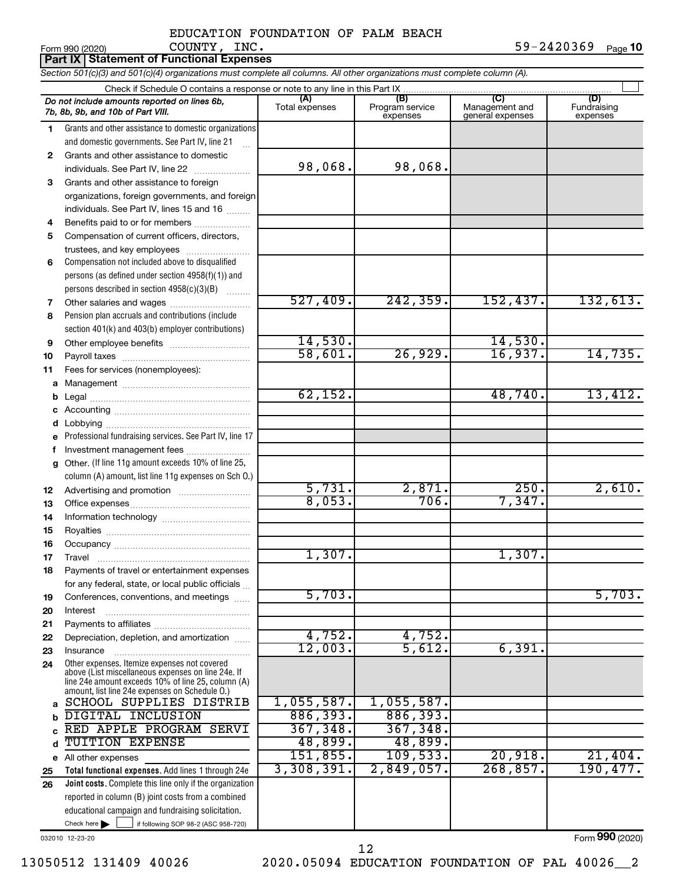|    |             | ADOCAIILON IOONDAIILON OI IAD |  |
|----|-------------|-------------------------------|--|
| n١ | COUNTY TNC. |                               |  |

|          | COUNTY, INC.<br>Form 990 (2020)<br><b>Part IX Statement of Functional Expenses</b>                                                                                                                         |                |                             |                                    | 59-2420369 Page 10      |
|----------|------------------------------------------------------------------------------------------------------------------------------------------------------------------------------------------------------------|----------------|-----------------------------|------------------------------------|-------------------------|
|          |                                                                                                                                                                                                            |                |                             |                                    |                         |
|          | Section 501(c)(3) and 501(c)(4) organizations must complete all columns. All other organizations must complete column (A).                                                                                 |                |                             |                                    |                         |
|          | Check if Schedule O contains a response or note to any line in this Part IX                                                                                                                                | (A)            | (B)                         | (C)                                | (D)                     |
|          | Do not include amounts reported on lines 6b,<br>7b, 8b, 9b, and 10b of Part VIII.                                                                                                                          | Total expenses | Program service<br>expenses | Management and<br>general expenses | Fundraising<br>expenses |
| 1.       | Grants and other assistance to domestic organizations                                                                                                                                                      |                |                             |                                    |                         |
|          | and domestic governments. See Part IV, line 21                                                                                                                                                             |                |                             |                                    |                         |
| 2        | Grants and other assistance to domestic                                                                                                                                                                    |                |                             |                                    |                         |
|          | individuals. See Part IV, line 22                                                                                                                                                                          | 98,068.        | 98,068.                     |                                    |                         |
| 3        | Grants and other assistance to foreign                                                                                                                                                                     |                |                             |                                    |                         |
|          | organizations, foreign governments, and foreign                                                                                                                                                            |                |                             |                                    |                         |
|          | individuals. See Part IV, lines 15 and 16                                                                                                                                                                  |                |                             |                                    |                         |
| 4        | Benefits paid to or for members                                                                                                                                                                            |                |                             |                                    |                         |
| 5        | Compensation of current officers, directors,<br>trustees, and key employees                                                                                                                                |                |                             |                                    |                         |
| 6        | Compensation not included above to disqualified                                                                                                                                                            |                |                             |                                    |                         |
|          | persons (as defined under section 4958(f)(1)) and                                                                                                                                                          |                |                             |                                    |                         |
|          | persons described in section 4958(c)(3)(B)                                                                                                                                                                 |                |                             |                                    |                         |
| 7        | Other salaries and wages                                                                                                                                                                                   | 527,409.       | 242, 359.                   | 152,437.                           | 132,613.                |
| 8        | Pension plan accruals and contributions (include                                                                                                                                                           |                |                             |                                    |                         |
|          | section 401(k) and 403(b) employer contributions)                                                                                                                                                          |                |                             |                                    |                         |
| 9        |                                                                                                                                                                                                            | 14,530.        |                             | 14,530.                            |                         |
| 10       |                                                                                                                                                                                                            | 58,601.        | 26,929.                     | 16,937.                            | 14,735.                 |
| 11       | Fees for services (nonemployees):                                                                                                                                                                          |                |                             |                                    |                         |
|          |                                                                                                                                                                                                            |                |                             |                                    |                         |
| b        |                                                                                                                                                                                                            | 62, 152.       |                             | 48,740.                            | 13,412.                 |
| c        |                                                                                                                                                                                                            |                |                             |                                    |                         |
| d        |                                                                                                                                                                                                            |                |                             |                                    |                         |
|          | e Professional fundraising services. See Part IV, line 17                                                                                                                                                  |                |                             |                                    |                         |
| f        | Investment management fees                                                                                                                                                                                 |                |                             |                                    |                         |
| g        | Other. (If line 11g amount exceeds 10% of line 25,                                                                                                                                                         |                |                             |                                    |                         |
|          | column (A) amount, list line 11g expenses on Sch O.)                                                                                                                                                       | 5,731.         | 2,871.                      | 250.                               | 2,610.                  |
| 12       | Advertising and promotion <i>manually contained</i>                                                                                                                                                        | 8,053.         | 706.                        | 7,347.                             |                         |
| 13<br>14 |                                                                                                                                                                                                            |                |                             |                                    |                         |
| 15       |                                                                                                                                                                                                            |                |                             |                                    |                         |
| 16       |                                                                                                                                                                                                            |                |                             |                                    |                         |
| 17       | Travel                                                                                                                                                                                                     | 1,307.         |                             | 1,307.                             |                         |
| 18       | Payments of travel or entertainment expenses                                                                                                                                                               |                |                             |                                    |                         |
|          | for any federal, state, or local public officials                                                                                                                                                          |                |                             |                                    |                         |
| 19       | Conferences, conventions, and meetings                                                                                                                                                                     | 5,703.         |                             |                                    | 5,703.                  |
| 20       | Interest                                                                                                                                                                                                   |                |                             |                                    |                         |
| 21       |                                                                                                                                                                                                            |                |                             |                                    |                         |
| 22       | Depreciation, depletion, and amortization                                                                                                                                                                  | 4,752.         | 4,752.                      |                                    |                         |
| 23       | Insurance                                                                                                                                                                                                  | 12,003.        | 5,612.                      | 6,391.                             |                         |
| 24       | Other expenses. Itemize expenses not covered<br>above (List miscellaneous expenses on line 24e. If<br>line 24e amount exceeds 10% of line 25, column (A)<br>amount, list line 24e expenses on Schedule O.) |                |                             |                                    |                         |
|          | SCHOOL SUPPLIES DISTRIB                                                                                                                                                                                    | 1,055,587.     | 1,055,587.                  |                                    |                         |
|          | DIGITAL INCLUSION                                                                                                                                                                                          | 886, 393.      | 886, 393.                   |                                    |                         |
|          | RED APPLE PROGRAM SERVI                                                                                                                                                                                    | 367, 348.      | 367, 348.                   |                                    |                         |
| d        | TUITION EXPENSE                                                                                                                                                                                            | 48,899.        | 48,899.                     |                                    |                         |
|          | e All other expenses                                                                                                                                                                                       | 151,855.       | 109,533.                    | 20,918.                            | 21,404.                 |
| 25       | Total functional expenses. Add lines 1 through 24e                                                                                                                                                         | 3,308,391.     | 2,849,057.                  | 268, 857.                          | 190,477.                |
| 26       | Joint costs. Complete this line only if the organization                                                                                                                                                   |                |                             |                                    |                         |
|          | reported in column (B) joint costs from a combined                                                                                                                                                         |                |                             |                                    |                         |

032010 12-23-20

Form (2020) **990**

Check here if following SOP 98-2 (ASC 958-720)

educational campaign and fundraising solicitation.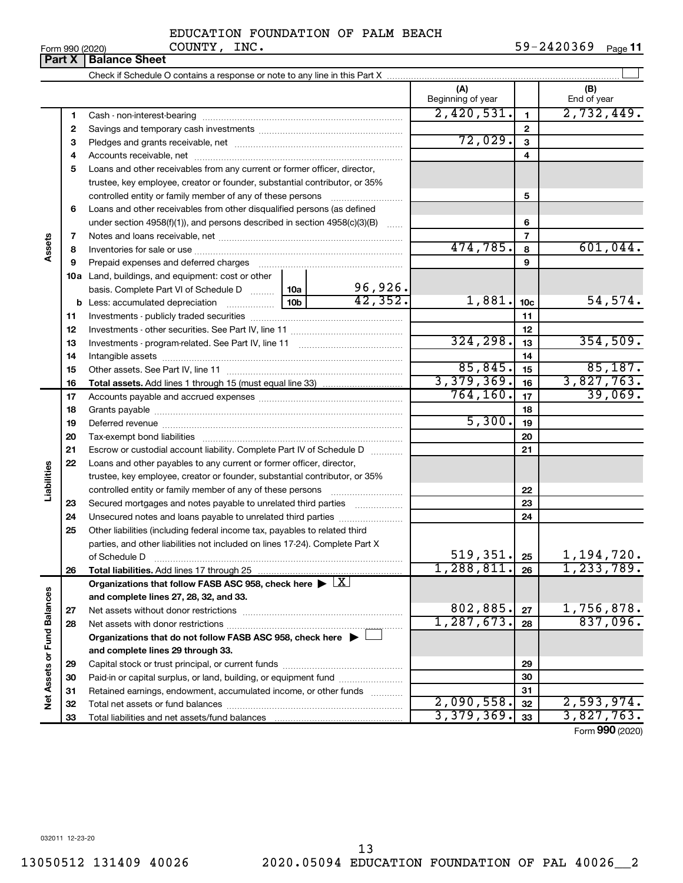#### EDUCATION FOUNDATION OF PALM BEACH COUNTY, INC.

 $\frac{1}{2}$ Form 990 (2020) COUNTY, INC. 59-2420369 Page 11

| (A)<br>(B)<br>Beginning of year<br>End of year<br>2,732,449.<br>2,420,531.<br>$\mathbf{1}$<br>1<br>$\mathbf{2}$<br>2<br>72,029.<br>3<br>З<br>4<br>4<br>Loans and other receivables from any current or former officer, director,<br>5<br>trustee, key employee, creator or founder, substantial contributor, or 35%<br>5<br>controlled entity or family member of any of these persons<br>Loans and other receivables from other disqualified persons (as defined<br>6<br>under section $4958(f)(1)$ , and persons described in section $4958(c)(3)(B)$<br>6<br>$\ldots$<br>7<br>Assets<br>7<br>474,785.<br>601,044.<br>8<br>8<br>9<br>9<br>Prepaid expenses and deferred charges<br><b>10a</b> Land, buildings, and equipment: cost or other<br>96,926.<br>basis. Complete Part VI of Schedule D<br>10a l<br>42,352.<br>1,881.<br>54,574.<br>10 <sub>c</sub><br>10 <sub>b</sub><br><b>b</b> Less: accumulated depreciation<br>11<br>11<br>12<br>12<br>324, 298.<br>354,509.<br>13<br>13<br>14<br>14<br>85, 845.<br>85,187.<br>15<br>15<br>3,379,369.<br>3,827,763.<br>16<br>16<br>764, 160.<br>39,069.<br>17<br>17<br>18<br>18<br>5,300.<br>19<br>19<br>20<br>20<br>21<br>Escrow or custodial account liability. Complete Part IV of Schedule D<br>21<br>22<br>Loans and other payables to any current or former officer, director,<br>Liabilities<br>trustee, key employee, creator or founder, substantial contributor, or 35%<br>22<br>Secured mortgages and notes payable to unrelated third parties<br>23<br>23<br>Unsecured notes and loans payable to unrelated third parties<br>24<br>24<br>25<br>Other liabilities (including federal income tax, payables to related third<br>parties, and other liabilities not included on lines 17-24). Complete Part X<br>519, 351.<br>1,194,720.<br>25<br>of Schedule D<br>1,288,811.<br>Total liabilities. Add lines 17 through 25<br>26<br>26<br>Organizations that follow FASB ASC 958, check here $\blacktriangleright \lfloor \underline{X} \rfloor$<br>Net Assets or Fund Balances<br>and complete lines 27, 28, 32, and 33.<br>802,885.<br>$\frac{1,756,878.}{837,096.}$<br>27<br>Net assets without donor restrictions<br>27<br>1, 287, 673.<br>28<br>28<br>Organizations that do not follow FASB ASC 958, check here $\blacktriangleright$<br>and complete lines 29 through 33.<br>29<br>29<br>Paid-in or capital surplus, or land, building, or equipment fund<br>30<br>30<br>Retained earnings, endowment, accumulated income, or other funds<br>31<br>31<br>.<br>2,090,558.<br>2,593,974.<br>32<br>32<br>3,379,369.<br>3,827,763.<br>33<br>33<br>$000$ (2222) |  | <b>Part X   Balance Sheet</b> |  |  |  |              |
|---------------------------------------------------------------------------------------------------------------------------------------------------------------------------------------------------------------------------------------------------------------------------------------------------------------------------------------------------------------------------------------------------------------------------------------------------------------------------------------------------------------------------------------------------------------------------------------------------------------------------------------------------------------------------------------------------------------------------------------------------------------------------------------------------------------------------------------------------------------------------------------------------------------------------------------------------------------------------------------------------------------------------------------------------------------------------------------------------------------------------------------------------------------------------------------------------------------------------------------------------------------------------------------------------------------------------------------------------------------------------------------------------------------------------------------------------------------------------------------------------------------------------------------------------------------------------------------------------------------------------------------------------------------------------------------------------------------------------------------------------------------------------------------------------------------------------------------------------------------------------------------------------------------------------------------------------------------------------------------------------------------------------------------------------------------------------------------------------------------------------------------------------------------------------------------------------------------------------------------------------------------------------------------------------------------------------------------------------------------------------------------------------------------------------------------------------------------------------------------------------------------------------------------------------------------------------------------------------------------------------|--|-------------------------------|--|--|--|--------------|
|                                                                                                                                                                                                                                                                                                                                                                                                                                                                                                                                                                                                                                                                                                                                                                                                                                                                                                                                                                                                                                                                                                                                                                                                                                                                                                                                                                                                                                                                                                                                                                                                                                                                                                                                                                                                                                                                                                                                                                                                                                                                                                                                                                                                                                                                                                                                                                                                                                                                                                                                                                                                                           |  |                               |  |  |  |              |
|                                                                                                                                                                                                                                                                                                                                                                                                                                                                                                                                                                                                                                                                                                                                                                                                                                                                                                                                                                                                                                                                                                                                                                                                                                                                                                                                                                                                                                                                                                                                                                                                                                                                                                                                                                                                                                                                                                                                                                                                                                                                                                                                                                                                                                                                                                                                                                                                                                                                                                                                                                                                                           |  |                               |  |  |  |              |
|                                                                                                                                                                                                                                                                                                                                                                                                                                                                                                                                                                                                                                                                                                                                                                                                                                                                                                                                                                                                                                                                                                                                                                                                                                                                                                                                                                                                                                                                                                                                                                                                                                                                                                                                                                                                                                                                                                                                                                                                                                                                                                                                                                                                                                                                                                                                                                                                                                                                                                                                                                                                                           |  |                               |  |  |  |              |
|                                                                                                                                                                                                                                                                                                                                                                                                                                                                                                                                                                                                                                                                                                                                                                                                                                                                                                                                                                                                                                                                                                                                                                                                                                                                                                                                                                                                                                                                                                                                                                                                                                                                                                                                                                                                                                                                                                                                                                                                                                                                                                                                                                                                                                                                                                                                                                                                                                                                                                                                                                                                                           |  |                               |  |  |  |              |
|                                                                                                                                                                                                                                                                                                                                                                                                                                                                                                                                                                                                                                                                                                                                                                                                                                                                                                                                                                                                                                                                                                                                                                                                                                                                                                                                                                                                                                                                                                                                                                                                                                                                                                                                                                                                                                                                                                                                                                                                                                                                                                                                                                                                                                                                                                                                                                                                                                                                                                                                                                                                                           |  |                               |  |  |  |              |
|                                                                                                                                                                                                                                                                                                                                                                                                                                                                                                                                                                                                                                                                                                                                                                                                                                                                                                                                                                                                                                                                                                                                                                                                                                                                                                                                                                                                                                                                                                                                                                                                                                                                                                                                                                                                                                                                                                                                                                                                                                                                                                                                                                                                                                                                                                                                                                                                                                                                                                                                                                                                                           |  |                               |  |  |  |              |
|                                                                                                                                                                                                                                                                                                                                                                                                                                                                                                                                                                                                                                                                                                                                                                                                                                                                                                                                                                                                                                                                                                                                                                                                                                                                                                                                                                                                                                                                                                                                                                                                                                                                                                                                                                                                                                                                                                                                                                                                                                                                                                                                                                                                                                                                                                                                                                                                                                                                                                                                                                                                                           |  |                               |  |  |  |              |
|                                                                                                                                                                                                                                                                                                                                                                                                                                                                                                                                                                                                                                                                                                                                                                                                                                                                                                                                                                                                                                                                                                                                                                                                                                                                                                                                                                                                                                                                                                                                                                                                                                                                                                                                                                                                                                                                                                                                                                                                                                                                                                                                                                                                                                                                                                                                                                                                                                                                                                                                                                                                                           |  |                               |  |  |  |              |
|                                                                                                                                                                                                                                                                                                                                                                                                                                                                                                                                                                                                                                                                                                                                                                                                                                                                                                                                                                                                                                                                                                                                                                                                                                                                                                                                                                                                                                                                                                                                                                                                                                                                                                                                                                                                                                                                                                                                                                                                                                                                                                                                                                                                                                                                                                                                                                                                                                                                                                                                                                                                                           |  |                               |  |  |  |              |
|                                                                                                                                                                                                                                                                                                                                                                                                                                                                                                                                                                                                                                                                                                                                                                                                                                                                                                                                                                                                                                                                                                                                                                                                                                                                                                                                                                                                                                                                                                                                                                                                                                                                                                                                                                                                                                                                                                                                                                                                                                                                                                                                                                                                                                                                                                                                                                                                                                                                                                                                                                                                                           |  |                               |  |  |  |              |
|                                                                                                                                                                                                                                                                                                                                                                                                                                                                                                                                                                                                                                                                                                                                                                                                                                                                                                                                                                                                                                                                                                                                                                                                                                                                                                                                                                                                                                                                                                                                                                                                                                                                                                                                                                                                                                                                                                                                                                                                                                                                                                                                                                                                                                                                                                                                                                                                                                                                                                                                                                                                                           |  |                               |  |  |  |              |
|                                                                                                                                                                                                                                                                                                                                                                                                                                                                                                                                                                                                                                                                                                                                                                                                                                                                                                                                                                                                                                                                                                                                                                                                                                                                                                                                                                                                                                                                                                                                                                                                                                                                                                                                                                                                                                                                                                                                                                                                                                                                                                                                                                                                                                                                                                                                                                                                                                                                                                                                                                                                                           |  |                               |  |  |  |              |
|                                                                                                                                                                                                                                                                                                                                                                                                                                                                                                                                                                                                                                                                                                                                                                                                                                                                                                                                                                                                                                                                                                                                                                                                                                                                                                                                                                                                                                                                                                                                                                                                                                                                                                                                                                                                                                                                                                                                                                                                                                                                                                                                                                                                                                                                                                                                                                                                                                                                                                                                                                                                                           |  |                               |  |  |  |              |
|                                                                                                                                                                                                                                                                                                                                                                                                                                                                                                                                                                                                                                                                                                                                                                                                                                                                                                                                                                                                                                                                                                                                                                                                                                                                                                                                                                                                                                                                                                                                                                                                                                                                                                                                                                                                                                                                                                                                                                                                                                                                                                                                                                                                                                                                                                                                                                                                                                                                                                                                                                                                                           |  |                               |  |  |  |              |
|                                                                                                                                                                                                                                                                                                                                                                                                                                                                                                                                                                                                                                                                                                                                                                                                                                                                                                                                                                                                                                                                                                                                                                                                                                                                                                                                                                                                                                                                                                                                                                                                                                                                                                                                                                                                                                                                                                                                                                                                                                                                                                                                                                                                                                                                                                                                                                                                                                                                                                                                                                                                                           |  |                               |  |  |  |              |
|                                                                                                                                                                                                                                                                                                                                                                                                                                                                                                                                                                                                                                                                                                                                                                                                                                                                                                                                                                                                                                                                                                                                                                                                                                                                                                                                                                                                                                                                                                                                                                                                                                                                                                                                                                                                                                                                                                                                                                                                                                                                                                                                                                                                                                                                                                                                                                                                                                                                                                                                                                                                                           |  |                               |  |  |  |              |
|                                                                                                                                                                                                                                                                                                                                                                                                                                                                                                                                                                                                                                                                                                                                                                                                                                                                                                                                                                                                                                                                                                                                                                                                                                                                                                                                                                                                                                                                                                                                                                                                                                                                                                                                                                                                                                                                                                                                                                                                                                                                                                                                                                                                                                                                                                                                                                                                                                                                                                                                                                                                                           |  |                               |  |  |  |              |
|                                                                                                                                                                                                                                                                                                                                                                                                                                                                                                                                                                                                                                                                                                                                                                                                                                                                                                                                                                                                                                                                                                                                                                                                                                                                                                                                                                                                                                                                                                                                                                                                                                                                                                                                                                                                                                                                                                                                                                                                                                                                                                                                                                                                                                                                                                                                                                                                                                                                                                                                                                                                                           |  |                               |  |  |  |              |
|                                                                                                                                                                                                                                                                                                                                                                                                                                                                                                                                                                                                                                                                                                                                                                                                                                                                                                                                                                                                                                                                                                                                                                                                                                                                                                                                                                                                                                                                                                                                                                                                                                                                                                                                                                                                                                                                                                                                                                                                                                                                                                                                                                                                                                                                                                                                                                                                                                                                                                                                                                                                                           |  |                               |  |  |  |              |
|                                                                                                                                                                                                                                                                                                                                                                                                                                                                                                                                                                                                                                                                                                                                                                                                                                                                                                                                                                                                                                                                                                                                                                                                                                                                                                                                                                                                                                                                                                                                                                                                                                                                                                                                                                                                                                                                                                                                                                                                                                                                                                                                                                                                                                                                                                                                                                                                                                                                                                                                                                                                                           |  |                               |  |  |  |              |
|                                                                                                                                                                                                                                                                                                                                                                                                                                                                                                                                                                                                                                                                                                                                                                                                                                                                                                                                                                                                                                                                                                                                                                                                                                                                                                                                                                                                                                                                                                                                                                                                                                                                                                                                                                                                                                                                                                                                                                                                                                                                                                                                                                                                                                                                                                                                                                                                                                                                                                                                                                                                                           |  |                               |  |  |  |              |
|                                                                                                                                                                                                                                                                                                                                                                                                                                                                                                                                                                                                                                                                                                                                                                                                                                                                                                                                                                                                                                                                                                                                                                                                                                                                                                                                                                                                                                                                                                                                                                                                                                                                                                                                                                                                                                                                                                                                                                                                                                                                                                                                                                                                                                                                                                                                                                                                                                                                                                                                                                                                                           |  |                               |  |  |  |              |
|                                                                                                                                                                                                                                                                                                                                                                                                                                                                                                                                                                                                                                                                                                                                                                                                                                                                                                                                                                                                                                                                                                                                                                                                                                                                                                                                                                                                                                                                                                                                                                                                                                                                                                                                                                                                                                                                                                                                                                                                                                                                                                                                                                                                                                                                                                                                                                                                                                                                                                                                                                                                                           |  |                               |  |  |  |              |
|                                                                                                                                                                                                                                                                                                                                                                                                                                                                                                                                                                                                                                                                                                                                                                                                                                                                                                                                                                                                                                                                                                                                                                                                                                                                                                                                                                                                                                                                                                                                                                                                                                                                                                                                                                                                                                                                                                                                                                                                                                                                                                                                                                                                                                                                                                                                                                                                                                                                                                                                                                                                                           |  |                               |  |  |  |              |
|                                                                                                                                                                                                                                                                                                                                                                                                                                                                                                                                                                                                                                                                                                                                                                                                                                                                                                                                                                                                                                                                                                                                                                                                                                                                                                                                                                                                                                                                                                                                                                                                                                                                                                                                                                                                                                                                                                                                                                                                                                                                                                                                                                                                                                                                                                                                                                                                                                                                                                                                                                                                                           |  |                               |  |  |  |              |
|                                                                                                                                                                                                                                                                                                                                                                                                                                                                                                                                                                                                                                                                                                                                                                                                                                                                                                                                                                                                                                                                                                                                                                                                                                                                                                                                                                                                                                                                                                                                                                                                                                                                                                                                                                                                                                                                                                                                                                                                                                                                                                                                                                                                                                                                                                                                                                                                                                                                                                                                                                                                                           |  |                               |  |  |  |              |
|                                                                                                                                                                                                                                                                                                                                                                                                                                                                                                                                                                                                                                                                                                                                                                                                                                                                                                                                                                                                                                                                                                                                                                                                                                                                                                                                                                                                                                                                                                                                                                                                                                                                                                                                                                                                                                                                                                                                                                                                                                                                                                                                                                                                                                                                                                                                                                                                                                                                                                                                                                                                                           |  |                               |  |  |  |              |
|                                                                                                                                                                                                                                                                                                                                                                                                                                                                                                                                                                                                                                                                                                                                                                                                                                                                                                                                                                                                                                                                                                                                                                                                                                                                                                                                                                                                                                                                                                                                                                                                                                                                                                                                                                                                                                                                                                                                                                                                                                                                                                                                                                                                                                                                                                                                                                                                                                                                                                                                                                                                                           |  |                               |  |  |  |              |
|                                                                                                                                                                                                                                                                                                                                                                                                                                                                                                                                                                                                                                                                                                                                                                                                                                                                                                                                                                                                                                                                                                                                                                                                                                                                                                                                                                                                                                                                                                                                                                                                                                                                                                                                                                                                                                                                                                                                                                                                                                                                                                                                                                                                                                                                                                                                                                                                                                                                                                                                                                                                                           |  |                               |  |  |  |              |
|                                                                                                                                                                                                                                                                                                                                                                                                                                                                                                                                                                                                                                                                                                                                                                                                                                                                                                                                                                                                                                                                                                                                                                                                                                                                                                                                                                                                                                                                                                                                                                                                                                                                                                                                                                                                                                                                                                                                                                                                                                                                                                                                                                                                                                                                                                                                                                                                                                                                                                                                                                                                                           |  |                               |  |  |  |              |
|                                                                                                                                                                                                                                                                                                                                                                                                                                                                                                                                                                                                                                                                                                                                                                                                                                                                                                                                                                                                                                                                                                                                                                                                                                                                                                                                                                                                                                                                                                                                                                                                                                                                                                                                                                                                                                                                                                                                                                                                                                                                                                                                                                                                                                                                                                                                                                                                                                                                                                                                                                                                                           |  |                               |  |  |  |              |
|                                                                                                                                                                                                                                                                                                                                                                                                                                                                                                                                                                                                                                                                                                                                                                                                                                                                                                                                                                                                                                                                                                                                                                                                                                                                                                                                                                                                                                                                                                                                                                                                                                                                                                                                                                                                                                                                                                                                                                                                                                                                                                                                                                                                                                                                                                                                                                                                                                                                                                                                                                                                                           |  |                               |  |  |  |              |
|                                                                                                                                                                                                                                                                                                                                                                                                                                                                                                                                                                                                                                                                                                                                                                                                                                                                                                                                                                                                                                                                                                                                                                                                                                                                                                                                                                                                                                                                                                                                                                                                                                                                                                                                                                                                                                                                                                                                                                                                                                                                                                                                                                                                                                                                                                                                                                                                                                                                                                                                                                                                                           |  |                               |  |  |  |              |
|                                                                                                                                                                                                                                                                                                                                                                                                                                                                                                                                                                                                                                                                                                                                                                                                                                                                                                                                                                                                                                                                                                                                                                                                                                                                                                                                                                                                                                                                                                                                                                                                                                                                                                                                                                                                                                                                                                                                                                                                                                                                                                                                                                                                                                                                                                                                                                                                                                                                                                                                                                                                                           |  |                               |  |  |  |              |
|                                                                                                                                                                                                                                                                                                                                                                                                                                                                                                                                                                                                                                                                                                                                                                                                                                                                                                                                                                                                                                                                                                                                                                                                                                                                                                                                                                                                                                                                                                                                                                                                                                                                                                                                                                                                                                                                                                                                                                                                                                                                                                                                                                                                                                                                                                                                                                                                                                                                                                                                                                                                                           |  |                               |  |  |  |              |
|                                                                                                                                                                                                                                                                                                                                                                                                                                                                                                                                                                                                                                                                                                                                                                                                                                                                                                                                                                                                                                                                                                                                                                                                                                                                                                                                                                                                                                                                                                                                                                                                                                                                                                                                                                                                                                                                                                                                                                                                                                                                                                                                                                                                                                                                                                                                                                                                                                                                                                                                                                                                                           |  |                               |  |  |  | 1, 233, 789. |
|                                                                                                                                                                                                                                                                                                                                                                                                                                                                                                                                                                                                                                                                                                                                                                                                                                                                                                                                                                                                                                                                                                                                                                                                                                                                                                                                                                                                                                                                                                                                                                                                                                                                                                                                                                                                                                                                                                                                                                                                                                                                                                                                                                                                                                                                                                                                                                                                                                                                                                                                                                                                                           |  |                               |  |  |  |              |
|                                                                                                                                                                                                                                                                                                                                                                                                                                                                                                                                                                                                                                                                                                                                                                                                                                                                                                                                                                                                                                                                                                                                                                                                                                                                                                                                                                                                                                                                                                                                                                                                                                                                                                                                                                                                                                                                                                                                                                                                                                                                                                                                                                                                                                                                                                                                                                                                                                                                                                                                                                                                                           |  |                               |  |  |  |              |
|                                                                                                                                                                                                                                                                                                                                                                                                                                                                                                                                                                                                                                                                                                                                                                                                                                                                                                                                                                                                                                                                                                                                                                                                                                                                                                                                                                                                                                                                                                                                                                                                                                                                                                                                                                                                                                                                                                                                                                                                                                                                                                                                                                                                                                                                                                                                                                                                                                                                                                                                                                                                                           |  |                               |  |  |  |              |
|                                                                                                                                                                                                                                                                                                                                                                                                                                                                                                                                                                                                                                                                                                                                                                                                                                                                                                                                                                                                                                                                                                                                                                                                                                                                                                                                                                                                                                                                                                                                                                                                                                                                                                                                                                                                                                                                                                                                                                                                                                                                                                                                                                                                                                                                                                                                                                                                                                                                                                                                                                                                                           |  |                               |  |  |  |              |
|                                                                                                                                                                                                                                                                                                                                                                                                                                                                                                                                                                                                                                                                                                                                                                                                                                                                                                                                                                                                                                                                                                                                                                                                                                                                                                                                                                                                                                                                                                                                                                                                                                                                                                                                                                                                                                                                                                                                                                                                                                                                                                                                                                                                                                                                                                                                                                                                                                                                                                                                                                                                                           |  |                               |  |  |  |              |
|                                                                                                                                                                                                                                                                                                                                                                                                                                                                                                                                                                                                                                                                                                                                                                                                                                                                                                                                                                                                                                                                                                                                                                                                                                                                                                                                                                                                                                                                                                                                                                                                                                                                                                                                                                                                                                                                                                                                                                                                                                                                                                                                                                                                                                                                                                                                                                                                                                                                                                                                                                                                                           |  |                               |  |  |  |              |
|                                                                                                                                                                                                                                                                                                                                                                                                                                                                                                                                                                                                                                                                                                                                                                                                                                                                                                                                                                                                                                                                                                                                                                                                                                                                                                                                                                                                                                                                                                                                                                                                                                                                                                                                                                                                                                                                                                                                                                                                                                                                                                                                                                                                                                                                                                                                                                                                                                                                                                                                                                                                                           |  |                               |  |  |  |              |
|                                                                                                                                                                                                                                                                                                                                                                                                                                                                                                                                                                                                                                                                                                                                                                                                                                                                                                                                                                                                                                                                                                                                                                                                                                                                                                                                                                                                                                                                                                                                                                                                                                                                                                                                                                                                                                                                                                                                                                                                                                                                                                                                                                                                                                                                                                                                                                                                                                                                                                                                                                                                                           |  |                               |  |  |  |              |
|                                                                                                                                                                                                                                                                                                                                                                                                                                                                                                                                                                                                                                                                                                                                                                                                                                                                                                                                                                                                                                                                                                                                                                                                                                                                                                                                                                                                                                                                                                                                                                                                                                                                                                                                                                                                                                                                                                                                                                                                                                                                                                                                                                                                                                                                                                                                                                                                                                                                                                                                                                                                                           |  |                               |  |  |  |              |
|                                                                                                                                                                                                                                                                                                                                                                                                                                                                                                                                                                                                                                                                                                                                                                                                                                                                                                                                                                                                                                                                                                                                                                                                                                                                                                                                                                                                                                                                                                                                                                                                                                                                                                                                                                                                                                                                                                                                                                                                                                                                                                                                                                                                                                                                                                                                                                                                                                                                                                                                                                                                                           |  |                               |  |  |  |              |
|                                                                                                                                                                                                                                                                                                                                                                                                                                                                                                                                                                                                                                                                                                                                                                                                                                                                                                                                                                                                                                                                                                                                                                                                                                                                                                                                                                                                                                                                                                                                                                                                                                                                                                                                                                                                                                                                                                                                                                                                                                                                                                                                                                                                                                                                                                                                                                                                                                                                                                                                                                                                                           |  |                               |  |  |  |              |

Form (2020) **990**

032011 12-23-20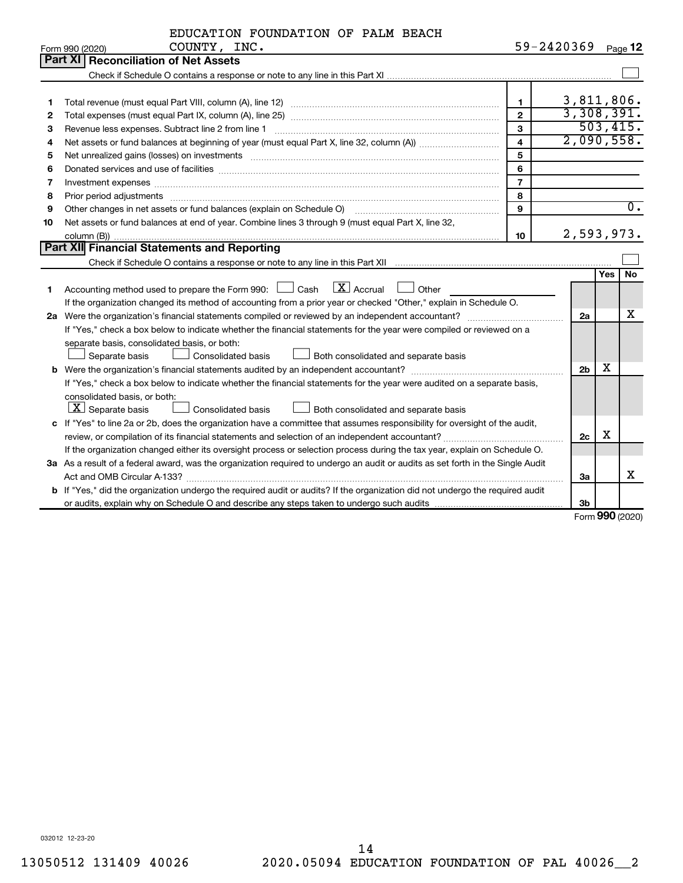| EDUCATION FOUNDATION OF PALM BEACH |  |  |  |
|------------------------------------|--|--|--|
|------------------------------------|--|--|--|

|    | Form 990 (2020)<br>COUNTY, INC.                                                                                                 | 59-4420369              |                |            | Page 12          |
|----|---------------------------------------------------------------------------------------------------------------------------------|-------------------------|----------------|------------|------------------|
|    | <b>Part XI Reconciliation of Net Assets</b>                                                                                     |                         |                |            |                  |
|    |                                                                                                                                 |                         |                |            |                  |
|    |                                                                                                                                 |                         |                |            |                  |
| 1  |                                                                                                                                 | $\mathbf{1}$            | 3,811,806.     |            |                  |
| 2  |                                                                                                                                 | $\overline{2}$          | 3,308,391.     |            |                  |
| З  | Revenue less expenses. Subtract line 2 from line 1                                                                              | $\mathbf{3}$            |                |            | 503, 415.        |
| 4  |                                                                                                                                 | $\overline{\mathbf{4}}$ | 2,090,558.     |            |                  |
| 5  |                                                                                                                                 | 5                       |                |            |                  |
| 6  |                                                                                                                                 | 6                       |                |            |                  |
| 7  | Investment expenses www.communication.com/www.communication.com/www.communication.com/www.com                                   | $\overline{7}$          |                |            |                  |
| 8  |                                                                                                                                 | 8                       |                |            |                  |
| 9  | Other changes in net assets or fund balances (explain on Schedule O)                                                            | $\mathbf{9}$            |                |            | $\overline{0}$ . |
| 10 | Net assets or fund balances at end of year. Combine lines 3 through 9 (must equal Part X, line 32,                              |                         |                |            |                  |
|    |                                                                                                                                 | 10                      | 2,593,973.     |            |                  |
|    | Part XII Financial Statements and Reporting                                                                                     |                         |                |            |                  |
|    |                                                                                                                                 |                         |                |            |                  |
|    |                                                                                                                                 |                         |                | <b>Yes</b> | No               |
| 1  | $\boxed{\text{X}}$ Accrual<br>Accounting method used to prepare the Form 990: [130] Cash<br>$\Box$ Other                        |                         |                |            |                  |
|    | If the organization changed its method of accounting from a prior year or checked "Other," explain in Schedule O.               |                         |                |            |                  |
|    | 2a Were the organization's financial statements compiled or reviewed by an independent accountant?                              |                         | 2a             |            | х                |
|    | If "Yes," check a box below to indicate whether the financial statements for the year were compiled or reviewed on a            |                         |                |            |                  |
|    | separate basis, consolidated basis, or both:                                                                                    |                         |                |            |                  |
|    | Both consolidated and separate basis<br>Separate basis<br>Consolidated basis                                                    |                         |                |            |                  |
|    |                                                                                                                                 |                         | 2 <sub>b</sub> | х          |                  |
|    | If "Yes," check a box below to indicate whether the financial statements for the year were audited on a separate basis,         |                         |                |            |                  |
|    | consolidated basis, or both:                                                                                                    |                         |                |            |                  |
|    | $ \mathbf{X} $ Separate basis<br>Consolidated basis<br>Both consolidated and separate basis                                     |                         |                |            |                  |
|    | c If "Yes" to line 2a or 2b, does the organization have a committee that assumes responsibility for oversight of the audit,     |                         |                |            |                  |
|    |                                                                                                                                 |                         | 2c             | х          |                  |
|    | If the organization changed either its oversight process or selection process during the tax year, explain on Schedule O.       |                         |                |            |                  |
|    | 3a As a result of a federal award, was the organization required to undergo an audit or audits as set forth in the Single Audit |                         |                |            |                  |
|    |                                                                                                                                 |                         | За             |            | x                |
|    | b If "Yes," did the organization undergo the required audit or audits? If the organization did not undergo the required audit   |                         |                |            |                  |
|    |                                                                                                                                 |                         | 3 <sub>b</sub> |            |                  |

Form (2020) **990**

032012 12-23-20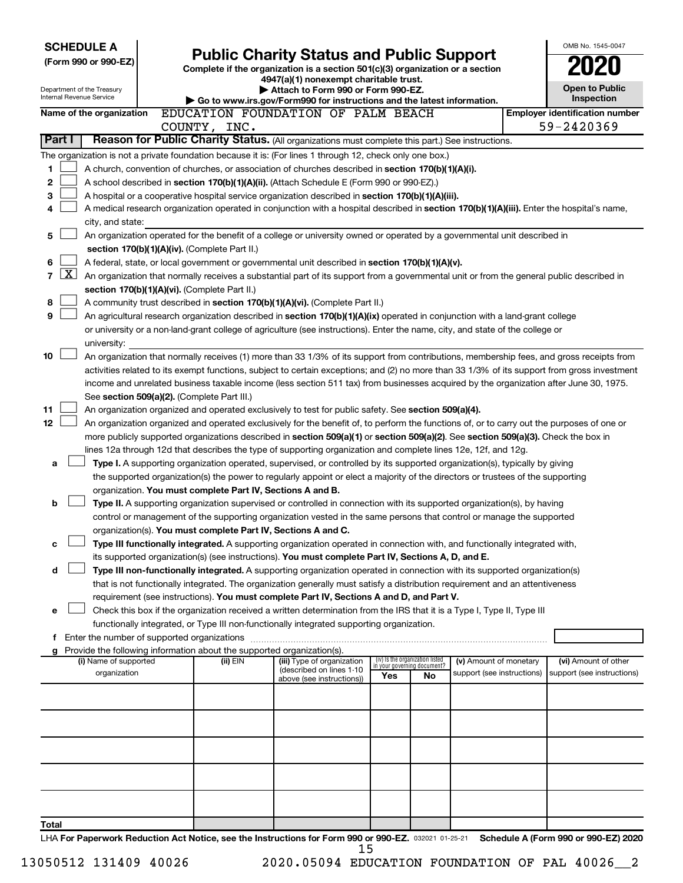|             | <b>SCHEDULE A</b>                                      |                                                                                                                                  |                                                                                                                                                                                                                                                      |     |                                                                |                            |  | OMB No. 1545-0047                                   |
|-------------|--------------------------------------------------------|----------------------------------------------------------------------------------------------------------------------------------|------------------------------------------------------------------------------------------------------------------------------------------------------------------------------------------------------------------------------------------------------|-----|----------------------------------------------------------------|----------------------------|--|-----------------------------------------------------|
|             | (Form 990 or 990-EZ)                                   | <b>Public Charity Status and Public Support</b><br>Complete if the organization is a section 501(c)(3) organization or a section |                                                                                                                                                                                                                                                      |     |                                                                |                            |  |                                                     |
|             |                                                        | 4947(a)(1) nonexempt charitable trust.                                                                                           |                                                                                                                                                                                                                                                      |     |                                                                |                            |  |                                                     |
|             | Department of the Treasury<br>Internal Revenue Service |                                                                                                                                  | Attach to Form 990 or Form 990-EZ.<br>Go to www.irs.gov/Form990 for instructions and the latest information.                                                                                                                                         |     |                                                                |                            |  | <b>Open to Public</b><br><b>Inspection</b>          |
|             | Name of the organization                               | COUNTY, INC.                                                                                                                     | EDUCATION FOUNDATION OF PALM BEACH                                                                                                                                                                                                                   |     |                                                                |                            |  | <b>Employer identification number</b><br>59-2420369 |
| Part I      |                                                        |                                                                                                                                  | Reason for Public Charity Status. (All organizations must complete this part.) See instructions.                                                                                                                                                     |     |                                                                |                            |  |                                                     |
|             |                                                        |                                                                                                                                  | The organization is not a private foundation because it is: (For lines 1 through 12, check only one box.)                                                                                                                                            |     |                                                                |                            |  |                                                     |
| 1           |                                                        |                                                                                                                                  | A church, convention of churches, or association of churches described in section 170(b)(1)(A)(i).                                                                                                                                                   |     |                                                                |                            |  |                                                     |
| $\mathbf 2$ |                                                        |                                                                                                                                  | A school described in section 170(b)(1)(A)(ii). (Attach Schedule E (Form 990 or 990-EZ).)                                                                                                                                                            |     |                                                                |                            |  |                                                     |
| 3           |                                                        |                                                                                                                                  | A hospital or a cooperative hospital service organization described in section 170(b)(1)(A)(iii).                                                                                                                                                    |     |                                                                |                            |  |                                                     |
| 4           |                                                        |                                                                                                                                  | A medical research organization operated in conjunction with a hospital described in section 170(b)(1)(A)(iii). Enter the hospital's name,                                                                                                           |     |                                                                |                            |  |                                                     |
|             | city, and state:                                       |                                                                                                                                  |                                                                                                                                                                                                                                                      |     |                                                                |                            |  |                                                     |
| 5           |                                                        | section 170(b)(1)(A)(iv). (Complete Part II.)                                                                                    | An organization operated for the benefit of a college or university owned or operated by a governmental unit described in                                                                                                                            |     |                                                                |                            |  |                                                     |
| 6           |                                                        |                                                                                                                                  | A federal, state, or local government or governmental unit described in section 170(b)(1)(A)(v).                                                                                                                                                     |     |                                                                |                            |  |                                                     |
| 7           | $\mathbf{X}$                                           |                                                                                                                                  | An organization that normally receives a substantial part of its support from a governmental unit or from the general public described in                                                                                                            |     |                                                                |                            |  |                                                     |
|             |                                                        | section 170(b)(1)(A)(vi). (Complete Part II.)                                                                                    |                                                                                                                                                                                                                                                      |     |                                                                |                            |  |                                                     |
| 8           |                                                        |                                                                                                                                  | A community trust described in section 170(b)(1)(A)(vi). (Complete Part II.)                                                                                                                                                                         |     |                                                                |                            |  |                                                     |
| 9           |                                                        |                                                                                                                                  | An agricultural research organization described in section 170(b)(1)(A)(ix) operated in conjunction with a land-grant college                                                                                                                        |     |                                                                |                            |  |                                                     |
|             |                                                        |                                                                                                                                  | or university or a non-land-grant college of agriculture (see instructions). Enter the name, city, and state of the college or                                                                                                                       |     |                                                                |                            |  |                                                     |
| 10          | university:                                            |                                                                                                                                  | An organization that normally receives (1) more than 33 1/3% of its support from contributions, membership fees, and gross receipts from                                                                                                             |     |                                                                |                            |  |                                                     |
|             |                                                        |                                                                                                                                  | activities related to its exempt functions, subject to certain exceptions; and (2) no more than 33 1/3% of its support from gross investment                                                                                                         |     |                                                                |                            |  |                                                     |
|             |                                                        |                                                                                                                                  | income and unrelated business taxable income (less section 511 tax) from businesses acquired by the organization after June 30, 1975.                                                                                                                |     |                                                                |                            |  |                                                     |
|             |                                                        | See section 509(a)(2). (Complete Part III.)                                                                                      |                                                                                                                                                                                                                                                      |     |                                                                |                            |  |                                                     |
| 11          |                                                        |                                                                                                                                  | An organization organized and operated exclusively to test for public safety. See section 509(a)(4).                                                                                                                                                 |     |                                                                |                            |  |                                                     |
| 12          |                                                        |                                                                                                                                  | An organization organized and operated exclusively for the benefit of, to perform the functions of, or to carry out the purposes of one or                                                                                                           |     |                                                                |                            |  |                                                     |
|             |                                                        |                                                                                                                                  | more publicly supported organizations described in section 509(a)(1) or section 509(a)(2). See section 509(a)(3). Check the box in<br>lines 12a through 12d that describes the type of supporting organization and complete lines 12e, 12f, and 12g. |     |                                                                |                            |  |                                                     |
| a           |                                                        |                                                                                                                                  | Type I. A supporting organization operated, supervised, or controlled by its supported organization(s), typically by giving                                                                                                                          |     |                                                                |                            |  |                                                     |
|             |                                                        |                                                                                                                                  | the supported organization(s) the power to regularly appoint or elect a majority of the directors or trustees of the supporting                                                                                                                      |     |                                                                |                            |  |                                                     |
|             |                                                        | organization. You must complete Part IV, Sections A and B.                                                                       |                                                                                                                                                                                                                                                      |     |                                                                |                            |  |                                                     |
| b           |                                                        |                                                                                                                                  | Type II. A supporting organization supervised or controlled in connection with its supported organization(s), by having                                                                                                                              |     |                                                                |                            |  |                                                     |
|             |                                                        |                                                                                                                                  | control or management of the supporting organization vested in the same persons that control or manage the supported                                                                                                                                 |     |                                                                |                            |  |                                                     |
| с           |                                                        | organization(s). You must complete Part IV, Sections A and C.                                                                    | Type III functionally integrated. A supporting organization operated in connection with, and functionally integrated with,                                                                                                                           |     |                                                                |                            |  |                                                     |
|             |                                                        |                                                                                                                                  | its supported organization(s) (see instructions). You must complete Part IV, Sections A, D, and E.                                                                                                                                                   |     |                                                                |                            |  |                                                     |
| d           |                                                        |                                                                                                                                  | Type III non-functionally integrated. A supporting organization operated in connection with its supported organization(s)                                                                                                                            |     |                                                                |                            |  |                                                     |
|             |                                                        |                                                                                                                                  | that is not functionally integrated. The organization generally must satisfy a distribution requirement and an attentiveness                                                                                                                         |     |                                                                |                            |  |                                                     |
|             |                                                        |                                                                                                                                  | requirement (see instructions). You must complete Part IV, Sections A and D, and Part V.                                                                                                                                                             |     |                                                                |                            |  |                                                     |
| е           |                                                        |                                                                                                                                  | Check this box if the organization received a written determination from the IRS that it is a Type I, Type II, Type III                                                                                                                              |     |                                                                |                            |  |                                                     |
|             | f Enter the number of supported organizations          |                                                                                                                                  | functionally integrated, or Type III non-functionally integrated supporting organization.                                                                                                                                                            |     |                                                                |                            |  |                                                     |
|             |                                                        | Provide the following information about the supported organization(s).                                                           |                                                                                                                                                                                                                                                      |     |                                                                |                            |  |                                                     |
|             | (i) Name of supported                                  | (ii) EIN                                                                                                                         | (iii) Type of organization                                                                                                                                                                                                                           |     | (iv) Is the organization listed<br>in your governing document? | (v) Amount of monetary     |  | (vi) Amount of other                                |
|             | organization                                           |                                                                                                                                  | (described on lines 1-10<br>above (see instructions))                                                                                                                                                                                                | Yes | No.                                                            | support (see instructions) |  | support (see instructions)                          |
|             |                                                        |                                                                                                                                  |                                                                                                                                                                                                                                                      |     |                                                                |                            |  |                                                     |
|             |                                                        |                                                                                                                                  |                                                                                                                                                                                                                                                      |     |                                                                |                            |  |                                                     |
|             |                                                        |                                                                                                                                  |                                                                                                                                                                                                                                                      |     |                                                                |                            |  |                                                     |
|             |                                                        |                                                                                                                                  |                                                                                                                                                                                                                                                      |     |                                                                |                            |  |                                                     |
|             |                                                        |                                                                                                                                  |                                                                                                                                                                                                                                                      |     |                                                                |                            |  |                                                     |
|             |                                                        |                                                                                                                                  |                                                                                                                                                                                                                                                      |     |                                                                |                            |  |                                                     |
|             |                                                        |                                                                                                                                  |                                                                                                                                                                                                                                                      |     |                                                                |                            |  |                                                     |
|             |                                                        |                                                                                                                                  |                                                                                                                                                                                                                                                      |     |                                                                |                            |  |                                                     |
| Total       |                                                        |                                                                                                                                  |                                                                                                                                                                                                                                                      |     |                                                                |                            |  |                                                     |
|             |                                                        |                                                                                                                                  | LHA For Dangrwork Reduction Act Notice, see the Instructions for Form 990 or 990-F7, 020021,01.25,21 - Schedule A (Form 990 or 990-F7) 2020                                                                                                          |     |                                                                |                            |  |                                                     |

032021 01-25-21 **For Paperwork Reduction Act Notice, see the Instructions for Form 990 or 990-EZ. Schedule A (Form 990 or 990-EZ) 2020** LHA  $\frac{15}{15}$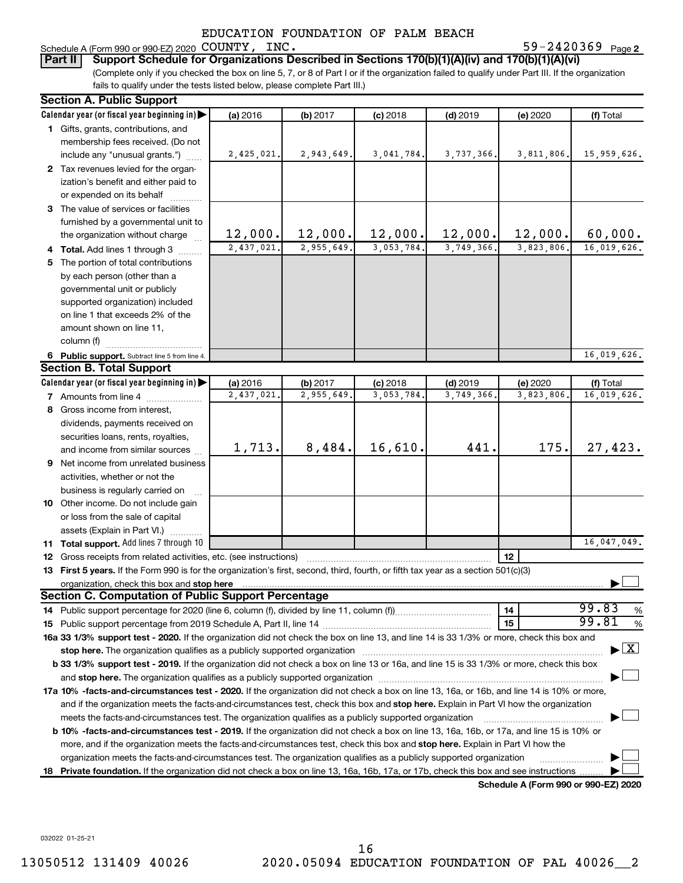Schedule A (Form 990 or 990-EZ) 2020  $\text{COUNTY}$ ,  $\text{INC.}$   $\text{S}$  and  $\text{S}9-2420369$   $\text{Page}$ 

59-2420369 Page 2

(Complete only if you checked the box on line 5, 7, or 8 of Part I or if the organization failed to qualify under Part III. If the organization fails to qualify under the tests listed below, please complete Part III.) **Part II Support Schedule for Organizations Described in Sections 170(b)(1)(A)(iv) and 170(b)(1)(A)(vi)**

|    | <b>Section A. Public Support</b>                                                                                                           |            |            |            |            |                                      |                                |
|----|--------------------------------------------------------------------------------------------------------------------------------------------|------------|------------|------------|------------|--------------------------------------|--------------------------------|
|    | Calendar year (or fiscal year beginning in)                                                                                                | (a) 2016   | (b) 2017   | $(c)$ 2018 | $(d)$ 2019 | (e) 2020                             | (f) Total                      |
|    | 1 Gifts, grants, contributions, and                                                                                                        |            |            |            |            |                                      |                                |
|    | membership fees received. (Do not                                                                                                          |            |            |            |            |                                      |                                |
|    | include any "unusual grants.")                                                                                                             | 2,425,021. | 2,943,649. | 3,041,784. | 3,737,366. | 3,811,806.                           | 15,959,626.                    |
|    | 2 Tax revenues levied for the organ-                                                                                                       |            |            |            |            |                                      |                                |
|    | ization's benefit and either paid to                                                                                                       |            |            |            |            |                                      |                                |
|    | or expended on its behalf                                                                                                                  |            |            |            |            |                                      |                                |
|    | 3 The value of services or facilities                                                                                                      |            |            |            |            |                                      |                                |
|    | furnished by a governmental unit to                                                                                                        |            |            |            |            |                                      |                                |
|    | the organization without charge                                                                                                            | 12,000.    | 12,000.    | 12,000.    | 12,000.    | 12,000.                              | 60,000.                        |
|    | 4 Total. Add lines 1 through 3                                                                                                             | 2,437,021  | 2,955,649. | 3,053,784  | 3,749,366. | 3,823,806.                           | 16,019,626.                    |
| 5  | The portion of total contributions                                                                                                         |            |            |            |            |                                      |                                |
|    | by each person (other than a                                                                                                               |            |            |            |            |                                      |                                |
|    | governmental unit or publicly                                                                                                              |            |            |            |            |                                      |                                |
|    | supported organization) included                                                                                                           |            |            |            |            |                                      |                                |
|    | on line 1 that exceeds 2% of the                                                                                                           |            |            |            |            |                                      |                                |
|    | amount shown on line 11,                                                                                                                   |            |            |            |            |                                      |                                |
|    | column (f)                                                                                                                                 |            |            |            |            |                                      |                                |
|    | 6 Public support. Subtract line 5 from line 4.                                                                                             |            |            |            |            |                                      | 16,019,626.                    |
|    | <b>Section B. Total Support</b>                                                                                                            |            |            |            |            |                                      |                                |
|    | Calendar year (or fiscal year beginning in)                                                                                                | (a) 2016   | (b) 2017   | $(c)$ 2018 | $(d)$ 2019 | (e) 2020                             | (f) Total                      |
|    | 7 Amounts from line 4                                                                                                                      | 2,437,021  | 2,955,649  | 3,053,784  | 3,749,366  | 3,823,806                            | 16,019,626.                    |
| 8  | Gross income from interest,                                                                                                                |            |            |            |            |                                      |                                |
|    | dividends, payments received on                                                                                                            |            |            |            |            |                                      |                                |
|    | securities loans, rents, royalties,                                                                                                        |            |            |            |            |                                      |                                |
|    | and income from similar sources                                                                                                            | 1,713.     | 8,484.     | 16,610.    | 441.       | 175.                                 | 27,423.                        |
| 9  | Net income from unrelated business                                                                                                         |            |            |            |            |                                      |                                |
|    | activities, whether or not the                                                                                                             |            |            |            |            |                                      |                                |
|    | business is regularly carried on                                                                                                           |            |            |            |            |                                      |                                |
|    | 10 Other income. Do not include gain                                                                                                       |            |            |            |            |                                      |                                |
|    | or loss from the sale of capital                                                                                                           |            |            |            |            |                                      |                                |
|    | assets (Explain in Part VI.)                                                                                                               |            |            |            |            |                                      |                                |
|    | 11 Total support. Add lines 7 through 10                                                                                                   |            |            |            |            |                                      | 16,047,049.                    |
|    | <b>12</b> Gross receipts from related activities, etc. (see instructions)                                                                  |            |            |            |            | 12                                   |                                |
|    | 13 First 5 years. If the Form 990 is for the organization's first, second, third, fourth, or fifth tax year as a section 501(c)(3)         |            |            |            |            |                                      |                                |
|    | organization, check this box and stop here                                                                                                 |            |            |            |            |                                      |                                |
|    | <b>Section C. Computation of Public Support Percentage</b>                                                                                 |            |            |            |            |                                      |                                |
|    | 14 Public support percentage for 2020 (line 6, column (f), divided by line 11, column (f))                                                 |            |            |            |            | 14                                   | 99.83<br>%                     |
|    |                                                                                                                                            |            |            |            |            | 15                                   | 99.81<br>$\%$                  |
|    | 16a 33 1/3% support test - 2020. If the organization did not check the box on line 13, and line 14 is 33 1/3% or more, check this box and  |            |            |            |            |                                      |                                |
|    |                                                                                                                                            |            |            |            |            |                                      | $\blacktriangleright$ $\mid$ X |
|    | b 33 1/3% support test - 2019. If the organization did not check a box on line 13 or 16a, and line 15 is 33 1/3% or more, check this box   |            |            |            |            |                                      |                                |
|    |                                                                                                                                            |            |            |            |            |                                      |                                |
|    | 17a 10% -facts-and-circumstances test - 2020. If the organization did not check a box on line 13, 16a, or 16b, and line 14 is 10% or more, |            |            |            |            |                                      |                                |
|    | and if the organization meets the facts-and-circumstances test, check this box and stop here. Explain in Part VI how the organization      |            |            |            |            |                                      |                                |
|    | meets the facts-and-circumstances test. The organization qualifies as a publicly supported organization                                    |            |            |            |            |                                      |                                |
|    | b 10% -facts-and-circumstances test - 2019. If the organization did not check a box on line 13, 16a, 16b, or 17a, and line 15 is 10% or    |            |            |            |            |                                      |                                |
|    | more, and if the organization meets the facts-and-circumstances test, check this box and stop here. Explain in Part VI how the             |            |            |            |            |                                      |                                |
|    | organization meets the facts-and-circumstances test. The organization qualifies as a publicly supported organization                       |            |            |            |            |                                      |                                |
| 18 | Private foundation. If the organization did not check a box on line 13, 16a, 16b, 17a, or 17b, check this box and see instructions         |            |            |            |            |                                      |                                |
|    |                                                                                                                                            |            |            |            |            | Schedule A (Form 990 or 990-EZ) 2020 |                                |

032022 01-25-21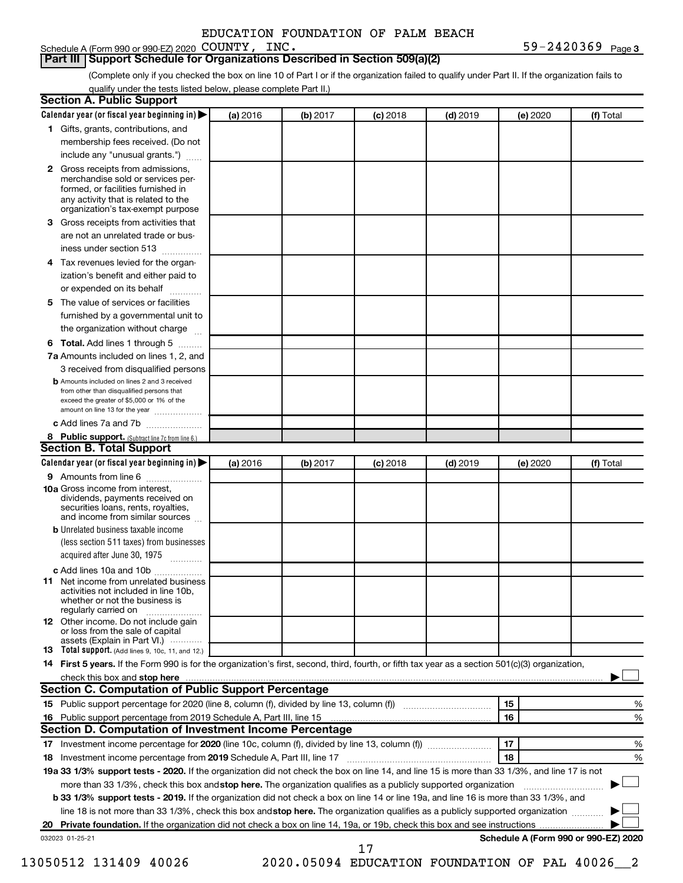#### **Part III Support Schedule for Organizations Described in Section 509(a)(2)**

(Complete only if you checked the box on line 10 of Part I or if the organization failed to qualify under Part II. If the organization fails to qualify under the tests listed below, please complete Part II.)

| <b>Section A. Public Support</b>                                                                                                                                                                |          |          |            |            |          |                                      |
|-------------------------------------------------------------------------------------------------------------------------------------------------------------------------------------------------|----------|----------|------------|------------|----------|--------------------------------------|
| Calendar year (or fiscal year beginning in)                                                                                                                                                     | (a) 2016 | (b) 2017 | $(c)$ 2018 | $(d)$ 2019 | (e) 2020 | (f) Total                            |
| 1 Gifts, grants, contributions, and                                                                                                                                                             |          |          |            |            |          |                                      |
| membership fees received. (Do not                                                                                                                                                               |          |          |            |            |          |                                      |
| include any "unusual grants.")                                                                                                                                                                  |          |          |            |            |          |                                      |
| <b>2</b> Gross receipts from admissions,<br>merchandise sold or services per-<br>formed, or facilities furnished in<br>any activity that is related to the<br>organization's tax-exempt purpose |          |          |            |            |          |                                      |
| 3 Gross receipts from activities that                                                                                                                                                           |          |          |            |            |          |                                      |
| are not an unrelated trade or bus-                                                                                                                                                              |          |          |            |            |          |                                      |
| iness under section 513                                                                                                                                                                         |          |          |            |            |          |                                      |
| 4 Tax revenues levied for the organ-                                                                                                                                                            |          |          |            |            |          |                                      |
| ization's benefit and either paid to                                                                                                                                                            |          |          |            |            |          |                                      |
| or expended on its behalf                                                                                                                                                                       |          |          |            |            |          |                                      |
| 5 The value of services or facilities                                                                                                                                                           |          |          |            |            |          |                                      |
| furnished by a governmental unit to                                                                                                                                                             |          |          |            |            |          |                                      |
| the organization without charge                                                                                                                                                                 |          |          |            |            |          |                                      |
| 6 Total. Add lines 1 through 5                                                                                                                                                                  |          |          |            |            |          |                                      |
| 7a Amounts included on lines 1, 2, and                                                                                                                                                          |          |          |            |            |          |                                      |
| 3 received from disqualified persons                                                                                                                                                            |          |          |            |            |          |                                      |
| <b>b</b> Amounts included on lines 2 and 3 received<br>from other than disqualified persons that<br>exceed the greater of \$5,000 or 1% of the<br>amount on line 13 for the year                |          |          |            |            |          |                                      |
| c Add lines 7a and 7b                                                                                                                                                                           |          |          |            |            |          |                                      |
| 8 Public support. (Subtract line 7c from line 6.)                                                                                                                                               |          |          |            |            |          |                                      |
| <b>Section B. Total Support</b>                                                                                                                                                                 |          |          |            |            |          |                                      |
| Calendar year (or fiscal year beginning in)                                                                                                                                                     | (a) 2016 | (b) 2017 | $(c)$ 2018 | $(d)$ 2019 | (e) 2020 | (f) Total                            |
| 9 Amounts from line 6                                                                                                                                                                           |          |          |            |            |          |                                      |
| <b>10a</b> Gross income from interest,<br>dividends, payments received on<br>securities loans, rents, royalties,<br>and income from similar sources                                             |          |          |            |            |          |                                      |
| <b>b</b> Unrelated business taxable income                                                                                                                                                      |          |          |            |            |          |                                      |
| (less section 511 taxes) from businesses                                                                                                                                                        |          |          |            |            |          |                                      |
| acquired after June 30, 1975                                                                                                                                                                    |          |          |            |            |          |                                      |
| c Add lines 10a and 10b                                                                                                                                                                         |          |          |            |            |          |                                      |
| <b>11</b> Net income from unrelated business<br>activities not included in line 10b.<br>whether or not the business is<br>regularly carried on                                                  |          |          |            |            |          |                                      |
| 12 Other income. Do not include gain<br>or loss from the sale of capital<br>assets (Explain in Part VI.)                                                                                        |          |          |            |            |          |                                      |
| <b>13</b> Total support. (Add lines 9, 10c, 11, and 12.)                                                                                                                                        |          |          |            |            |          |                                      |
| 14 First 5 years. If the Form 990 is for the organization's first, second, third, fourth, or fifth tax year as a section 501(c)(3) organization,                                                |          |          |            |            |          |                                      |
| check this box and stop here <b>contained and the contained and starting and stop here</b> check this box and stop here                                                                         |          |          |            |            |          |                                      |
| Section C. Computation of Public Support Percentage                                                                                                                                             |          |          |            |            |          |                                      |
| 15 Public support percentage for 2020 (line 8, column (f), divided by line 13, column (f) <i></i>                                                                                               |          |          |            |            | 15       | ℅                                    |
|                                                                                                                                                                                                 |          |          |            |            | 16       | %                                    |
| Section D. Computation of Investment Income Percentage                                                                                                                                          |          |          |            |            |          |                                      |
|                                                                                                                                                                                                 |          |          |            |            | 17       | %                                    |
| 18 Investment income percentage from 2019 Schedule A, Part III, line 17                                                                                                                         |          |          |            |            | 18       | %                                    |
| 19a 33 1/3% support tests - 2020. If the organization did not check the box on line 14, and line 15 is more than 33 1/3%, and line 17 is not                                                    |          |          |            |            |          |                                      |
| more than 33 1/3%, check this box and stop here. The organization qualifies as a publicly supported organization                                                                                |          |          |            |            |          |                                      |
| b 33 1/3% support tests - 2019. If the organization did not check a box on line 14 or line 19a, and line 16 is more than 33 1/3%, and                                                           |          |          |            |            |          |                                      |
| line 18 is not more than 33 1/3%, check this box and stop here. The organization qualifies as a publicly supported organization                                                                 |          |          |            |            |          |                                      |
|                                                                                                                                                                                                 |          |          |            |            |          |                                      |
| 032023 01-25-21                                                                                                                                                                                 |          |          |            |            |          | Schedule A (Form 990 or 990-EZ) 2020 |
|                                                                                                                                                                                                 |          |          | 17         |            |          |                                      |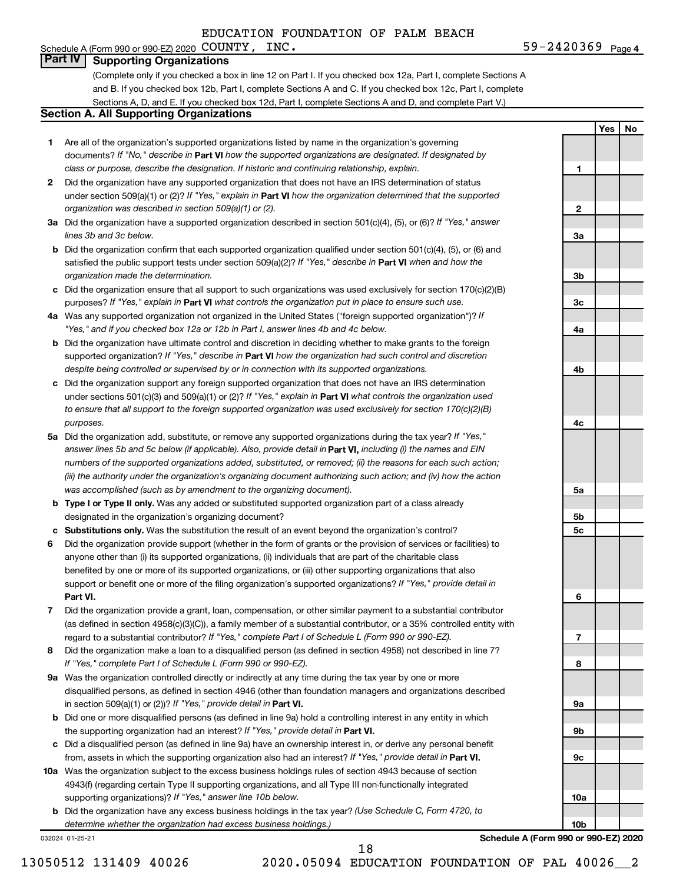# **Part IV Supporting Organizations**

(Complete only if you checked a box in line 12 on Part I. If you checked box 12a, Part I, complete Sections A and B. If you checked box 12b, Part I, complete Sections A and C. If you checked box 12c, Part I, complete Sections A, D, and E. If you checked box 12d, Part I, complete Sections A and D, and complete Part V.)

### **Section A. All Supporting Organizations**

- **1** Are all of the organization's supported organizations listed by name in the organization's governing documents? If "No," describe in Part VI how the supported organizations are designated. If designated by *class or purpose, describe the designation. If historic and continuing relationship, explain.*
- **2** Did the organization have any supported organization that does not have an IRS determination of status under section 509(a)(1) or (2)? If "Yes," explain in Part **VI** how the organization determined that the supported *organization was described in section 509(a)(1) or (2).*
- **3a** Did the organization have a supported organization described in section 501(c)(4), (5), or (6)? If "Yes," answer *lines 3b and 3c below.*
- **b** Did the organization confirm that each supported organization qualified under section 501(c)(4), (5), or (6) and satisfied the public support tests under section 509(a)(2)? If "Yes," describe in Part VI when and how the *organization made the determination.*
- **c** Did the organization ensure that all support to such organizations was used exclusively for section 170(c)(2)(B) purposes? If "Yes," explain in Part VI what controls the organization put in place to ensure such use.
- **4 a** *If* Was any supported organization not organized in the United States ("foreign supported organization")? *"Yes," and if you checked box 12a or 12b in Part I, answer lines 4b and 4c below.*
- **b** Did the organization have ultimate control and discretion in deciding whether to make grants to the foreign supported organization? If "Yes," describe in Part VI how the organization had such control and discretion *despite being controlled or supervised by or in connection with its supported organizations.*
- **c** Did the organization support any foreign supported organization that does not have an IRS determination under sections 501(c)(3) and 509(a)(1) or (2)? If "Yes," explain in Part VI what controls the organization used *to ensure that all support to the foreign supported organization was used exclusively for section 170(c)(2)(B) purposes.*
- **5a** Did the organization add, substitute, or remove any supported organizations during the tax year? If "Yes," answer lines 5b and 5c below (if applicable). Also, provide detail in **Part VI,** including (i) the names and EIN *numbers of the supported organizations added, substituted, or removed; (ii) the reasons for each such action; (iii) the authority under the organization's organizing document authorizing such action; and (iv) how the action was accomplished (such as by amendment to the organizing document).*
- **b** Type I or Type II only. Was any added or substituted supported organization part of a class already designated in the organization's organizing document?
- **c Substitutions only.**  Was the substitution the result of an event beyond the organization's control?
- **6** Did the organization provide support (whether in the form of grants or the provision of services or facilities) to **Part VI.** support or benefit one or more of the filing organization's supported organizations? If "Yes," provide detail in anyone other than (i) its supported organizations, (ii) individuals that are part of the charitable class benefited by one or more of its supported organizations, or (iii) other supporting organizations that also
- **7** Did the organization provide a grant, loan, compensation, or other similar payment to a substantial contributor regard to a substantial contributor? If "Yes," complete Part I of Schedule L (Form 990 or 990-EZ). (as defined in section 4958(c)(3)(C)), a family member of a substantial contributor, or a 35% controlled entity with
- **8** Did the organization make a loan to a disqualified person (as defined in section 4958) not described in line 7? *If "Yes," complete Part I of Schedule L (Form 990 or 990-EZ).*
- **9 a** Was the organization controlled directly or indirectly at any time during the tax year by one or more in section 509(a)(1) or (2))? If "Yes," provide detail in **Part VI.** disqualified persons, as defined in section 4946 (other than foundation managers and organizations described
- **b** Did one or more disqualified persons (as defined in line 9a) hold a controlling interest in any entity in which the supporting organization had an interest? If "Yes," provide detail in Part VI.
- **c** Did a disqualified person (as defined in line 9a) have an ownership interest in, or derive any personal benefit from, assets in which the supporting organization also had an interest? If "Yes," provide detail in Part VI.
- **10 a** Was the organization subject to the excess business holdings rules of section 4943 because of section supporting organizations)? If "Yes," answer line 10b below. 4943(f) (regarding certain Type II supporting organizations, and all Type III non-functionally integrated
	- **b** Did the organization have any excess business holdings in the tax year? (Use Schedule C, Form 4720, to *determine whether the organization had excess business holdings.)*

032024 01-25-21

**2 3a 3b 3c 4a 4b 4c 5a 5b 5c 6 7 8 9a 9b 9c**

**Schedule A (Form 990 or 990-EZ) 2020**

**10a**

**10b**

18

**1**

**Yes No**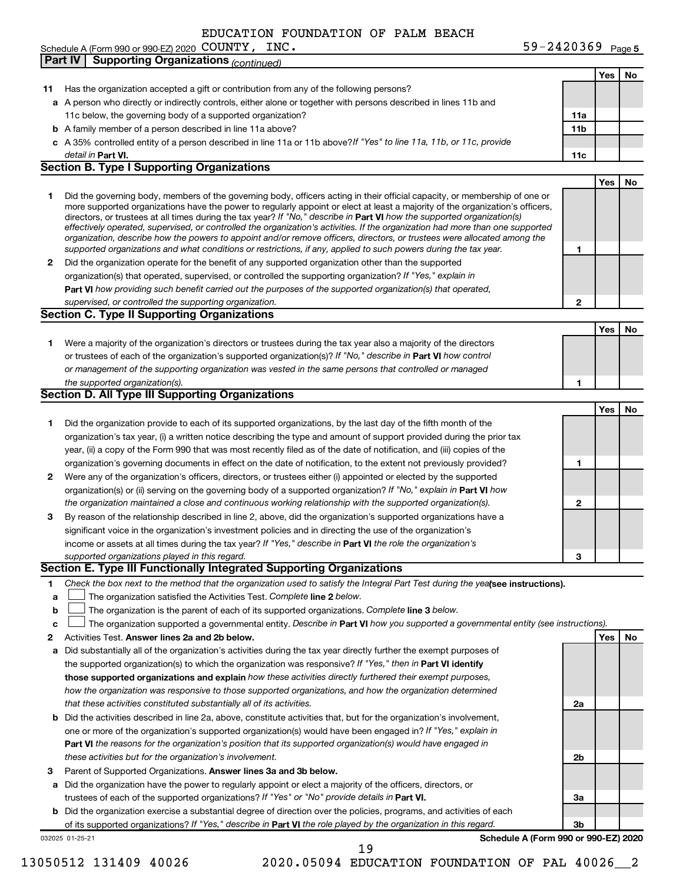Schedule A (Form 990 or 990-EZ) 2020 Page **Part IV Supporting Organizations** *(continued)* COUNTY, INC. 59-2420369

59-2420369 Page 5

|    | Part IV<br>Supporting Organizations <sub>(continued)</sub>                                                                                                                                                                                                 |              |     |    |
|----|------------------------------------------------------------------------------------------------------------------------------------------------------------------------------------------------------------------------------------------------------------|--------------|-----|----|
|    |                                                                                                                                                                                                                                                            |              | Yes | No |
| 11 | Has the organization accepted a gift or contribution from any of the following persons?                                                                                                                                                                    |              |     |    |
|    | a A person who directly or indirectly controls, either alone or together with persons described in lines 11b and                                                                                                                                           |              |     |    |
|    | 11c below, the governing body of a supported organization?                                                                                                                                                                                                 | 11a          |     |    |
|    | <b>b</b> A family member of a person described in line 11a above?                                                                                                                                                                                          | 11b          |     |    |
|    | c A 35% controlled entity of a person described in line 11a or 11b above? If "Yes" to line 11a, 11b, or 11c, provide                                                                                                                                       |              |     |    |
|    | detail in Part VI.<br><b>Section B. Type I Supporting Organizations</b>                                                                                                                                                                                    | 11c          |     |    |
|    |                                                                                                                                                                                                                                                            |              | Yes | No |
| 1  | Did the governing body, members of the governing body, officers acting in their official capacity, or membership of one or                                                                                                                                 |              |     |    |
|    | more supported organizations have the power to regularly appoint or elect at least a majority of the organization's officers,                                                                                                                              |              |     |    |
|    | directors, or trustees at all times during the tax year? If "No," describe in Part VI how the supported organization(s)                                                                                                                                    |              |     |    |
|    | effectively operated, supervised, or controlled the organization's activities. If the organization had more than one supported<br>organization, describe how the powers to appoint and/or remove officers, directors, or trustees were allocated among the |              |     |    |
|    | supported organizations and what conditions or restrictions, if any, applied to such powers during the tax year.                                                                                                                                           | 1            |     |    |
| 2  | Did the organization operate for the benefit of any supported organization other than the supported                                                                                                                                                        |              |     |    |
|    | organization(s) that operated, supervised, or controlled the supporting organization? If "Yes," explain in                                                                                                                                                 |              |     |    |
|    | Part VI how providing such benefit carried out the purposes of the supported organization(s) that operated,                                                                                                                                                |              |     |    |
|    | supervised, or controlled the supporting organization.                                                                                                                                                                                                     | $\mathbf{2}$ |     |    |
|    | <b>Section C. Type II Supporting Organizations</b>                                                                                                                                                                                                         |              |     |    |
|    |                                                                                                                                                                                                                                                            |              | Yes | No |
| 1  | Were a majority of the organization's directors or trustees during the tax year also a majority of the directors                                                                                                                                           |              |     |    |
|    | or trustees of each of the organization's supported organization(s)? If "No," describe in Part VI how control                                                                                                                                              |              |     |    |
|    | or management of the supporting organization was vested in the same persons that controlled or managed                                                                                                                                                     |              |     |    |
|    | the supported organization(s).                                                                                                                                                                                                                             | 1            |     |    |
|    | <b>Section D. All Type III Supporting Organizations</b>                                                                                                                                                                                                    |              |     |    |
|    |                                                                                                                                                                                                                                                            |              | Yes | No |
| 1  | Did the organization provide to each of its supported organizations, by the last day of the fifth month of the                                                                                                                                             |              |     |    |
|    | organization's tax year, (i) a written notice describing the type and amount of support provided during the prior tax<br>year, (ii) a copy of the Form 990 that was most recently filed as of the date of notification, and (iii) copies of the            |              |     |    |
|    | organization's governing documents in effect on the date of notification, to the extent not previously provided?                                                                                                                                           | 1            |     |    |
| 2  | Were any of the organization's officers, directors, or trustees either (i) appointed or elected by the supported                                                                                                                                           |              |     |    |
|    | organization(s) or (ii) serving on the governing body of a supported organization? If "No," explain in Part VI how                                                                                                                                         |              |     |    |
|    | the organization maintained a close and continuous working relationship with the supported organization(s).                                                                                                                                                | $\mathbf 2$  |     |    |
| 3  | By reason of the relationship described in line 2, above, did the organization's supported organizations have a                                                                                                                                            |              |     |    |
|    | significant voice in the organization's investment policies and in directing the use of the organization's                                                                                                                                                 |              |     |    |
|    | income or assets at all times during the tax year? If "Yes," describe in Part VI the role the organization's                                                                                                                                               |              |     |    |
|    | supported organizations played in this regard.                                                                                                                                                                                                             | 3            |     |    |
|    | Section E. Type III Functionally Integrated Supporting Organizations                                                                                                                                                                                       |              |     |    |
| 1  | Check the box next to the method that the organization used to satisfy the Integral Part Test during the yealsee instructions).                                                                                                                            |              |     |    |
| a  | The organization satisfied the Activities Test. Complete line 2 below.                                                                                                                                                                                     |              |     |    |
| b  | The organization is the parent of each of its supported organizations. Complete line 3 below.                                                                                                                                                              |              |     |    |
| с  | The organization supported a governmental entity. Describe in Part VI how you supported a governmental entity (see instructions).                                                                                                                          |              |     |    |
| 2  | Activities Test. Answer lines 2a and 2b below.                                                                                                                                                                                                             |              | Yes | No |
| а  | Did substantially all of the organization's activities during the tax year directly further the exempt purposes of                                                                                                                                         |              |     |    |
|    | the supported organization(s) to which the organization was responsive? If "Yes," then in Part VI identify                                                                                                                                                 |              |     |    |
|    | those supported organizations and explain how these activities directly furthered their exempt purposes,                                                                                                                                                   |              |     |    |
|    | how the organization was responsive to those supported organizations, and how the organization determined                                                                                                                                                  |              |     |    |
|    | that these activities constituted substantially all of its activities.                                                                                                                                                                                     | 2a           |     |    |
|    | <b>b</b> Did the activities described in line 2a, above, constitute activities that, but for the organization's involvement,                                                                                                                               |              |     |    |
|    | one or more of the organization's supported organization(s) would have been engaged in? If "Yes," explain in                                                                                                                                               |              |     |    |
|    | Part VI the reasons for the organization's position that its supported organization(s) would have engaged in                                                                                                                                               |              |     |    |
|    | these activities but for the organization's involvement.                                                                                                                                                                                                   | 2b           |     |    |
| з  | Parent of Supported Organizations. Answer lines 3a and 3b below.                                                                                                                                                                                           |              |     |    |
| а  | Did the organization have the power to regularly appoint or elect a majority of the officers, directors, or<br>trustees of each of the supported organizations? If "Yes" or "No" provide details in Part VI.                                               | За           |     |    |
|    | <b>b</b> Did the organization exercise a substantial degree of direction over the policies, programs, and activities of each                                                                                                                               |              |     |    |
|    | of its supported organizations? If "Yes," describe in Part VI the role played by the organization in this regard.                                                                                                                                          | 3b           |     |    |
|    | Schedule A (Form 990 or 990-EZ) 2020<br>032025 01-25-21                                                                                                                                                                                                    |              |     |    |
|    | 19                                                                                                                                                                                                                                                         |              |     |    |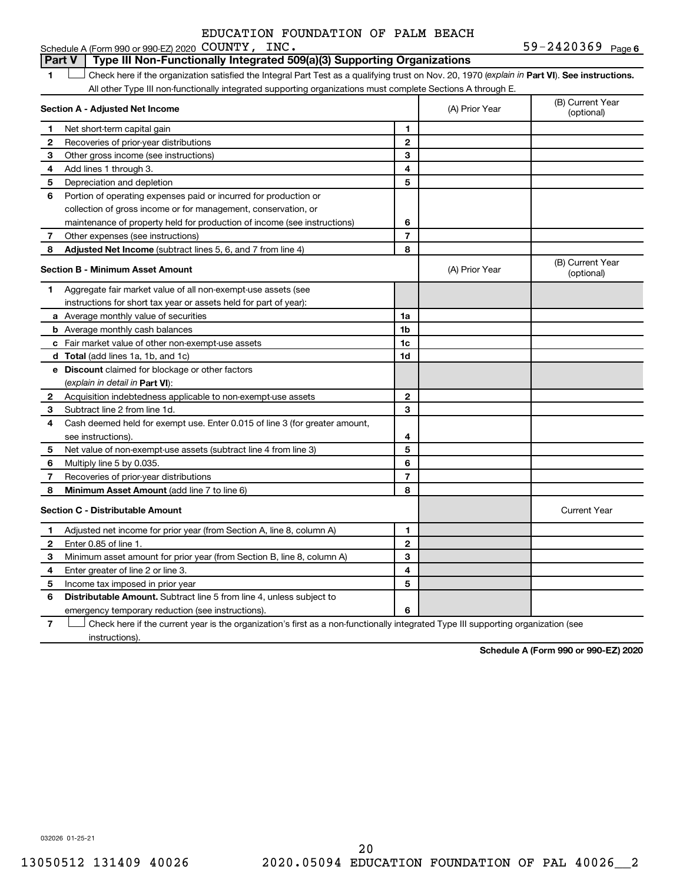#### 1 **Letter See instructions.** Check here if the organization satisfied the Integral Part Test as a qualifying trust on Nov. 20, 1970 (*explain in* Part **VI**). See instructions. **Section A - Adjusted Net Income 1 2 3 4 5 6 7 8 1 2 3 4 5 6 7 Adjusted Net Income** (subtract lines 5, 6, and 7 from line 4) **8 8 Section B - Minimum Asset Amount 1 2 3 4 5 6 7 8 a** Average monthly value of securities **b** Average monthly cash balances **c** Fair market value of other non-exempt-use assets **d Total**  (add lines 1a, 1b, and 1c) **e Discount** claimed for blockage or other factors **1a 1b 1c 1d 2 3 4 5 6 7 8** (explain in detail in Part VI): **Minimum Asset Amount**  (add line 7 to line 6) **Section C - Distributable Amount 1 2 3 4 5 6 1 2 3 4 5 6** Distributable Amount. Subtract line 5 from line 4, unless subject to All other Type III non-functionally integrated supporting organizations must complete Sections A through E. (B) Current Year (A) Prior Year Net short-term capital gain Recoveries of prior-year distributions Other gross income (see instructions) Add lines 1 through 3. Depreciation and depletion Portion of operating expenses paid or incurred for production or collection of gross income or for management, conservation, or maintenance of property held for production of income (see instructions) Other expenses (see instructions) (B) Current Year  $(A)$  Prior Year  $\left\{\n\begin{array}{ccc}\n\end{array}\n\right\}$  (optional) Aggregate fair market value of all non-exempt-use assets (see instructions for short tax year or assets held for part of year): Acquisition indebtedness applicable to non-exempt-use assets Subtract line 2 from line 1d. Cash deemed held for exempt use. Enter 0.015 of line 3 (for greater amount, see instructions). Net value of non-exempt-use assets (subtract line 4 from line 3) Multiply line 5 by 0.035. Recoveries of prior-year distributions Current Year Adjusted net income for prior year (from Section A, line 8, column A) Enter 0.85 of line 1. Minimum asset amount for prior year (from Section B, line 8, column A) Enter greater of line 2 or line 3. Income tax imposed in prior year emergency temporary reduction (see instructions). **Part V Type III Non-Functionally Integrated 509(a)(3) Supporting Organizations**

**7** Check here if the current year is the organization's first as a non-functionally integrated Type III supporting organization (see † instructions).

**Schedule A (Form 990 or 990-EZ) 2020**

032026 01-25-21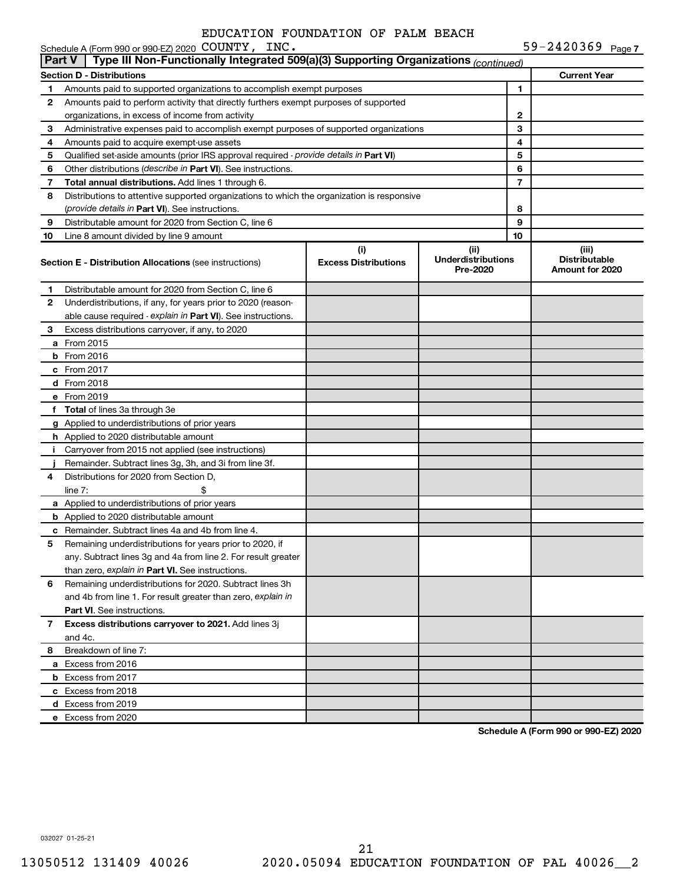|               | Schedule A (Form 990 or 990-EZ) 2020 COUNTY, INC.                                          |                                    |                                               |    | 59-2420369 Page 7                                |
|---------------|--------------------------------------------------------------------------------------------|------------------------------------|-----------------------------------------------|----|--------------------------------------------------|
| <b>Part V</b> | Type III Non-Functionally Integrated 509(a)(3) Supporting Organizations (continued)        |                                    |                                               |    |                                                  |
|               | <b>Section D - Distributions</b>                                                           |                                    |                                               |    | <b>Current Year</b>                              |
| 1             | Amounts paid to supported organizations to accomplish exempt purposes                      |                                    |                                               | 1  |                                                  |
| 2             | Amounts paid to perform activity that directly furthers exempt purposes of supported       |                                    |                                               |    |                                                  |
|               | organizations, in excess of income from activity                                           |                                    | 2                                             |    |                                                  |
| 3             | Administrative expenses paid to accomplish exempt purposes of supported organizations      |                                    |                                               | 3  |                                                  |
| 4             | Amounts paid to acquire exempt-use assets                                                  |                                    |                                               | 4  |                                                  |
| 5             | Qualified set-aside amounts (prior IRS approval required - provide details in Part VI)     |                                    |                                               | 5  |                                                  |
| 6             | Other distributions (describe in Part VI). See instructions.                               |                                    |                                               | 6  |                                                  |
| 7             | Total annual distributions. Add lines 1 through 6.                                         |                                    |                                               | 7  |                                                  |
| 8             | Distributions to attentive supported organizations to which the organization is responsive |                                    |                                               |    |                                                  |
|               | (provide details in Part VI). See instructions.                                            |                                    |                                               | 8  |                                                  |
| 9             | Distributable amount for 2020 from Section C, line 6                                       |                                    |                                               | 9  |                                                  |
| 10            | Line 8 amount divided by line 9 amount                                                     |                                    |                                               | 10 |                                                  |
|               | <b>Section E - Distribution Allocations (see instructions)</b>                             | (i)<br><b>Excess Distributions</b> | (ii)<br><b>Underdistributions</b><br>Pre-2020 |    | (iii)<br><b>Distributable</b><br>Amount for 2020 |
| 1             | Distributable amount for 2020 from Section C, line 6                                       |                                    |                                               |    |                                                  |
| 2             | Underdistributions, if any, for years prior to 2020 (reason-                               |                                    |                                               |    |                                                  |
|               | able cause required - explain in Part VI). See instructions.                               |                                    |                                               |    |                                                  |
| 3             | Excess distributions carryover, if any, to 2020                                            |                                    |                                               |    |                                                  |
|               | a From 2015                                                                                |                                    |                                               |    |                                                  |
|               | $b$ From 2016                                                                              |                                    |                                               |    |                                                  |
|               | c From 2017                                                                                |                                    |                                               |    |                                                  |
|               | <b>d</b> From 2018                                                                         |                                    |                                               |    |                                                  |
|               | e From 2019                                                                                |                                    |                                               |    |                                                  |
|               | f Total of lines 3a through 3e                                                             |                                    |                                               |    |                                                  |
|               | g Applied to underdistributions of prior years                                             |                                    |                                               |    |                                                  |
|               | <b>h</b> Applied to 2020 distributable amount                                              |                                    |                                               |    |                                                  |
| Ī.            | Carryover from 2015 not applied (see instructions)                                         |                                    |                                               |    |                                                  |
|               | Remainder. Subtract lines 3g, 3h, and 3i from line 3f.                                     |                                    |                                               |    |                                                  |
| 4             | Distributions for 2020 from Section D,                                                     |                                    |                                               |    |                                                  |
|               | $line 7$ :                                                                                 |                                    |                                               |    |                                                  |
|               | a Applied to underdistributions of prior years                                             |                                    |                                               |    |                                                  |
|               | <b>b</b> Applied to 2020 distributable amount                                              |                                    |                                               |    |                                                  |
|               | c Remainder. Subtract lines 4a and 4b from line 4.                                         |                                    |                                               |    |                                                  |
|               | 5 Remaining underdistributions for years prior to 2020, if                                 |                                    |                                               |    |                                                  |
|               | any. Subtract lines 3g and 4a from line 2. For result greater                              |                                    |                                               |    |                                                  |
|               | than zero, explain in Part VI. See instructions.                                           |                                    |                                               |    |                                                  |
| 6             | Remaining underdistributions for 2020. Subtract lines 3h                                   |                                    |                                               |    |                                                  |
|               | and 4b from line 1. For result greater than zero, explain in                               |                                    |                                               |    |                                                  |
|               | <b>Part VI.</b> See instructions.                                                          |                                    |                                               |    |                                                  |
| 7             | Excess distributions carryover to 2021. Add lines 3j                                       |                                    |                                               |    |                                                  |
|               | and 4c.                                                                                    |                                    |                                               |    |                                                  |
| 8             | Breakdown of line 7:                                                                       |                                    |                                               |    |                                                  |
|               | a Excess from 2016                                                                         |                                    |                                               |    |                                                  |
|               | <b>b</b> Excess from 2017                                                                  |                                    |                                               |    |                                                  |
|               | c Excess from 2018                                                                         |                                    |                                               |    |                                                  |
|               | d Excess from 2019                                                                         |                                    |                                               |    |                                                  |
|               | e Excess from 2020                                                                         |                                    |                                               |    |                                                  |

**Schedule A (Form 990 or 990-EZ) 2020**

032027 01-25-21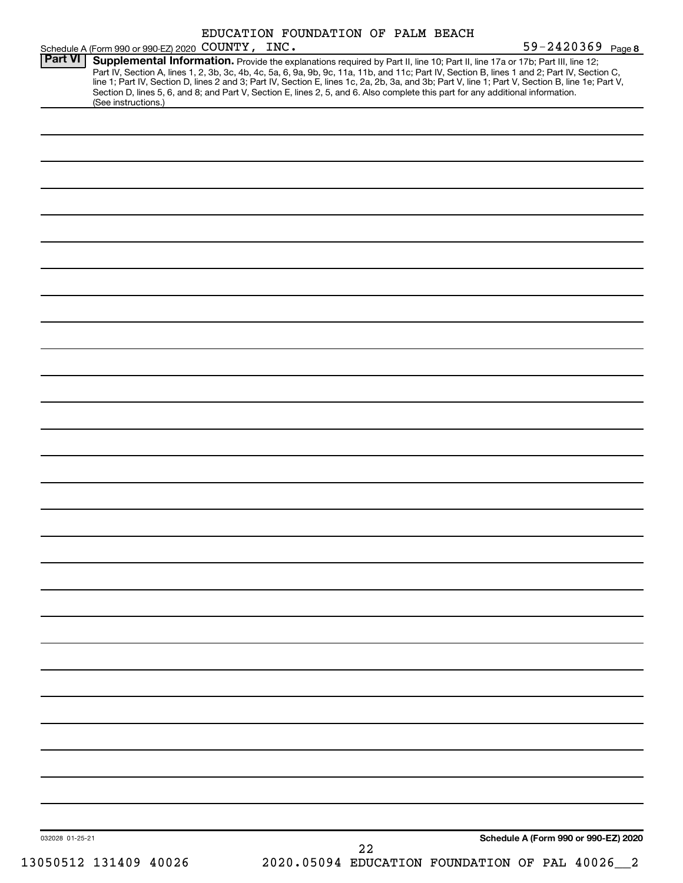|                 |                                                                                                                                                                                                                                                                                                                                                                                                                                                                                                                                                                                             |  | EDUCATION FOUNDATION OF PALM BEACH |                                                |  |
|-----------------|---------------------------------------------------------------------------------------------------------------------------------------------------------------------------------------------------------------------------------------------------------------------------------------------------------------------------------------------------------------------------------------------------------------------------------------------------------------------------------------------------------------------------------------------------------------------------------------------|--|------------------------------------|------------------------------------------------|--|
| <b>Part VI</b>  | Schedule A (Form 990 or 990-EZ) 2020 COUNTY, INC.                                                                                                                                                                                                                                                                                                                                                                                                                                                                                                                                           |  |                                    | 59-2420369 Page 8                              |  |
|                 | Supplemental Information. Provide the explanations required by Part II, line 10; Part II, line 17a or 17b; Part III, line 12;<br>Part IV, Section A, lines 1, 2, 3b, 3c, 4b, 4c, 5a, 6, 9a, 9b, 9c, 11a, 11b, and 11c; Part IV, Section B, lines 1 and 2; Part IV, Section C,<br>line 1; Part IV, Section D, lines 2 and 3; Part IV, Section E, lines 1c, 2a, 2b, 3a, and 3b; Part V, line 1; Part V, Section B, line 1e; Part V,<br>Section D, lines 5, 6, and 8; and Part V, Section E, lines 2, 5, and 6. Also complete this part for any additional information.<br>(See instructions.) |  |                                    |                                                |  |
|                 |                                                                                                                                                                                                                                                                                                                                                                                                                                                                                                                                                                                             |  |                                    |                                                |  |
|                 |                                                                                                                                                                                                                                                                                                                                                                                                                                                                                                                                                                                             |  |                                    |                                                |  |
|                 |                                                                                                                                                                                                                                                                                                                                                                                                                                                                                                                                                                                             |  |                                    |                                                |  |
|                 |                                                                                                                                                                                                                                                                                                                                                                                                                                                                                                                                                                                             |  |                                    |                                                |  |
|                 |                                                                                                                                                                                                                                                                                                                                                                                                                                                                                                                                                                                             |  |                                    |                                                |  |
|                 |                                                                                                                                                                                                                                                                                                                                                                                                                                                                                                                                                                                             |  |                                    |                                                |  |
|                 |                                                                                                                                                                                                                                                                                                                                                                                                                                                                                                                                                                                             |  |                                    |                                                |  |
|                 |                                                                                                                                                                                                                                                                                                                                                                                                                                                                                                                                                                                             |  |                                    |                                                |  |
|                 |                                                                                                                                                                                                                                                                                                                                                                                                                                                                                                                                                                                             |  |                                    |                                                |  |
|                 |                                                                                                                                                                                                                                                                                                                                                                                                                                                                                                                                                                                             |  |                                    |                                                |  |
|                 |                                                                                                                                                                                                                                                                                                                                                                                                                                                                                                                                                                                             |  |                                    |                                                |  |
|                 |                                                                                                                                                                                                                                                                                                                                                                                                                                                                                                                                                                                             |  |                                    |                                                |  |
|                 |                                                                                                                                                                                                                                                                                                                                                                                                                                                                                                                                                                                             |  |                                    |                                                |  |
|                 |                                                                                                                                                                                                                                                                                                                                                                                                                                                                                                                                                                                             |  |                                    |                                                |  |
|                 |                                                                                                                                                                                                                                                                                                                                                                                                                                                                                                                                                                                             |  |                                    |                                                |  |
|                 |                                                                                                                                                                                                                                                                                                                                                                                                                                                                                                                                                                                             |  |                                    |                                                |  |
|                 |                                                                                                                                                                                                                                                                                                                                                                                                                                                                                                                                                                                             |  |                                    |                                                |  |
|                 |                                                                                                                                                                                                                                                                                                                                                                                                                                                                                                                                                                                             |  |                                    |                                                |  |
|                 |                                                                                                                                                                                                                                                                                                                                                                                                                                                                                                                                                                                             |  |                                    |                                                |  |
|                 |                                                                                                                                                                                                                                                                                                                                                                                                                                                                                                                                                                                             |  |                                    |                                                |  |
|                 |                                                                                                                                                                                                                                                                                                                                                                                                                                                                                                                                                                                             |  |                                    |                                                |  |
|                 |                                                                                                                                                                                                                                                                                                                                                                                                                                                                                                                                                                                             |  |                                    |                                                |  |
|                 |                                                                                                                                                                                                                                                                                                                                                                                                                                                                                                                                                                                             |  |                                    |                                                |  |
|                 |                                                                                                                                                                                                                                                                                                                                                                                                                                                                                                                                                                                             |  |                                    |                                                |  |
|                 |                                                                                                                                                                                                                                                                                                                                                                                                                                                                                                                                                                                             |  |                                    |                                                |  |
|                 |                                                                                                                                                                                                                                                                                                                                                                                                                                                                                                                                                                                             |  |                                    |                                                |  |
|                 |                                                                                                                                                                                                                                                                                                                                                                                                                                                                                                                                                                                             |  |                                    |                                                |  |
|                 |                                                                                                                                                                                                                                                                                                                                                                                                                                                                                                                                                                                             |  |                                    |                                                |  |
|                 |                                                                                                                                                                                                                                                                                                                                                                                                                                                                                                                                                                                             |  |                                    |                                                |  |
|                 |                                                                                                                                                                                                                                                                                                                                                                                                                                                                                                                                                                                             |  |                                    |                                                |  |
|                 |                                                                                                                                                                                                                                                                                                                                                                                                                                                                                                                                                                                             |  |                                    |                                                |  |
|                 |                                                                                                                                                                                                                                                                                                                                                                                                                                                                                                                                                                                             |  |                                    |                                                |  |
|                 |                                                                                                                                                                                                                                                                                                                                                                                                                                                                                                                                                                                             |  |                                    |                                                |  |
| 032028 01-25-21 |                                                                                                                                                                                                                                                                                                                                                                                                                                                                                                                                                                                             |  |                                    | Schedule A (Form 990 or 990-EZ) 2020           |  |
|                 | 13050512 131409 40026                                                                                                                                                                                                                                                                                                                                                                                                                                                                                                                                                                       |  | 22                                 | 2020.05094 EDUCATION FOUNDATION OF PAL 40026_2 |  |
|                 |                                                                                                                                                                                                                                                                                                                                                                                                                                                                                                                                                                                             |  |                                    |                                                |  |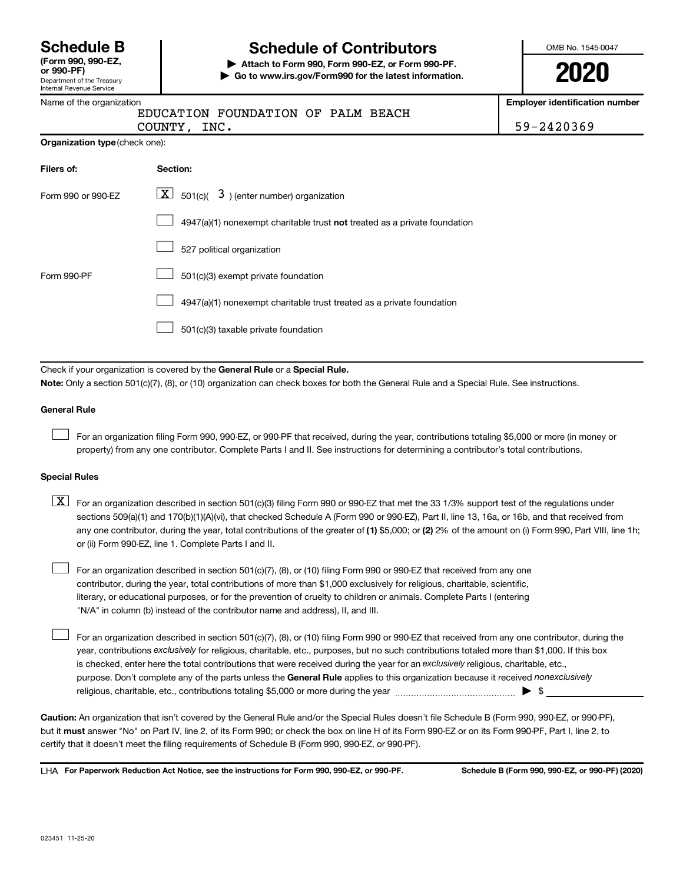| <b>Schedule B</b>             |  |  |
|-------------------------------|--|--|
| $T_{\text{num}}$ 000 000 $E7$ |  |  |

#### Department of the Treasury Internal Revenue Service **(Form 990, 990-EZ,**

# **Schedule of Contributors**

**or 990-PF) | Attach to Form 990, Form 990-EZ, or Form 990-PF. | Go to www.irs.gov/Form990 for the latest information.** OMB No. 1545-0047

**2020**

**Employer identification number**

**Organization type** (check one):

| -------- | NIE.<br>ᅶᄭᇰ |
|----------|-------------|
|          |             |

59-2420369

| Filers of:         | Section:                                                                  |
|--------------------|---------------------------------------------------------------------------|
| Form 990 or 990-EZ | $\boxed{\textbf{X}}$ 501(c)( 3) (enter number) organization               |
|                    | 4947(a)(1) nonexempt charitable trust not treated as a private foundation |
|                    | 527 political organization                                                |
| Form 990-PF        | 501(c)(3) exempt private foundation                                       |
|                    | 4947(a)(1) nonexempt charitable trust treated as a private foundation     |
|                    | 501(c)(3) taxable private foundation                                      |

Check if your organization is covered by the General Rule or a Special Rule.

**Note:**  Only a section 501(c)(7), (8), or (10) organization can check boxes for both the General Rule and a Special Rule. See instructions.

#### **General Rule**

 $\Box$ 

 $\Box$ 

For an organization filing Form 990, 990-EZ, or 990-PF that received, during the year, contributions totaling \$5,000 or more (in money or property) from any one contributor. Complete Parts I and II. See instructions for determining a contributor's total contributions.

#### **Special Rules**

any one contributor, during the year, total contributions of the greater of (1) \$5,000; or (2) 2% of the amount on (i) Form 990, Part VIII, line 1h;  $\boxed{\text{X}}$  For an organization described in section 501(c)(3) filing Form 990 or 990-EZ that met the 33 1/3% support test of the regulations under sections 509(a)(1) and 170(b)(1)(A)(vi), that checked Schedule A (Form 990 or 990-EZ), Part II, line 13, 16a, or 16b, and that received from or (ii) Form 990-EZ, line 1. Complete Parts I and II.

For an organization described in section 501(c)(7), (8), or (10) filing Form 990 or 990-EZ that received from any one contributor, during the year, total contributions of more than \$1,000 exclusively for religious, charitable, scientific, literary, or educational purposes, or for the prevention of cruelty to children or animals. Complete Parts I (entering "N/A" in column (b) instead of the contributor name and address), II, and III.  $\Box$ 

purpose. Don't complete any of the parts unless the General Rule applies to this organization because it received nonexclusively year, contributions exclusively for religious, charitable, etc., purposes, but no such contributions totaled more than \$1,000. If this box is checked, enter here the total contributions that were received during the year for an exclusively religious, charitable, etc., For an organization described in section 501(c)(7), (8), or (10) filing Form 990 or 990-EZ that received from any one contributor, during the religious, charitable, etc., contributions totaling \$5,000 or more during the year  $~\ldots\ldots\ldots\ldots\ldots\ldots\ldots\ldots\blacktriangleright~$ \$

**Caution:**  An organization that isn't covered by the General Rule and/or the Special Rules doesn't file Schedule B (Form 990, 990-EZ, or 990-PF),  **must** but it answer "No" on Part IV, line 2, of its Form 990; or check the box on line H of its Form 990-EZ or on its Form 990-PF, Part I, line 2, to certify that it doesn't meet the filing requirements of Schedule B (Form 990, 990-EZ, or 990-PF).

**For Paperwork Reduction Act Notice, see the instructions for Form 990, 990-EZ, or 990-PF. Schedule B (Form 990, 990-EZ, or 990-PF) (2020)** LHA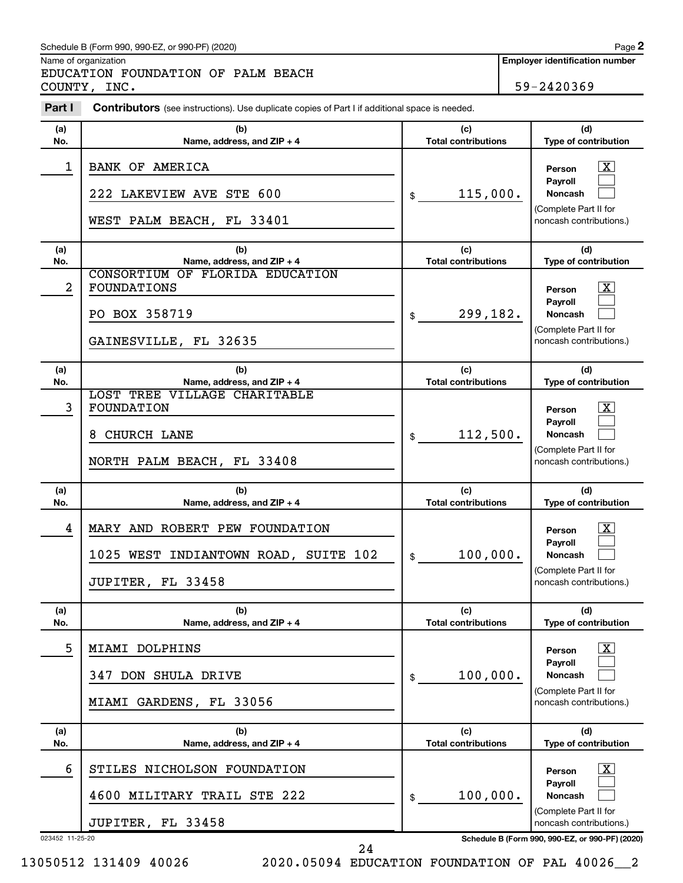#### Schedule B (Form 990, 990-EZ, or 990-PF) (2020)

Name of organization

EDUCATION FOUNDATION OF PALM BEACH COUNTY, INC. 59-2420369

| Part I          | <b>Contributors</b> (see instructions). Use duplicate copies of Part I if additional space is needed. |                                   |                                                                                                         |
|-----------------|-------------------------------------------------------------------------------------------------------|-----------------------------------|---------------------------------------------------------------------------------------------------------|
| (a)<br>No.      | (b)<br>Name, address, and ZIP + 4                                                                     | (c)<br><b>Total contributions</b> | (d)<br>Type of contribution                                                                             |
| 1               | <b>BANK OF AMERICA</b><br>222 LAKEVIEW AVE STE 600<br>WEST PALM BEACH, FL 33401                       | 115,000.<br>\$                    | $\mathbf{X}$<br>Person<br>Payroll<br><b>Noncash</b><br>(Complete Part II for<br>noncash contributions.) |
| (a)<br>No.      | (b)<br>Name, address, and ZIP + 4                                                                     | (c)<br><b>Total contributions</b> | (d)<br>Type of contribution                                                                             |
| 2               | CONSORTIUM OF FLORIDA EDUCATION<br><b>FOUNDATIONS</b><br>PO BOX 358719<br>GAINESVILLE, FL 32635       | 299,182.<br>\$                    | $\mathbf{X}$<br>Person<br>Payroll<br>Noncash<br>(Complete Part II for<br>noncash contributions.)        |
| (a)<br>No.      | (b)<br>Name, address, and ZIP + 4                                                                     | (c)<br><b>Total contributions</b> | (d)<br>Type of contribution                                                                             |
| 3               | LOST TREE VILLAGE CHARITABLE<br>FOUNDATION<br>8<br>CHURCH LANE<br>NORTH PALM BEACH, FL 33408          | 112,500.<br>\$                    | $\mathbf{X}$<br>Person<br>Payroll<br>Noncash<br>(Complete Part II for<br>noncash contributions.)        |
| (a)<br>No.      | (b)<br>Name, address, and ZIP + 4                                                                     | (c)<br><b>Total contributions</b> | (d)<br>Type of contribution                                                                             |
| 4               | MARY AND ROBERT PEW FOUNDATION<br>1025 WEST INDIANTOWN ROAD, SUITE 102<br>FL 33458<br>JUPITER,        | 100,000.<br>\$                    | $\mathbf{X}$<br>Person<br>Payroll<br>Noncash<br>(Complete Part II for<br>noncash contributions.)        |
| (a)<br>No.      | (b)<br>Name, address, and ZIP + 4                                                                     | (c)<br><b>Total contributions</b> | (d)<br>Type of contribution                                                                             |
| 5               | MIAMI DOLPHINS<br>DON SHULA DRIVE<br>347<br>MIAMI GARDENS, FL 33056                                   | 100,000.<br>\$                    | x<br>Person<br>Payroll<br>Noncash<br>(Complete Part II for<br>noncash contributions.)                   |
| (a)<br>No.      | (b)<br>Name, address, and ZIP + 4                                                                     | (c)<br><b>Total contributions</b> | (d)<br>Type of contribution                                                                             |
| 6               | STILES NICHOLSON FOUNDATION<br>MILITARY TRAIL STE 222<br>4600                                         | 100,000.<br>\$                    | X<br>Person<br>Payroll<br>Noncash<br>(Complete Part II for                                              |
|                 | JUPITER, FL 33458                                                                                     |                                   | noncash contributions.)                                                                                 |
| 023452 11-25-20 |                                                                                                       |                                   | Schedule B (Form 990, 990-EZ, or 990-PF) (2020)                                                         |

13050512 131409 40026 2020.05094 EDUCATION FOUNDATION OF PAL 40026\_\_2

24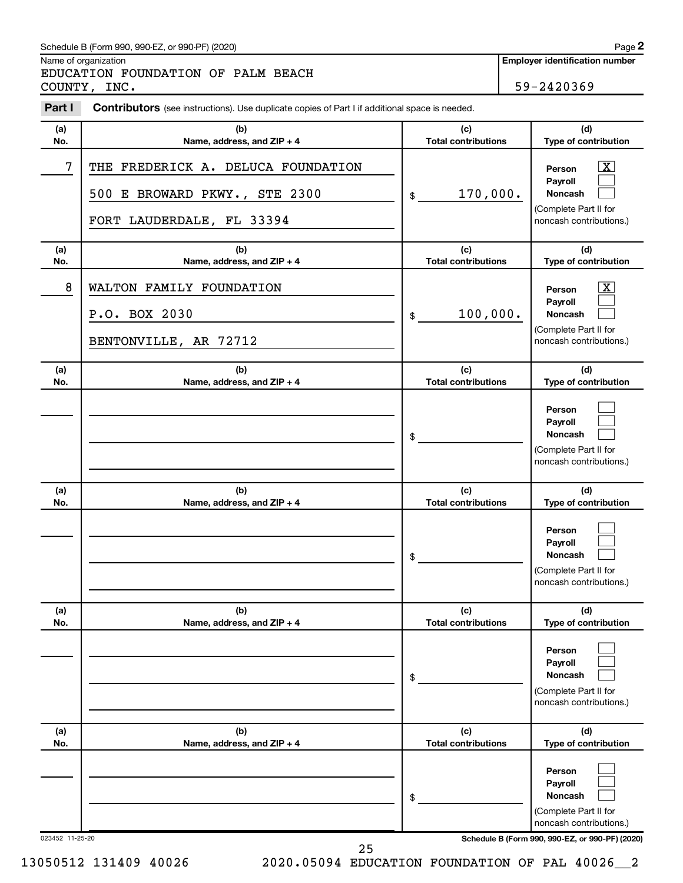#### Schedule B (Form 990, 990-EZ, or 990-PF) (2020)

Name of organization

EDUCATION FOUNDATION OF PALM BEACH COUNTY, INC. 59-2420369 **2**

| (b)                                                                                              |                                                                                                                             |                                                                                                                                       |
|--------------------------------------------------------------------------------------------------|-----------------------------------------------------------------------------------------------------------------------------|---------------------------------------------------------------------------------------------------------------------------------------|
| Name, address, and ZIP + 4                                                                       | (c)<br><b>Total contributions</b>                                                                                           | (d)<br>Type of contribution                                                                                                           |
| THE FREDERICK A. DELUCA FOUNDATION<br>500 E BROWARD PKWY., STE 2300<br>FORT LAUDERDALE, FL 33394 | 170,000.<br>\$                                                                                                              | $\mathbf{X}$<br>Person<br>Payroll<br>Noncash<br>(Complete Part II for<br>noncash contributions.)                                      |
| (b)                                                                                              | (c)                                                                                                                         | (d)<br>Type of contribution                                                                                                           |
| WALTON FAMILY FOUNDATION<br>P.O. BOX 2030<br>BENTONVILLE, AR 72712                               | 100,000.<br>\$                                                                                                              | $\mathbf{X}$<br>Person<br>Payroll<br>Noncash<br>(Complete Part II for<br>noncash contributions.)                                      |
|                                                                                                  | <b>Total contributions</b>                                                                                                  | (d)<br>Type of contribution                                                                                                           |
|                                                                                                  | \$                                                                                                                          | Person<br>Payroll<br>Noncash<br>(Complete Part II for<br>noncash contributions.)                                                      |
| (b)<br>Name, address, and ZIP + 4                                                                | (c)<br><b>Total contributions</b>                                                                                           | (d)<br>Type of contribution                                                                                                           |
|                                                                                                  | \$                                                                                                                          | Person<br>Payroll<br>Noncash<br>(Complete Part II for<br>noncash contributions.)                                                      |
| (b)                                                                                              | (c)<br><b>Total contributions</b>                                                                                           | (d)<br>Type of contribution                                                                                                           |
|                                                                                                  | \$                                                                                                                          | Person<br>Payroll<br>Noncash<br>(Complete Part II for<br>noncash contributions.)                                                      |
| (b)                                                                                              | (c)                                                                                                                         | (d)<br>Type of contribution                                                                                                           |
|                                                                                                  | \$                                                                                                                          | Person<br>Payroll<br>Noncash<br>(Complete Part II for<br>noncash contributions.)                                                      |
|                                                                                                  | Name, address, and ZIP + 4<br>(b)<br>Name, address, and ZIP + 4<br>Name, address, and ZIP + 4<br>Name, address, and ZIP + 4 | <b>Total contributions</b><br>(c)<br><b>Total contributions</b><br>023452 11-25-20<br>Schedule B (Form 990, 990-F7, or 990-PF) (2020) |

023452 11-25-20 **Schedule B (Form 990, 990-EZ, or 990-PF) (2020)**

25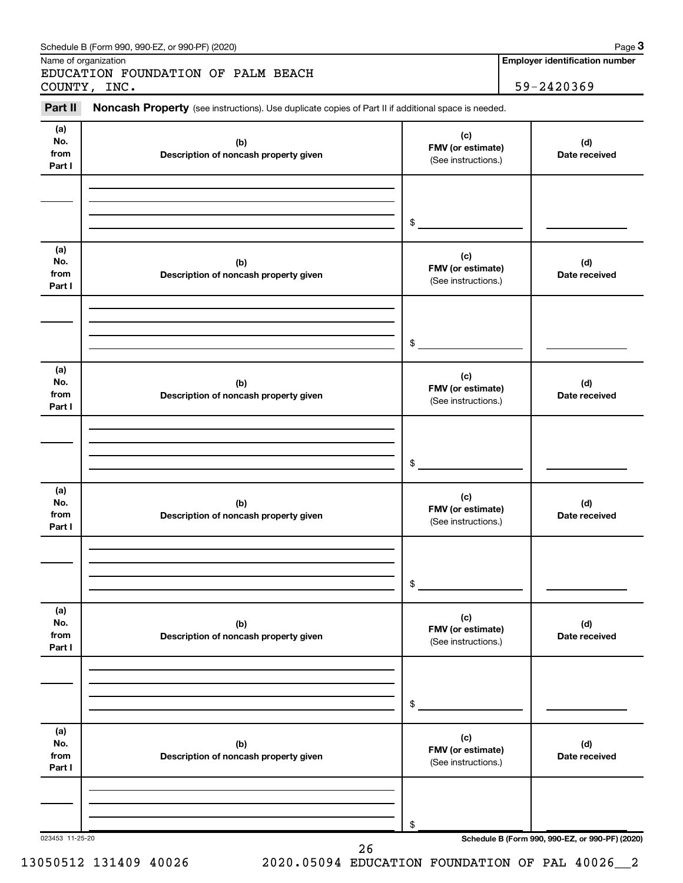|                              | EDUCATION FOUNDATION OF PALM BEACH<br>COUNTY, INC.                                                  |                                                 | 59-2420369                                      |
|------------------------------|-----------------------------------------------------------------------------------------------------|-------------------------------------------------|-------------------------------------------------|
| Part II                      | Noncash Property (see instructions). Use duplicate copies of Part II if additional space is needed. |                                                 |                                                 |
| (a)<br>No.<br>from<br>Part I | (b)<br>Description of noncash property given                                                        | (c)<br>FMV (or estimate)<br>(See instructions.) | (d)<br>Date received                            |
|                              |                                                                                                     | \$                                              |                                                 |
| (a)<br>No.<br>from<br>Part I | (b)<br>Description of noncash property given                                                        | (c)<br>FMV (or estimate)<br>(See instructions.) | (d)<br>Date received                            |
|                              |                                                                                                     | \$                                              |                                                 |
| (a)<br>No.<br>from<br>Part I | (b)<br>Description of noncash property given                                                        | (c)<br>FMV (or estimate)<br>(See instructions.) | (d)<br>Date received                            |
|                              |                                                                                                     | \$                                              |                                                 |
| (a)<br>No.<br>from<br>Part I | (b)<br>Description of noncash property given                                                        | (c)<br>FMV (or estimate)<br>(See instructions.) | (d)<br>Date received                            |
|                              |                                                                                                     | \$                                              |                                                 |
| (a)<br>No.<br>from<br>Part I | (b)<br>Description of noncash property given                                                        | (c)<br>FMV (or estimate)<br>(See instructions.) | (d)<br>Date received                            |
|                              |                                                                                                     | \$                                              |                                                 |
| (a)<br>No.<br>from<br>Part I | (b)<br>Description of noncash property given                                                        | (c)<br>FMV (or estimate)<br>(See instructions.) | (d)<br>Date received                            |
|                              |                                                                                                     |                                                 |                                                 |
| 023453 11-25-20              |                                                                                                     | \$                                              | Schedule B (Form 990, 990-EZ, or 990-PF) (2020) |

Schedule B (Form 990, 990-EZ, or 990-PF) (2020)

**3**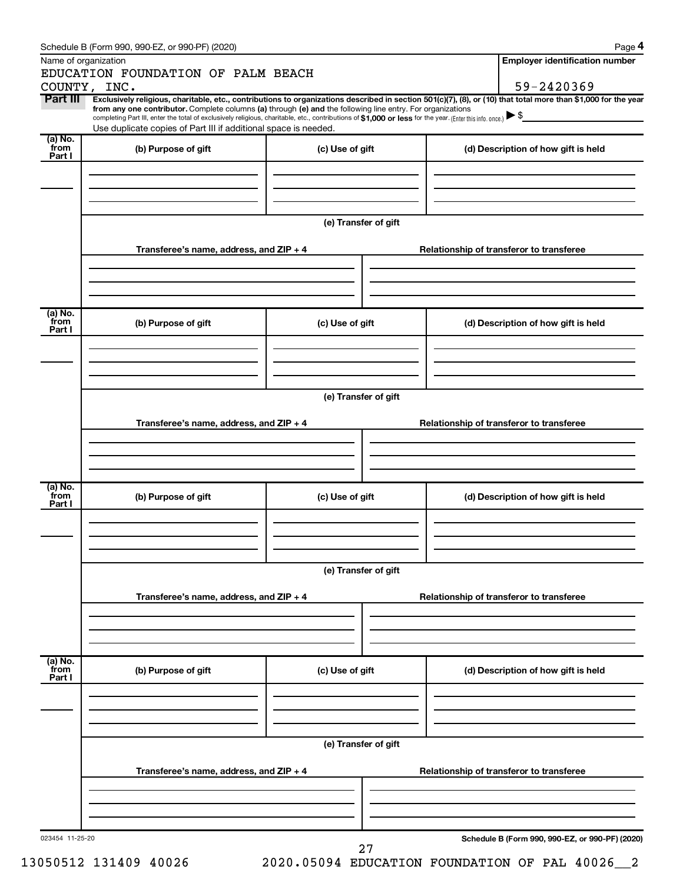|                           | Schedule B (Form 990, 990-EZ, or 990-PF) (2020)                                                                                                                                                                                                                                                                                           |                      | Page 4                                                                                                                                                         |  |  |  |  |  |  |  |
|---------------------------|-------------------------------------------------------------------------------------------------------------------------------------------------------------------------------------------------------------------------------------------------------------------------------------------------------------------------------------------|----------------------|----------------------------------------------------------------------------------------------------------------------------------------------------------------|--|--|--|--|--|--|--|
| Name of organization      |                                                                                                                                                                                                                                                                                                                                           |                      | <b>Employer identification number</b>                                                                                                                          |  |  |  |  |  |  |  |
|                           | EDUCATION FOUNDATION OF PALM BEACH                                                                                                                                                                                                                                                                                                        |                      |                                                                                                                                                                |  |  |  |  |  |  |  |
|                           | COUNTY, INC.                                                                                                                                                                                                                                                                                                                              |                      | 59-2420369                                                                                                                                                     |  |  |  |  |  |  |  |
| Part III                  | from any one contributor. Complete columns (a) through (e) and the following line entry. For organizations<br>completing Part III, enter the total of exclusively religious, charitable, etc., contributions of \$1,000 or less for the year. (Enter this info. once.)<br>Use duplicate copies of Part III if additional space is needed. |                      | Exclusively religious, charitable, etc., contributions to organizations described in section 501(c)(7), (8), or (10) that total more than \$1,000 for the year |  |  |  |  |  |  |  |
| (a) No.<br>from<br>Part I | (b) Purpose of gift                                                                                                                                                                                                                                                                                                                       | (c) Use of gift      | (d) Description of how gift is held                                                                                                                            |  |  |  |  |  |  |  |
|                           |                                                                                                                                                                                                                                                                                                                                           | (e) Transfer of gift |                                                                                                                                                                |  |  |  |  |  |  |  |
|                           |                                                                                                                                                                                                                                                                                                                                           |                      |                                                                                                                                                                |  |  |  |  |  |  |  |
|                           | Transferee's name, address, and ZIP + 4                                                                                                                                                                                                                                                                                                   |                      | Relationship of transferor to transferee                                                                                                                       |  |  |  |  |  |  |  |
|                           |                                                                                                                                                                                                                                                                                                                                           |                      |                                                                                                                                                                |  |  |  |  |  |  |  |
|                           |                                                                                                                                                                                                                                                                                                                                           |                      |                                                                                                                                                                |  |  |  |  |  |  |  |
| (a) No.                   |                                                                                                                                                                                                                                                                                                                                           |                      |                                                                                                                                                                |  |  |  |  |  |  |  |
| from<br>Part I            | (b) Purpose of gift                                                                                                                                                                                                                                                                                                                       | (c) Use of gift      | (d) Description of how gift is held                                                                                                                            |  |  |  |  |  |  |  |
|                           |                                                                                                                                                                                                                                                                                                                                           |                      |                                                                                                                                                                |  |  |  |  |  |  |  |
|                           |                                                                                                                                                                                                                                                                                                                                           |                      |                                                                                                                                                                |  |  |  |  |  |  |  |
|                           | (e) Transfer of gift                                                                                                                                                                                                                                                                                                                      |                      |                                                                                                                                                                |  |  |  |  |  |  |  |
|                           |                                                                                                                                                                                                                                                                                                                                           |                      |                                                                                                                                                                |  |  |  |  |  |  |  |
|                           | Transferee's name, address, and ZIP + 4                                                                                                                                                                                                                                                                                                   |                      | Relationship of transferor to transferee                                                                                                                       |  |  |  |  |  |  |  |
|                           |                                                                                                                                                                                                                                                                                                                                           |                      |                                                                                                                                                                |  |  |  |  |  |  |  |
|                           |                                                                                                                                                                                                                                                                                                                                           |                      |                                                                                                                                                                |  |  |  |  |  |  |  |
|                           |                                                                                                                                                                                                                                                                                                                                           |                      |                                                                                                                                                                |  |  |  |  |  |  |  |
|                           |                                                                                                                                                                                                                                                                                                                                           |                      |                                                                                                                                                                |  |  |  |  |  |  |  |
| (a) No.<br>from<br>Part I | (b) Purpose of gift                                                                                                                                                                                                                                                                                                                       | (c) Use of gift      | (d) Description of how gift is held                                                                                                                            |  |  |  |  |  |  |  |
|                           |                                                                                                                                                                                                                                                                                                                                           |                      |                                                                                                                                                                |  |  |  |  |  |  |  |
|                           |                                                                                                                                                                                                                                                                                                                                           |                      |                                                                                                                                                                |  |  |  |  |  |  |  |
|                           |                                                                                                                                                                                                                                                                                                                                           |                      |                                                                                                                                                                |  |  |  |  |  |  |  |
|                           |                                                                                                                                                                                                                                                                                                                                           | (e) Transfer of gift |                                                                                                                                                                |  |  |  |  |  |  |  |
|                           | Transferee's name, address, and ZIP + 4                                                                                                                                                                                                                                                                                                   |                      | Relationship of transferor to transferee                                                                                                                       |  |  |  |  |  |  |  |
|                           |                                                                                                                                                                                                                                                                                                                                           |                      |                                                                                                                                                                |  |  |  |  |  |  |  |
|                           |                                                                                                                                                                                                                                                                                                                                           |                      |                                                                                                                                                                |  |  |  |  |  |  |  |
| (a) No.<br>from<br>Part I | (b) Purpose of gift                                                                                                                                                                                                                                                                                                                       | (c) Use of gift      | (d) Description of how gift is held                                                                                                                            |  |  |  |  |  |  |  |
|                           |                                                                                                                                                                                                                                                                                                                                           |                      |                                                                                                                                                                |  |  |  |  |  |  |  |
|                           |                                                                                                                                                                                                                                                                                                                                           |                      |                                                                                                                                                                |  |  |  |  |  |  |  |
|                           |                                                                                                                                                                                                                                                                                                                                           |                      |                                                                                                                                                                |  |  |  |  |  |  |  |
|                           |                                                                                                                                                                                                                                                                                                                                           | (e) Transfer of gift |                                                                                                                                                                |  |  |  |  |  |  |  |

| Transferee's name, address, and $ZIP + 4$ | Relationship of transferor to transferee |
|-------------------------------------------|------------------------------------------|
|                                           |                                          |
|                                           |                                          |
|                                           |                                          |
|                                           |                                          |

023454 11-25-20

27

**Schedule B (Form 990, 990-EZ, or 990-PF) (2020)**

**4**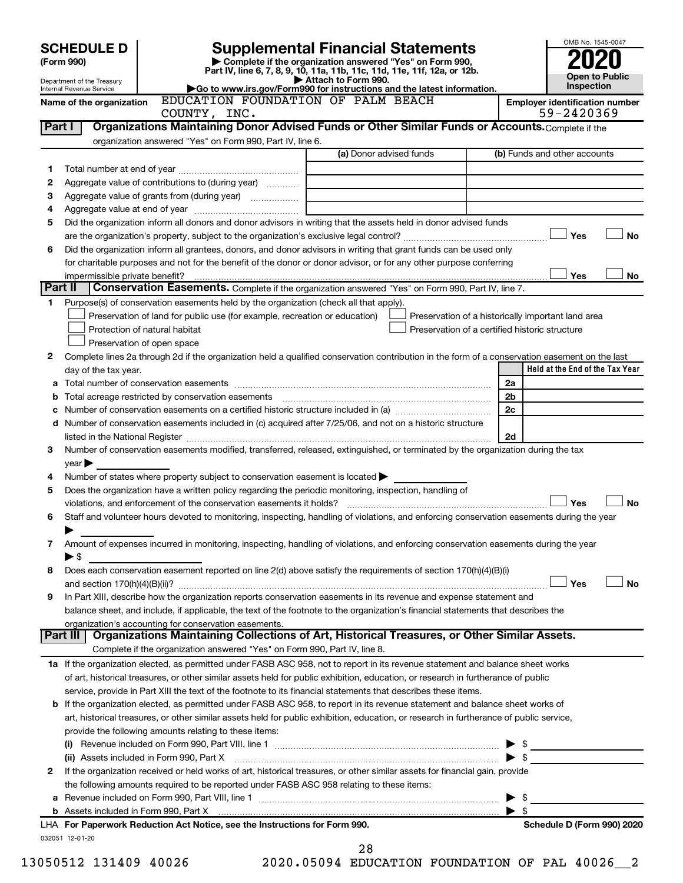|         |                                                                                                                                  |  |            |                                                                            |  |                                                                                                                                                                                                                                                                                                                                                                   |  |                         | OMB No. 1545-0047                     |                       |
|---------|----------------------------------------------------------------------------------------------------------------------------------|--|------------|----------------------------------------------------------------------------|--|-------------------------------------------------------------------------------------------------------------------------------------------------------------------------------------------------------------------------------------------------------------------------------------------------------------------------------------------------------------------|--|-------------------------|---------------------------------------|-----------------------|
|         | Supplemental Financial Statements<br><b>SCHEDULE D</b><br>Complete if the organization answered "Yes" on Form 990,<br>(Form 990) |  |            |                                                                            |  |                                                                                                                                                                                                                                                                                                                                                                   |  |                         |                                       |                       |
|         |                                                                                                                                  |  |            |                                                                            |  | Part IV, line 6, 7, 8, 9, 10, 11a, 11b, 11c, 11d, 11e, 11f, 12a, or 12b.<br>Attach to Form 990.                                                                                                                                                                                                                                                                   |  |                         |                                       | <b>Open to Public</b> |
|         | Department of the Treasury<br>Internal Revenue Service                                                                           |  |            |                                                                            |  | Go to www.irs.gov/Form990 for instructions and the latest information.                                                                                                                                                                                                                                                                                            |  |                         | <b>Inspection</b>                     |                       |
|         | EDUCATION FOUNDATION OF PALM BEACH<br>Name of the organization<br>COUNTY, INC.                                                   |  |            |                                                                            |  |                                                                                                                                                                                                                                                                                                                                                                   |  |                         | <b>Employer identification number</b> |                       |
|         |                                                                                                                                  |  | 59-2420369 |                                                                            |  |                                                                                                                                                                                                                                                                                                                                                                   |  |                         |                                       |                       |
| Part I  |                                                                                                                                  |  |            |                                                                            |  | Organizations Maintaining Donor Advised Funds or Other Similar Funds or Accounts. Complete if the                                                                                                                                                                                                                                                                 |  |                         |                                       |                       |
|         |                                                                                                                                  |  |            | organization answered "Yes" on Form 990, Part IV, line 6.                  |  | (a) Donor advised funds                                                                                                                                                                                                                                                                                                                                           |  |                         | (b) Funds and other accounts          |                       |
|         |                                                                                                                                  |  |            |                                                                            |  |                                                                                                                                                                                                                                                                                                                                                                   |  |                         |                                       |                       |
| 1<br>2  |                                                                                                                                  |  |            | Aggregate value of contributions to (during year)                          |  |                                                                                                                                                                                                                                                                                                                                                                   |  |                         |                                       |                       |
| З       |                                                                                                                                  |  |            |                                                                            |  |                                                                                                                                                                                                                                                                                                                                                                   |  |                         |                                       |                       |
| 4       |                                                                                                                                  |  |            |                                                                            |  |                                                                                                                                                                                                                                                                                                                                                                   |  |                         |                                       |                       |
| 5       |                                                                                                                                  |  |            |                                                                            |  | Did the organization inform all donors and donor advisors in writing that the assets held in donor advised funds                                                                                                                                                                                                                                                  |  |                         |                                       |                       |
|         |                                                                                                                                  |  |            |                                                                            |  |                                                                                                                                                                                                                                                                                                                                                                   |  |                         | Yes                                   | No                    |
| 6       |                                                                                                                                  |  |            |                                                                            |  | Did the organization inform all grantees, donors, and donor advisors in writing that grant funds can be used only                                                                                                                                                                                                                                                 |  |                         |                                       |                       |
|         |                                                                                                                                  |  |            |                                                                            |  | for charitable purposes and not for the benefit of the donor or donor advisor, or for any other purpose conferring                                                                                                                                                                                                                                                |  |                         |                                       |                       |
|         | impermissible private benefit?                                                                                                   |  |            |                                                                            |  |                                                                                                                                                                                                                                                                                                                                                                   |  |                         | Yes                                   | No                    |
| Part II |                                                                                                                                  |  |            |                                                                            |  | Conservation Easements. Complete if the organization answered "Yes" on Form 990, Part IV, line 7.                                                                                                                                                                                                                                                                 |  |                         |                                       |                       |
| 1       |                                                                                                                                  |  |            |                                                                            |  | Purpose(s) of conservation easements held by the organization (check all that apply).                                                                                                                                                                                                                                                                             |  |                         |                                       |                       |
|         |                                                                                                                                  |  |            | Preservation of land for public use (for example, recreation or education) |  | Preservation of a historically important land area                                                                                                                                                                                                                                                                                                                |  |                         |                                       |                       |
|         | Protection of natural habitat                                                                                                    |  |            |                                                                            |  | Preservation of a certified historic structure                                                                                                                                                                                                                                                                                                                    |  |                         |                                       |                       |
|         | Preservation of open space                                                                                                       |  |            |                                                                            |  |                                                                                                                                                                                                                                                                                                                                                                   |  |                         |                                       |                       |
| 2       |                                                                                                                                  |  |            |                                                                            |  | Complete lines 2a through 2d if the organization held a qualified conservation contribution in the form of a conservation easement on the last                                                                                                                                                                                                                    |  |                         |                                       |                       |
|         | day of the tax year.                                                                                                             |  |            |                                                                            |  |                                                                                                                                                                                                                                                                                                                                                                   |  |                         | Held at the End of the Tax Year       |                       |
|         |                                                                                                                                  |  |            |                                                                            |  |                                                                                                                                                                                                                                                                                                                                                                   |  | 2a                      |                                       |                       |
|         | Total acreage restricted by conservation easements                                                                               |  |            |                                                                            |  |                                                                                                                                                                                                                                                                                                                                                                   |  | 2 <sub>b</sub>          |                                       |                       |
|         |                                                                                                                                  |  |            |                                                                            |  | Number of conservation easements on a certified historic structure included in (a) manufacture included in (a)                                                                                                                                                                                                                                                    |  | 2c                      |                                       |                       |
| d       |                                                                                                                                  |  |            |                                                                            |  | Number of conservation easements included in (c) acquired after 7/25/06, and not on a historic structure                                                                                                                                                                                                                                                          |  |                         |                                       |                       |
| 3       |                                                                                                                                  |  |            |                                                                            |  | listed in the National Register [111] Marshall Register [11] Marshall Register [11] Marshall Register [11] Marshall Register [11] Marshall Register [11] Marshall Register [11] Marshall Register [11] Marshall Register [11]<br>Number of conservation easements modified, transferred, released, extinguished, or terminated by the organization during the tax |  | 2d                      |                                       |                       |
|         | $\vee$ ear $\blacktriangleright$                                                                                                 |  |            |                                                                            |  |                                                                                                                                                                                                                                                                                                                                                                   |  |                         |                                       |                       |
| 4       |                                                                                                                                  |  |            |                                                                            |  | Number of states where property subject to conservation easement is located >                                                                                                                                                                                                                                                                                     |  |                         |                                       |                       |
| 5       |                                                                                                                                  |  |            |                                                                            |  | Does the organization have a written policy regarding the periodic monitoring, inspection, handling of                                                                                                                                                                                                                                                            |  |                         |                                       |                       |
|         |                                                                                                                                  |  |            | violations, and enforcement of the conservation easements it holds?        |  |                                                                                                                                                                                                                                                                                                                                                                   |  |                         | Yes                                   | No                    |
| 6       |                                                                                                                                  |  |            |                                                                            |  | Staff and volunteer hours devoted to monitoring, inspecting, handling of violations, and enforcing conservation easements during the year                                                                                                                                                                                                                         |  |                         |                                       |                       |
|         |                                                                                                                                  |  |            |                                                                            |  |                                                                                                                                                                                                                                                                                                                                                                   |  |                         |                                       |                       |
| 7       |                                                                                                                                  |  |            |                                                                            |  | Amount of expenses incurred in monitoring, inspecting, handling of violations, and enforcing conservation easements during the year                                                                                                                                                                                                                               |  |                         |                                       |                       |
|         | $\blacktriangleright$ \$                                                                                                         |  |            |                                                                            |  |                                                                                                                                                                                                                                                                                                                                                                   |  |                         |                                       |                       |
| 8       |                                                                                                                                  |  |            |                                                                            |  | Does each conservation easement reported on line 2(d) above satisfy the requirements of section 170(h)(4)(B)(i)                                                                                                                                                                                                                                                   |  |                         |                                       |                       |
|         |                                                                                                                                  |  |            |                                                                            |  |                                                                                                                                                                                                                                                                                                                                                                   |  |                         | Yes                                   | <b>No</b>             |
| 9       |                                                                                                                                  |  |            |                                                                            |  | In Part XIII, describe how the organization reports conservation easements in its revenue and expense statement and                                                                                                                                                                                                                                               |  |                         |                                       |                       |
|         |                                                                                                                                  |  |            |                                                                            |  | balance sheet, and include, if applicable, the text of the footnote to the organization's financial statements that describes the                                                                                                                                                                                                                                 |  |                         |                                       |                       |
|         | organization's accounting for conservation easements.                                                                            |  |            |                                                                            |  |                                                                                                                                                                                                                                                                                                                                                                   |  |                         |                                       |                       |
|         | Part III                                                                                                                         |  |            |                                                                            |  | Organizations Maintaining Collections of Art, Historical Treasures, or Other Similar Assets.                                                                                                                                                                                                                                                                      |  |                         |                                       |                       |
|         |                                                                                                                                  |  |            |                                                                            |  | Complete if the organization answered "Yes" on Form 990, Part IV, line 8.                                                                                                                                                                                                                                                                                         |  |                         |                                       |                       |
|         |                                                                                                                                  |  |            |                                                                            |  | 1a If the organization elected, as permitted under FASB ASC 958, not to report in its revenue statement and balance sheet works                                                                                                                                                                                                                                   |  |                         |                                       |                       |
|         |                                                                                                                                  |  |            |                                                                            |  | of art, historical treasures, or other similar assets held for public exhibition, education, or research in furtherance of public                                                                                                                                                                                                                                 |  |                         |                                       |                       |
|         |                                                                                                                                  |  |            |                                                                            |  | service, provide in Part XIII the text of the footnote to its financial statements that describes these items.<br><b>b</b> If the organization elected, as permitted under FASB ASC 958, to report in its revenue statement and balance sheet works of                                                                                                            |  |                         |                                       |                       |
|         |                                                                                                                                  |  |            |                                                                            |  | art, historical treasures, or other similar assets held for public exhibition, education, or research in furtherance of public service,                                                                                                                                                                                                                           |  |                         |                                       |                       |
|         | provide the following amounts relating to these items:                                                                           |  |            |                                                                            |  |                                                                                                                                                                                                                                                                                                                                                                   |  |                         |                                       |                       |
|         |                                                                                                                                  |  |            |                                                                            |  |                                                                                                                                                                                                                                                                                                                                                                   |  |                         |                                       |                       |
|         | (ii) Assets included in Form 990, Part X                                                                                         |  |            |                                                                            |  |                                                                                                                                                                                                                                                                                                                                                                   |  | $\blacktriangleright$ s |                                       |                       |
| 2       |                                                                                                                                  |  |            |                                                                            |  | If the organization received or held works of art, historical treasures, or other similar assets for financial gain, provide                                                                                                                                                                                                                                      |  |                         |                                       |                       |
|         |                                                                                                                                  |  |            |                                                                            |  | the following amounts required to be reported under FASB ASC 958 relating to these items:                                                                                                                                                                                                                                                                         |  |                         |                                       |                       |
| а       |                                                                                                                                  |  |            |                                                                            |  |                                                                                                                                                                                                                                                                                                                                                                   |  | \$                      |                                       |                       |
|         |                                                                                                                                  |  |            |                                                                            |  |                                                                                                                                                                                                                                                                                                                                                                   |  | $\blacktriangleright$ s |                                       |                       |
|         |                                                                                                                                  |  |            | LHA For Paperwork Reduction Act Notice, see the Instructions for Form 990. |  |                                                                                                                                                                                                                                                                                                                                                                   |  |                         | Schedule D (Form 990) 2020            |                       |
|         | 032051 12-01-20                                                                                                                  |  |            |                                                                            |  |                                                                                                                                                                                                                                                                                                                                                                   |  |                         |                                       |                       |
|         |                                                                                                                                  |  |            |                                                                            |  | 28                                                                                                                                                                                                                                                                                                                                                                |  |                         |                                       |                       |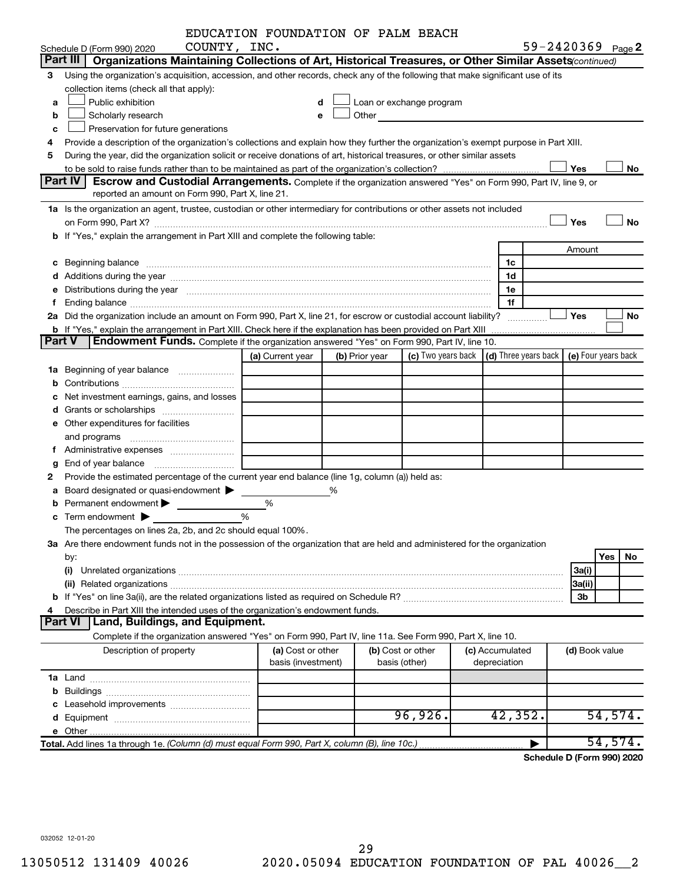|        |                                                                                                                                                                                                                                | EDUCATION FOUNDATION OF PALM BEACH |                |                                                                                                                                                                                                                               |                      |                |                            |
|--------|--------------------------------------------------------------------------------------------------------------------------------------------------------------------------------------------------------------------------------|------------------------------------|----------------|-------------------------------------------------------------------------------------------------------------------------------------------------------------------------------------------------------------------------------|----------------------|----------------|----------------------------|
|        | COUNTY, INC.<br>Schedule D (Form 990) 2020                                                                                                                                                                                     |                                    |                |                                                                                                                                                                                                                               |                      |                | 59-2420369 Page 2          |
|        | Part III   Organizations Maintaining Collections of Art, Historical Treasures, or Other Similar Assets (continued)                                                                                                             |                                    |                |                                                                                                                                                                                                                               |                      |                |                            |
| 3      | Using the organization's acquisition, accession, and other records, check any of the following that make significant use of its                                                                                                |                                    |                |                                                                                                                                                                                                                               |                      |                |                            |
|        | collection items (check all that apply):                                                                                                                                                                                       |                                    |                |                                                                                                                                                                                                                               |                      |                |                            |
| a      | Public exhibition                                                                                                                                                                                                              | d                                  |                | Loan or exchange program                                                                                                                                                                                                      |                      |                |                            |
| b      | Scholarly research                                                                                                                                                                                                             | е                                  |                | Other and the contract of the contract of the contract of the contract of the contract of the contract of the contract of the contract of the contract of the contract of the contract of the contract of the contract of the |                      |                |                            |
| с      | Preservation for future generations                                                                                                                                                                                            |                                    |                |                                                                                                                                                                                                                               |                      |                |                            |
|        | Provide a description of the organization's collections and explain how they further the organization's exempt purpose in Part XIII.                                                                                           |                                    |                |                                                                                                                                                                                                                               |                      |                |                            |
| 5      | During the year, did the organization solicit or receive donations of art, historical treasures, or other similar assets                                                                                                       |                                    |                |                                                                                                                                                                                                                               |                      |                |                            |
|        |                                                                                                                                                                                                                                |                                    |                |                                                                                                                                                                                                                               |                      | Yes            | No                         |
|        | <b>Part IV</b><br>Escrow and Custodial Arrangements. Complete if the organization answered "Yes" on Form 990, Part IV, line 9, or                                                                                              |                                    |                |                                                                                                                                                                                                                               |                      |                |                            |
|        | reported an amount on Form 990, Part X, line 21.                                                                                                                                                                               |                                    |                |                                                                                                                                                                                                                               |                      |                |                            |
|        | 1a Is the organization an agent, trustee, custodian or other intermediary for contributions or other assets not included                                                                                                       |                                    |                |                                                                                                                                                                                                                               |                      |                |                            |
|        |                                                                                                                                                                                                                                |                                    |                |                                                                                                                                                                                                                               |                      | Yes            | No                         |
|        | b If "Yes," explain the arrangement in Part XIII and complete the following table:                                                                                                                                             |                                    |                |                                                                                                                                                                                                                               |                      |                |                            |
|        |                                                                                                                                                                                                                                |                                    |                |                                                                                                                                                                                                                               |                      | Amount         |                            |
|        |                                                                                                                                                                                                                                |                                    |                |                                                                                                                                                                                                                               | 1c                   |                |                            |
|        |                                                                                                                                                                                                                                |                                    |                |                                                                                                                                                                                                                               | 1d                   |                |                            |
|        | e Distributions during the year manufactured and contained and contained and the year manufactured and contained and the year manufactured and contained and contained and contained and contained and contained and contained |                                    |                |                                                                                                                                                                                                                               | 1е                   |                |                            |
|        | 2a Did the organization include an amount on Form 990, Part X, line 21, for escrow or custodial account liability?                                                                                                             |                                    |                |                                                                                                                                                                                                                               | 1f                   | Yes            | No                         |
|        |                                                                                                                                                                                                                                |                                    |                |                                                                                                                                                                                                                               |                      |                |                            |
| Part V | <b>b</b> If "Yes," explain the arrangement in Part XIII. Check here if the explanation has been provided on Part XIII<br>Endowment Funds. Complete if the organization answered "Yes" on Form 990, Part IV, line 10.           |                                    |                |                                                                                                                                                                                                                               |                      |                |                            |
|        |                                                                                                                                                                                                                                | (a) Current year                   | (b) Prior year | (c) Two years back                                                                                                                                                                                                            | (d) Three years back |                | (e) Four years back        |
|        |                                                                                                                                                                                                                                |                                    |                |                                                                                                                                                                                                                               |                      |                |                            |
|        |                                                                                                                                                                                                                                |                                    |                |                                                                                                                                                                                                                               |                      |                |                            |
|        | Net investment earnings, gains, and losses                                                                                                                                                                                     |                                    |                |                                                                                                                                                                                                                               |                      |                |                            |
|        |                                                                                                                                                                                                                                |                                    |                |                                                                                                                                                                                                                               |                      |                |                            |
|        | e Other expenditures for facilities                                                                                                                                                                                            |                                    |                |                                                                                                                                                                                                                               |                      |                |                            |
|        |                                                                                                                                                                                                                                |                                    |                |                                                                                                                                                                                                                               |                      |                |                            |
|        |                                                                                                                                                                                                                                |                                    |                |                                                                                                                                                                                                                               |                      |                |                            |
| g      |                                                                                                                                                                                                                                |                                    |                |                                                                                                                                                                                                                               |                      |                |                            |
|        | Provide the estimated percentage of the current year end balance (line 1g, column (a)) held as:                                                                                                                                |                                    |                |                                                                                                                                                                                                                               |                      |                |                            |
|        | a Board designated or quasi-endowment >                                                                                                                                                                                        |                                    | %              |                                                                                                                                                                                                                               |                      |                |                            |
|        | Permanent endowment $\blacktriangleright$                                                                                                                                                                                      | %                                  |                |                                                                                                                                                                                                                               |                      |                |                            |
|        | <b>c</b> Term endowment $\blacktriangleright$                                                                                                                                                                                  | %                                  |                |                                                                                                                                                                                                                               |                      |                |                            |
|        | The percentages on lines 2a, 2b, and 2c should equal 100%.                                                                                                                                                                     |                                    |                |                                                                                                                                                                                                                               |                      |                |                            |
|        | 3a Are there endowment funds not in the possession of the organization that are held and administered for the organization                                                                                                     |                                    |                |                                                                                                                                                                                                                               |                      |                |                            |
|        | by:                                                                                                                                                                                                                            |                                    |                |                                                                                                                                                                                                                               |                      |                | Yes<br>No.                 |
|        | (i)                                                                                                                                                                                                                            |                                    |                |                                                                                                                                                                                                                               |                      | 3a(i)          |                            |
|        |                                                                                                                                                                                                                                |                                    |                |                                                                                                                                                                                                                               |                      | 3a(ii)         |                            |
|        |                                                                                                                                                                                                                                |                                    |                |                                                                                                                                                                                                                               |                      | 3b             |                            |
|        | Describe in Part XIII the intended uses of the organization's endowment funds.                                                                                                                                                 |                                    |                |                                                                                                                                                                                                                               |                      |                |                            |
|        | Land, Buildings, and Equipment.<br><b>Part VI</b>                                                                                                                                                                              |                                    |                |                                                                                                                                                                                                                               |                      |                |                            |
|        | Complete if the organization answered "Yes" on Form 990, Part IV, line 11a. See Form 990, Part X, line 10.                                                                                                                     |                                    |                |                                                                                                                                                                                                                               |                      |                |                            |
|        | Description of property                                                                                                                                                                                                        | (a) Cost or other                  |                | (b) Cost or other                                                                                                                                                                                                             | (c) Accumulated      | (d) Book value |                            |
|        |                                                                                                                                                                                                                                | basis (investment)                 |                | basis (other)                                                                                                                                                                                                                 | depreciation         |                |                            |
|        |                                                                                                                                                                                                                                |                                    |                |                                                                                                                                                                                                                               |                      |                |                            |
|        |                                                                                                                                                                                                                                |                                    |                |                                                                                                                                                                                                                               |                      |                |                            |
|        |                                                                                                                                                                                                                                |                                    |                |                                                                                                                                                                                                                               |                      |                |                            |
|        |                                                                                                                                                                                                                                |                                    |                | 96,926.                                                                                                                                                                                                                       | 42,352.              |                | 54, 574.                   |
|        |                                                                                                                                                                                                                                |                                    |                |                                                                                                                                                                                                                               |                      |                |                            |
|        | Total. Add lines 1a through 1e. (Column (d) must equal Form 990, Part X, column (B), line 10c.)                                                                                                                                |                                    |                |                                                                                                                                                                                                                               |                      |                | 54, 574.                   |
|        |                                                                                                                                                                                                                                |                                    |                |                                                                                                                                                                                                                               |                      |                | Schedule D (Form 990) 2020 |

032052 12-01-20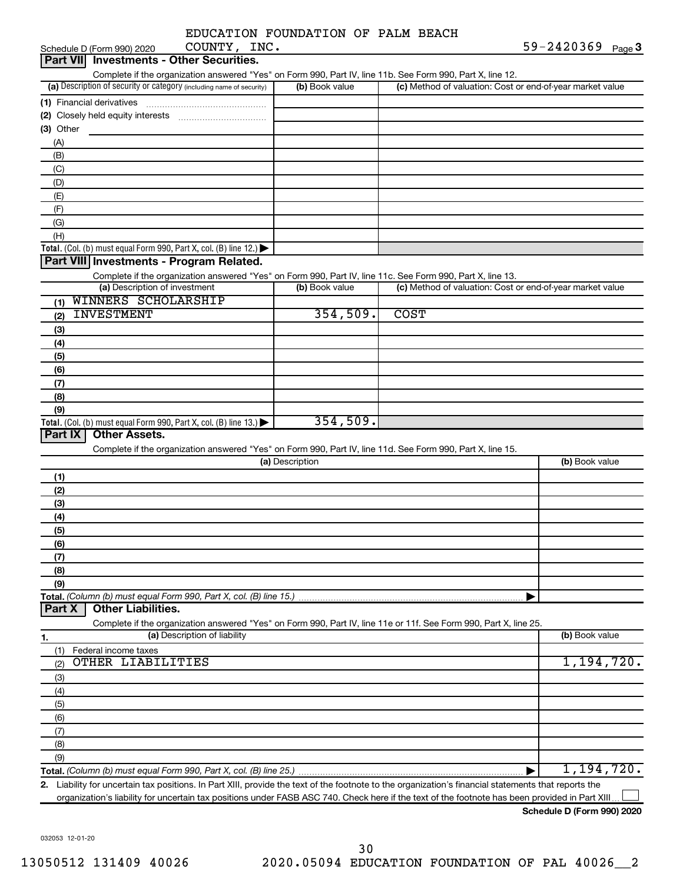| COUNTY, INC.<br>Schedule D (Form 990) 2020                                                                                                                                                                                                                                                             |                 |                                                           | $59 - 2420369$ Page 3 |
|--------------------------------------------------------------------------------------------------------------------------------------------------------------------------------------------------------------------------------------------------------------------------------------------------------|-----------------|-----------------------------------------------------------|-----------------------|
| Part VII Investments - Other Securities.                                                                                                                                                                                                                                                               |                 |                                                           |                       |
| Complete if the organization answered "Yes" on Form 990, Part IV, line 11b. See Form 990, Part X, line 12.                                                                                                                                                                                             |                 |                                                           |                       |
| (a) Description of security or category (including name of security)                                                                                                                                                                                                                                   | (b) Book value  | (c) Method of valuation: Cost or end-of-year market value |                       |
| (1) Financial derivatives                                                                                                                                                                                                                                                                              |                 |                                                           |                       |
|                                                                                                                                                                                                                                                                                                        |                 |                                                           |                       |
| $(3)$ Other                                                                                                                                                                                                                                                                                            |                 |                                                           |                       |
| (A)                                                                                                                                                                                                                                                                                                    |                 |                                                           |                       |
| (B)                                                                                                                                                                                                                                                                                                    |                 |                                                           |                       |
| (C)                                                                                                                                                                                                                                                                                                    |                 |                                                           |                       |
| (D)                                                                                                                                                                                                                                                                                                    |                 |                                                           |                       |
| (E)                                                                                                                                                                                                                                                                                                    |                 |                                                           |                       |
| (F)                                                                                                                                                                                                                                                                                                    |                 |                                                           |                       |
| (G)                                                                                                                                                                                                                                                                                                    |                 |                                                           |                       |
| (H)                                                                                                                                                                                                                                                                                                    |                 |                                                           |                       |
| Total. (Col. (b) must equal Form 990, Part X, col. (B) line 12.) $\blacktriangleright$                                                                                                                                                                                                                 |                 |                                                           |                       |
| Part VIII Investments - Program Related.                                                                                                                                                                                                                                                               |                 |                                                           |                       |
| Complete if the organization answered "Yes" on Form 990, Part IV, line 11c. See Form 990, Part X, line 13.                                                                                                                                                                                             |                 |                                                           |                       |
| (a) Description of investment                                                                                                                                                                                                                                                                          | (b) Book value  | (c) Method of valuation: Cost or end-of-year market value |                       |
| WINNERS SCHOLARSHIP<br>(1)                                                                                                                                                                                                                                                                             |                 |                                                           |                       |
| <b>INVESTMENT</b><br>(2)                                                                                                                                                                                                                                                                               | 354,509.        | <b>COST</b>                                               |                       |
| (3)                                                                                                                                                                                                                                                                                                    |                 |                                                           |                       |
| (4)                                                                                                                                                                                                                                                                                                    |                 |                                                           |                       |
| (5)                                                                                                                                                                                                                                                                                                    |                 |                                                           |                       |
| (6)                                                                                                                                                                                                                                                                                                    |                 |                                                           |                       |
| (7)                                                                                                                                                                                                                                                                                                    |                 |                                                           |                       |
| (8)                                                                                                                                                                                                                                                                                                    |                 |                                                           |                       |
| (9)                                                                                                                                                                                                                                                                                                    |                 |                                                           |                       |
| Total. (Col. (b) must equal Form 990, Part X, col. (B) line $13.$ )                                                                                                                                                                                                                                    | 354,509.        |                                                           |                       |
| Part IX<br><b>Other Assets.</b>                                                                                                                                                                                                                                                                        |                 |                                                           |                       |
| Complete if the organization answered "Yes" on Form 990, Part IV, line 11d. See Form 990, Part X, line 15.                                                                                                                                                                                             |                 |                                                           |                       |
|                                                                                                                                                                                                                                                                                                        | (a) Description |                                                           | (b) Book value        |
| (1)                                                                                                                                                                                                                                                                                                    |                 |                                                           |                       |
| (2)                                                                                                                                                                                                                                                                                                    |                 |                                                           |                       |
| (3)                                                                                                                                                                                                                                                                                                    |                 |                                                           |                       |
| (4)                                                                                                                                                                                                                                                                                                    |                 |                                                           |                       |
| (5)                                                                                                                                                                                                                                                                                                    |                 |                                                           |                       |
| (6)                                                                                                                                                                                                                                                                                                    |                 |                                                           |                       |
| (7)                                                                                                                                                                                                                                                                                                    |                 |                                                           |                       |
| (8)                                                                                                                                                                                                                                                                                                    |                 |                                                           |                       |
| (9)                                                                                                                                                                                                                                                                                                    |                 |                                                           |                       |
| Total. (Column (b) must equal Form 990, Part X, col. (B) line 15.)                                                                                                                                                                                                                                     |                 |                                                           |                       |
| <b>Other Liabilities.</b><br>Part X                                                                                                                                                                                                                                                                    |                 |                                                           |                       |
| Complete if the organization answered "Yes" on Form 990, Part IV, line 11e or 11f. See Form 990, Part X, line 25.                                                                                                                                                                                      |                 |                                                           |                       |
| (a) Description of liability<br>1.                                                                                                                                                                                                                                                                     |                 |                                                           | (b) Book value        |
| Federal income taxes<br>(1)                                                                                                                                                                                                                                                                            |                 |                                                           |                       |
| OTHER LIABILITIES<br>(2)                                                                                                                                                                                                                                                                               |                 |                                                           | 1,194,720.            |
| (3)                                                                                                                                                                                                                                                                                                    |                 |                                                           |                       |
| (4)                                                                                                                                                                                                                                                                                                    |                 |                                                           |                       |
| (5)                                                                                                                                                                                                                                                                                                    |                 |                                                           |                       |
| (6)                                                                                                                                                                                                                                                                                                    |                 |                                                           |                       |
| (7)                                                                                                                                                                                                                                                                                                    |                 |                                                           |                       |
| (8)                                                                                                                                                                                                                                                                                                    |                 |                                                           |                       |
| (9)                                                                                                                                                                                                                                                                                                    |                 |                                                           |                       |
| Total. (Column (b) must equal Form 990, Part X, col. (B) line 25.) <i>mandonal communical continuum continuum</i> cont                                                                                                                                                                                 |                 |                                                           | 1,194,720.            |
| 2. Liability for uncertain tax positions. In Part XIII, provide the text of the footnote to the organization's financial statements that reports the<br>organization's liability for uncertain tax positions under FASB ASC 740. Check here if the text of the footnote has been provided in Part XIII |                 |                                                           |                       |

organization's liability for uncertain tax positions under FASB ASC 740. Check here if the text of the footnote has been provided in Part XIII...

**Schedule D (Form 990) 2020**

032053 12-01-20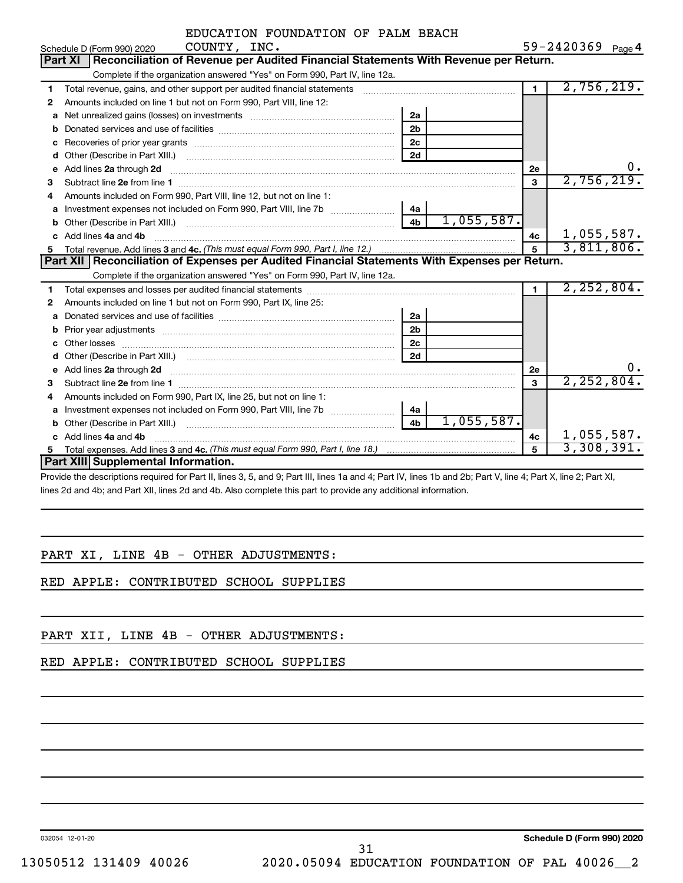|    |                |                                                                                                  |              | EDUCATION FOUNDATION OF PALM BEACH |                |            |    |                          |    |
|----|----------------|--------------------------------------------------------------------------------------------------|--------------|------------------------------------|----------------|------------|----|--------------------------|----|
|    |                | Schedule D (Form 990) 2020                                                                       | COUNTY, INC. |                                    |                |            |    | 59-2420369 Page 4        |    |
|    | <b>Part XI</b> | Reconciliation of Revenue per Audited Financial Statements With Revenue per Return.              |              |                                    |                |            |    |                          |    |
|    |                | Complete if the organization answered "Yes" on Form 990, Part IV, line 12a.                      |              |                                    |                |            |    |                          |    |
|    |                | Total revenue, gains, and other support per audited financial statements                         |              |                                    |                |            |    | $\overline{2}$ ,756,219. |    |
|    |                | Amounts included on line 1 but not on Form 990, Part VIII, line 12:                              |              |                                    |                |            |    |                          |    |
| a  |                |                                                                                                  |              |                                    | 2a             |            |    |                          |    |
| b  |                |                                                                                                  |              |                                    | 2 <sub>b</sub> |            |    |                          |    |
| с  |                |                                                                                                  |              |                                    | 2c             |            |    |                          |    |
| d  |                |                                                                                                  |              |                                    | 2d             |            |    |                          |    |
|    |                | e Add lines 2a through 2d                                                                        |              |                                    |                |            | 2e |                          | ο. |
| З. |                | Subtract line 2e from line 1                                                                     |              |                                    |                |            | 3  | 2,756,219.               |    |
|    |                | Amounts included on Form 990, Part VIII, line 12, but not on line 1:                             |              |                                    |                |            |    |                          |    |
| a  |                |                                                                                                  |              |                                    | 4a             |            |    |                          |    |
|    |                | <b>b</b> Other (Describe in Part XIII.)                                                          |              |                                    | 4b             | 1,055,587. |    |                          |    |
|    |                | c Add lines 4a and 4b                                                                            |              |                                    |                |            | 4c | 1,055,587.               |    |
| 5. |                |                                                                                                  |              |                                    |                |            | 5  | 3,811,806.               |    |
|    |                | Part XII   Reconciliation of Expenses per Audited Financial Statements With Expenses per Return. |              |                                    |                |            |    |                          |    |
|    |                | Complete if the organization answered "Yes" on Form 990, Part IV, line 12a.                      |              |                                    |                |            |    |                          |    |
| 1. |                |                                                                                                  |              |                                    |                |            |    | 2, 252, 804.             |    |
| 2  |                | Amounts included on line 1 but not on Form 990, Part IX, line 25:                                |              |                                    |                |            |    |                          |    |
|    |                |                                                                                                  |              |                                    |                |            |    |                          |    |

| $\mathbf{2}$ | Amounts included on line 1 but not on Form 990, Part IX, line 25:         |                |           |    |            |
|--------------|---------------------------------------------------------------------------|----------------|-----------|----|------------|
|              | <b>a</b> Donated services and use of facilities                           | 2a             |           |    |            |
|              | <b>b</b> Prior year adjustments                                           | 2 <sub>k</sub> |           |    |            |
|              | <b>c</b> Other losses                                                     | 2c             |           |    |            |
|              |                                                                           | 2d             |           |    |            |
|              | e Add lines 2a through 2d                                                 |                |           | 2е |            |
| 3            | Subtract line 2e from line 1                                              |                |           |    | 2,252,804. |
|              | Amounts included on Form 990. Part IX, line 25, but not on line 1:        |                |           |    |            |
|              | <b>a</b> Investment expenses not included on Form 990, Part VIII, line 7b | 4a             |           |    |            |
|              | <b>b</b> Other (Describe in Part XIII.)                                   | 4b             | 1,055,587 |    |            |
|              | c Add lines 4a and 4b                                                     |                |           | 4c | 1,055,587. |
|              |                                                                           |                |           | 5  | 3,308,391. |
|              | <b>Part XIII Supplemental Information.</b>                                |                |           |    |            |

Provide the descriptions required for Part II, lines 3, 5, and 9; Part III, lines 1a and 4; Part IV, lines 1b and 2b; Part V, line 4; Part X, line 2; Part XI, lines 2d and 4b; and Part XII, lines 2d and 4b. Also complete this part to provide any additional information.

# PART XI, LINE 4B - OTHER ADJUSTMENTS:

#### RED APPLE: CONTRIBUTED SCHOOL SUPPLIES

#### PART XII, LINE 4B - OTHER ADJUSTMENTS:

### RED APPLE: CONTRIBUTED SCHOOL SUPPLIES

032054 12-01-20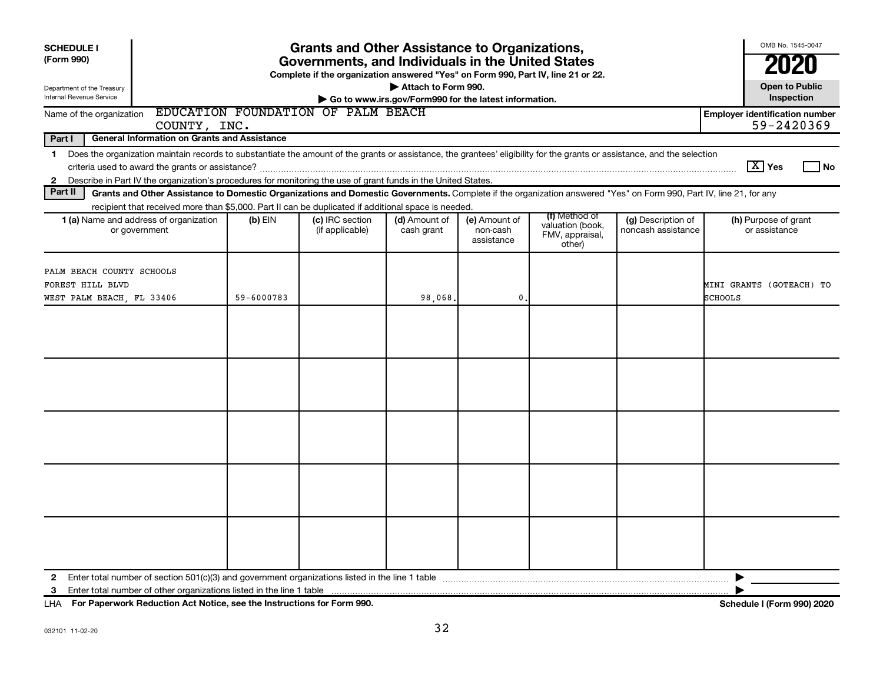| <b>SCHEDULE I</b><br>(Form 990)<br>Department of the Treasury                                                                                                                                                                                                                                                            | <b>Grants and Other Assistance to Organizations,</b><br>Governments, and Individuals in the United States<br>Complete if the organization answered "Yes" on Form 990, Part IV, line 21 or 22.<br>Attach to Form 990. |                                    |                             |                                         |                                               |                                          |                                            |  |  |
|--------------------------------------------------------------------------------------------------------------------------------------------------------------------------------------------------------------------------------------------------------------------------------------------------------------------------|----------------------------------------------------------------------------------------------------------------------------------------------------------------------------------------------------------------------|------------------------------------|-----------------------------|-----------------------------------------|-----------------------------------------------|------------------------------------------|--------------------------------------------|--|--|
| Internal Revenue Service                                                                                                                                                                                                                                                                                                 | Go to www.irs.gov/Form990 for the latest information.                                                                                                                                                                |                                    |                             |                                         |                                               |                                          |                                            |  |  |
| EDUCATION FOUNDATION OF PALM BEACH<br><b>Employer identification number</b><br>Name of the organization<br>59-2420369<br>COUNTY, INC.                                                                                                                                                                                    |                                                                                                                                                                                                                      |                                    |                             |                                         |                                               |                                          |                                            |  |  |
| Part I<br><b>General Information on Grants and Assistance</b>                                                                                                                                                                                                                                                            |                                                                                                                                                                                                                      |                                    |                             |                                         |                                               |                                          |                                            |  |  |
| Does the organization maintain records to substantiate the amount of the grants or assistance, the grantees' eligibility for the grants or assistance, and the selection<br>$\mathbf 1$<br>Describe in Part IV the organization's procedures for monitoring the use of grant funds in the United States.<br>$\mathbf{2}$ |                                                                                                                                                                                                                      |                                    |                             |                                         |                                               |                                          | $ \mathbf{X} $ Yes<br>l No                 |  |  |
| Part II                                                                                                                                                                                                                                                                                                                  | Grants and Other Assistance to Domestic Organizations and Domestic Governments. Complete if the organization answered "Yes" on Form 990, Part IV, line 21, for any                                                   |                                    |                             |                                         |                                               |                                          |                                            |  |  |
|                                                                                                                                                                                                                                                                                                                          | recipient that received more than \$5,000. Part II can be duplicated if additional space is needed.                                                                                                                  |                                    |                             |                                         | (f) Method of                                 |                                          |                                            |  |  |
| 1 (a) Name and address of organization<br>or government                                                                                                                                                                                                                                                                  | $(b)$ EIN                                                                                                                                                                                                            | (c) IRC section<br>(if applicable) | (d) Amount of<br>cash grant | (e) Amount of<br>non-cash<br>assistance | valuation (book,<br>FMV, appraisal,<br>other) | (g) Description of<br>noncash assistance | (h) Purpose of grant<br>or assistance      |  |  |
| PALM BEACH COUNTY SCHOOLS<br>FOREST HILL BLVD<br>WEST PALM BEACH, FL 33406                                                                                                                                                                                                                                               | 59-6000783                                                                                                                                                                                                           |                                    | 98,068.                     | 0                                       |                                               |                                          | MINI GRANTS (GOTEACH) TO<br><b>SCHOOLS</b> |  |  |
|                                                                                                                                                                                                                                                                                                                          |                                                                                                                                                                                                                      |                                    |                             |                                         |                                               |                                          |                                            |  |  |
|                                                                                                                                                                                                                                                                                                                          |                                                                                                                                                                                                                      |                                    |                             |                                         |                                               |                                          |                                            |  |  |
|                                                                                                                                                                                                                                                                                                                          |                                                                                                                                                                                                                      |                                    |                             |                                         |                                               |                                          |                                            |  |  |
|                                                                                                                                                                                                                                                                                                                          |                                                                                                                                                                                                                      |                                    |                             |                                         |                                               |                                          |                                            |  |  |
|                                                                                                                                                                                                                                                                                                                          |                                                                                                                                                                                                                      |                                    |                             |                                         |                                               |                                          |                                            |  |  |
| $\mathbf{2}$<br>Enter total number of other organizations listed in the line 1 table<br>3                                                                                                                                                                                                                                |                                                                                                                                                                                                                      |                                    |                             |                                         |                                               |                                          | ▶                                          |  |  |

**For Paperwork Reduction Act Notice, see the Instructions for Form 990. Schedule I (Form 990) 2020** LHA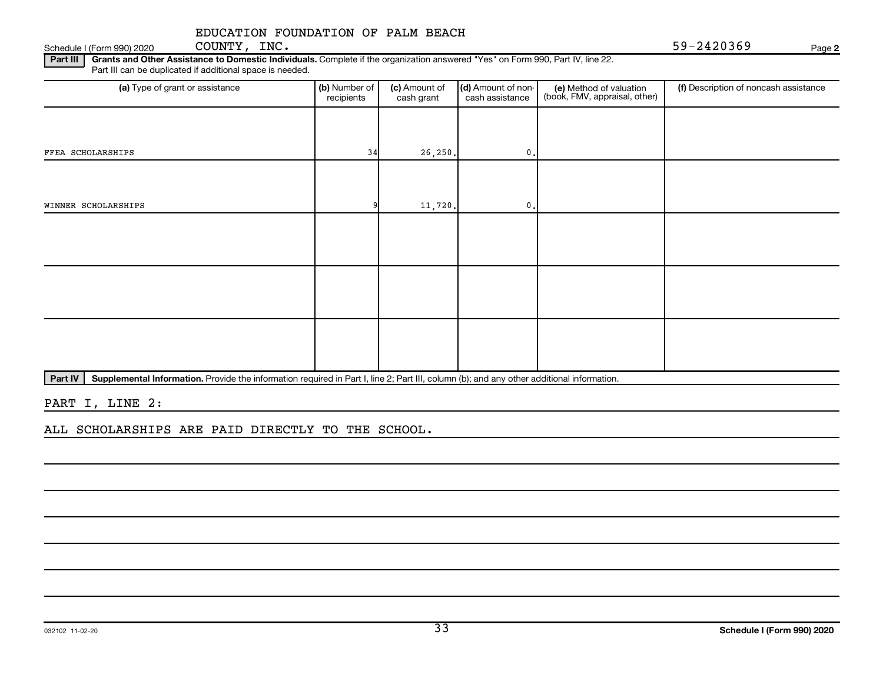Schedule I (Form 990) 2020 COUNTY, INC.  $59-2420369$ COUNTY, INC.

**2**

Part III | Grants and Other Assistance to Domestic Individuals. Complete if the organization answered "Yes" on Form 990, Part IV, line 22. Part III can be duplicated if additional space is needed.

| (a) Type of grant or assistance | (b) Number of<br>recipients | (c) Amount of<br>cash grant | (d) Amount of non-<br>cash assistance | (e) Method of valuation<br>(book, FMV, appraisal, other) | (f) Description of noncash assistance |
|---------------------------------|-----------------------------|-----------------------------|---------------------------------------|----------------------------------------------------------|---------------------------------------|
|                                 |                             |                             |                                       |                                                          |                                       |
| FFEA SCHOLARSHIPS               | 34                          | 26, 250.                    | 0.                                    |                                                          |                                       |
|                                 |                             |                             |                                       |                                                          |                                       |
| WINNER SCHOLARSHIPS             |                             | 11,720.                     | $\mathfrak{o}$ .                      |                                                          |                                       |
|                                 |                             |                             |                                       |                                                          |                                       |
|                                 |                             |                             |                                       |                                                          |                                       |
|                                 |                             |                             |                                       |                                                          |                                       |
|                                 |                             |                             |                                       |                                                          |                                       |
|                                 |                             |                             |                                       |                                                          |                                       |
|                                 |                             |                             |                                       |                                                          |                                       |

Part IV | Supplemental Information. Provide the information required in Part I, line 2; Part III, column (b); and any other additional information.

PART I, LINE 2:

ALL SCHOLARSHIPS ARE PAID DIRECTLY TO THE SCHOOL.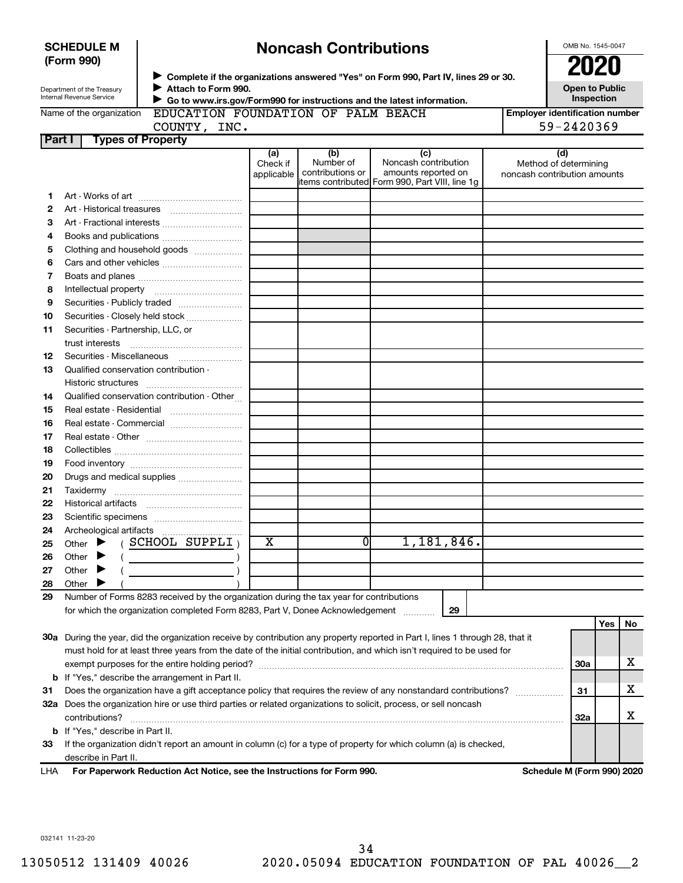| <b>SCHEDULE M</b> |  |
|-------------------|--|
| (Form 990)        |  |

# **Noncash Contributions**

OMB No. 1545-0047

| Department of the Treasury |
|----------------------------|
| Internal Revenue Service   |

◆ Complete if the organizations answered "Yes" on Form 990, Part IV, lines 29 or 30.<br>● Complete if the organizations answered "Yes" on Form 990, Part IV, lines 29 or 30. **Attach to Form 990.** J  $\blacktriangleright$ 

**Open to Public Inspection**

 **Go to www.irs.gov/Form990 for instructions and the latest information.** EDUCATION FOUNDATION OF PALM BEACH

**Employer identification number**

|  | AN VI FAUM DEACH |  |
|--|------------------|--|
|  |                  |  |
|  |                  |  |

|               | Name of the organization <b>EDUCATION</b> POUNDAILON OF LABIN DEACH<br>COUNTY, INC.                                            |                               |                                      |                                                                                                      | <b>E</b> прюуст киспинсанон папист | 59-2420369                   |     |    |
|---------------|--------------------------------------------------------------------------------------------------------------------------------|-------------------------------|--------------------------------------|------------------------------------------------------------------------------------------------------|------------------------------------|------------------------------|-----|----|
| <b>Part I</b> | <b>Types of Property</b>                                                                                                       |                               |                                      |                                                                                                      |                                    |                              |     |    |
|               |                                                                                                                                | (a)<br>Check if<br>applicable | (b)<br>Number of<br>contributions or | (c)<br>Noncash contribution<br>amounts reported on<br>items contributed Form 990, Part VIII, line 1g | noncash contribution amounts       | (d)<br>Method of determining |     |    |
| 1.            |                                                                                                                                |                               |                                      |                                                                                                      |                                    |                              |     |    |
| 2             |                                                                                                                                |                               |                                      |                                                                                                      |                                    |                              |     |    |
| З             |                                                                                                                                |                               |                                      |                                                                                                      |                                    |                              |     |    |
| 4             |                                                                                                                                |                               |                                      |                                                                                                      |                                    |                              |     |    |
| 5             | Clothing and household goods                                                                                                   |                               |                                      |                                                                                                      |                                    |                              |     |    |
| 6             |                                                                                                                                |                               |                                      |                                                                                                      |                                    |                              |     |    |
| 7             |                                                                                                                                |                               |                                      |                                                                                                      |                                    |                              |     |    |
| 8             |                                                                                                                                |                               |                                      |                                                                                                      |                                    |                              |     |    |
| 9             | Securities - Publicly traded                                                                                                   |                               |                                      |                                                                                                      |                                    |                              |     |    |
| 10            | Securities - Closely held stock                                                                                                |                               |                                      |                                                                                                      |                                    |                              |     |    |
| 11            | Securities - Partnership, LLC, or<br>trust interests                                                                           |                               |                                      |                                                                                                      |                                    |                              |     |    |
| 12            | Securities - Miscellaneous                                                                                                     |                               |                                      |                                                                                                      |                                    |                              |     |    |
| 13            | Qualified conservation contribution -                                                                                          |                               |                                      |                                                                                                      |                                    |                              |     |    |
|               | Historic structures                                                                                                            |                               |                                      |                                                                                                      |                                    |                              |     |    |
| 14            | Qualified conservation contribution - Other                                                                                    |                               |                                      |                                                                                                      |                                    |                              |     |    |
| 15            | Real estate - Residential                                                                                                      |                               |                                      |                                                                                                      |                                    |                              |     |    |
| 16            |                                                                                                                                |                               |                                      |                                                                                                      |                                    |                              |     |    |
|               | Real estate - Commercial                                                                                                       |                               |                                      |                                                                                                      |                                    |                              |     |    |
| 17            |                                                                                                                                |                               |                                      |                                                                                                      |                                    |                              |     |    |
| 18            |                                                                                                                                |                               |                                      |                                                                                                      |                                    |                              |     |    |
| 19            |                                                                                                                                |                               |                                      |                                                                                                      |                                    |                              |     |    |
| 20            | Drugs and medical supplies                                                                                                     |                               |                                      |                                                                                                      |                                    |                              |     |    |
| 21            |                                                                                                                                |                               |                                      |                                                                                                      |                                    |                              |     |    |
| 22            |                                                                                                                                |                               |                                      |                                                                                                      |                                    |                              |     |    |
| 23            |                                                                                                                                |                               |                                      |                                                                                                      |                                    |                              |     |    |
| 24            |                                                                                                                                | $\overline{\textbf{x}}$       | 0                                    | 1,181,846.                                                                                           |                                    |                              |     |    |
| 25            | Other $\blacktriangleright$ (SCHOOL SUPPLI)                                                                                    |                               |                                      |                                                                                                      |                                    |                              |     |    |
| 26            | Other $\blacktriangleright$<br>$\left(\begin{array}{ccc}\n&\n&\n\end{array}\right)$                                            |                               |                                      |                                                                                                      |                                    |                              |     |    |
| 27            | Other $\blacktriangleright$                                                                                                    |                               |                                      |                                                                                                      |                                    |                              |     |    |
| 28            | Other                                                                                                                          |                               |                                      |                                                                                                      |                                    |                              |     |    |
| 29            | Number of Forms 8283 received by the organization during the tax year for contributions                                        |                               |                                      |                                                                                                      |                                    |                              |     |    |
|               | for which the organization completed Form 8283, Part V, Donee Acknowledgement                                                  |                               |                                      | 29                                                                                                   |                                    |                              | Yes | No |
|               | 30a During the year, did the organization receive by contribution any property reported in Part I, lines 1 through 28, that it |                               |                                      |                                                                                                      |                                    |                              |     |    |
|               | must hold for at least three years from the date of the initial contribution, and which isn't required to be used for          |                               |                                      |                                                                                                      |                                    |                              |     |    |
|               |                                                                                                                                |                               |                                      |                                                                                                      |                                    | 30a                          |     | х  |
| b             | If "Yes," describe the arrangement in Part II.                                                                                 |                               |                                      |                                                                                                      |                                    |                              |     |    |
| 31            |                                                                                                                                |                               |                                      |                                                                                                      |                                    | 31                           |     | х  |
|               | 32a Does the organization hire or use third parties or related organizations to solicit, process, or sell noncash              |                               |                                      |                                                                                                      |                                    |                              |     |    |
|               | contributions?                                                                                                                 |                               |                                      |                                                                                                      |                                    | 32a                          |     | x  |

describe in Part II. LHA

If the organization didn't report an amount in column (c) for a type of property for which column (a) is checked,

**For Paperwork Reduction Act Notice, see the Instructions for Form 990. Schedule M (Form 990) 2020**

032141 11-23-20

**b** If "Yes," describe in Part II.

**33**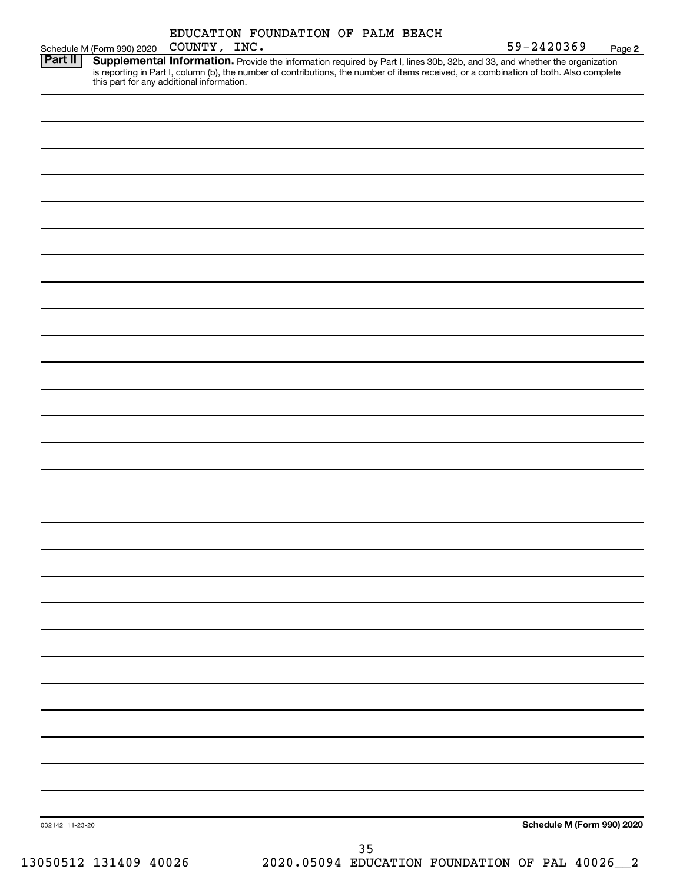|                 | Schedule M (Form 990) 2020 | COUNTY, INC. |                                                                                                                                                                                                                                                                                                                |    |                                                | 59-2420369                 | Page 2 |
|-----------------|----------------------------|--------------|----------------------------------------------------------------------------------------------------------------------------------------------------------------------------------------------------------------------------------------------------------------------------------------------------------------|----|------------------------------------------------|----------------------------|--------|
| Part II         |                            |              | Supplemental Information. Provide the information required by Part I, lines 30b, 32b, and 33, and whether the organization<br>is reporting in Part I, column (b), the number of contributions, the number of items received, or a combination of both. Also complete this part for any additional information. |    |                                                |                            |        |
|                 |                            |              |                                                                                                                                                                                                                                                                                                                |    |                                                |                            |        |
|                 |                            |              |                                                                                                                                                                                                                                                                                                                |    |                                                |                            |        |
|                 |                            |              |                                                                                                                                                                                                                                                                                                                |    |                                                |                            |        |
|                 |                            |              |                                                                                                                                                                                                                                                                                                                |    |                                                |                            |        |
|                 |                            |              |                                                                                                                                                                                                                                                                                                                |    |                                                |                            |        |
|                 |                            |              |                                                                                                                                                                                                                                                                                                                |    |                                                |                            |        |
|                 |                            |              |                                                                                                                                                                                                                                                                                                                |    |                                                |                            |        |
|                 |                            |              |                                                                                                                                                                                                                                                                                                                |    |                                                |                            |        |
|                 |                            |              |                                                                                                                                                                                                                                                                                                                |    |                                                |                            |        |
|                 |                            |              |                                                                                                                                                                                                                                                                                                                |    |                                                |                            |        |
|                 |                            |              |                                                                                                                                                                                                                                                                                                                |    |                                                |                            |        |
|                 |                            |              |                                                                                                                                                                                                                                                                                                                |    |                                                |                            |        |
|                 |                            |              |                                                                                                                                                                                                                                                                                                                |    |                                                |                            |        |
|                 |                            |              |                                                                                                                                                                                                                                                                                                                |    |                                                |                            |        |
|                 |                            |              |                                                                                                                                                                                                                                                                                                                |    |                                                |                            |        |
|                 |                            |              |                                                                                                                                                                                                                                                                                                                |    |                                                |                            |        |
|                 |                            |              |                                                                                                                                                                                                                                                                                                                |    |                                                |                            |        |
|                 |                            |              |                                                                                                                                                                                                                                                                                                                |    |                                                |                            |        |
|                 |                            |              |                                                                                                                                                                                                                                                                                                                |    |                                                |                            |        |
|                 |                            |              |                                                                                                                                                                                                                                                                                                                |    |                                                |                            |        |
|                 |                            |              |                                                                                                                                                                                                                                                                                                                |    |                                                |                            |        |
|                 |                            |              |                                                                                                                                                                                                                                                                                                                |    |                                                |                            |        |
|                 |                            |              |                                                                                                                                                                                                                                                                                                                |    |                                                |                            |        |
|                 |                            |              |                                                                                                                                                                                                                                                                                                                |    |                                                |                            |        |
|                 |                            |              |                                                                                                                                                                                                                                                                                                                |    |                                                |                            |        |
|                 |                            |              |                                                                                                                                                                                                                                                                                                                |    |                                                |                            |        |
|                 |                            |              |                                                                                                                                                                                                                                                                                                                |    |                                                |                            |        |
| 032142 11-23-20 |                            |              |                                                                                                                                                                                                                                                                                                                |    |                                                | Schedule M (Form 990) 2020 |        |
|                 |                            |              |                                                                                                                                                                                                                                                                                                                | 35 |                                                |                            |        |
|                 | 13050512 131409 40026      |              |                                                                                                                                                                                                                                                                                                                |    | 2020.05094 EDUCATION FOUNDATION OF PAL 40026_2 |                            |        |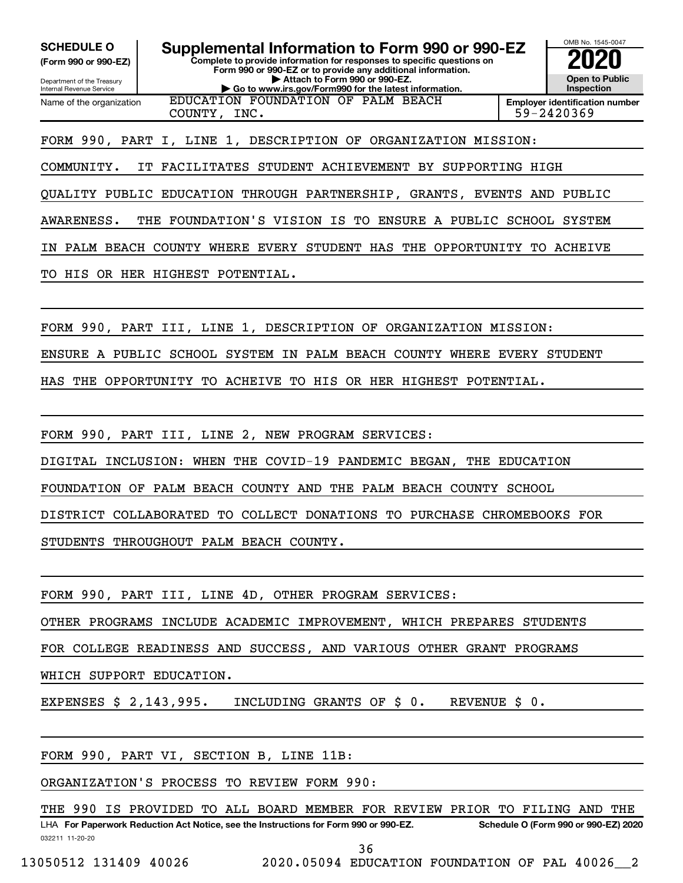**(Form 990 or 990-EZ)**

Department of the Treasury Internal Revenue Service Name of the organization

**Complete to provide information for responses to specific questions on Form 990 or 990-EZ or to provide any additional information. | Attach to Form 990 or 990-EZ. | Go to www.irs.gov/Form990 for the latest information. SCHEDULE O Supplemental Information to Form 990 or 990-EZ 2020**<br>(Form 990 or 990-EZ) Complete to provide information for responses to specific questions on



COUNTY, INC. 59-2420369

FORM 990, PART I, LINE 1, DESCRIPTION OF ORGANIZATION MISSION:

COMMUNITY. IT FACILITATES STUDENT ACHIEVEMENT BY SUPPORTING HIGH

EDUCATION FOUNDATION OF PALM BEACH

QUALITY PUBLIC EDUCATION THROUGH PARTNERSHIP, GRANTS, EVENTS AND PUBLIC

AWARENESS. THE FOUNDATION'S VISION IS TO ENSURE A PUBLIC SCHOOL SYSTEM

IN PALM BEACH COUNTY WHERE EVERY STUDENT HAS THE OPPORTUNITY TO ACHEIVE

TO HIS OR HER HIGHEST POTENTIAL.

FORM 990, PART III, LINE 1, DESCRIPTION OF ORGANIZATION MISSION:

ENSURE A PUBLIC SCHOOL SYSTEM IN PALM BEACH COUNTY WHERE EVERY STUDENT

HAS THE OPPORTUNITY TO ACHEIVE TO HIS OR HER HIGHEST POTENTIAL.

FORM 990, PART III, LINE 2, NEW PROGRAM SERVICES:

DIGITAL INCLUSION: WHEN THE COVID-19 PANDEMIC BEGAN, THE EDUCATION

FOUNDATION OF PALM BEACH COUNTY AND THE PALM BEACH COUNTY SCHOOL

DISTRICT COLLABORATED TO COLLECT DONATIONS TO PURCHASE CHROMEBOOKS FOR

STUDENTS THROUGHOUT PALM BEACH COUNTY.

FORM 990, PART III, LINE 4D, OTHER PROGRAM SERVICES:

OTHER PROGRAMS INCLUDE ACADEMIC IMPROVEMENT, WHICH PREPARES STUDENTS

FOR COLLEGE READINESS AND SUCCESS, AND VARIOUS OTHER GRANT PROGRAMS

WHICH SUPPORT EDUCATION.

EXPENSES \$ 2,143,995. INCLUDING GRANTS OF \$ 0. REVENUE \$ 0.

FORM 990, PART VI, SECTION B, LINE 11B:

ORGANIZATION'S PROCESS TO REVIEW FORM 990:

032211 11-20-20 **For Paperwork Reduction Act Notice, see the Instructions for Form 990 or 990-EZ. Schedule O (Form 990 or 990-EZ) 2020** LHA THE 990 IS PROVIDED TO ALL BOARD MEMBER FOR REVIEW PRIOR TO FILING AND THE

36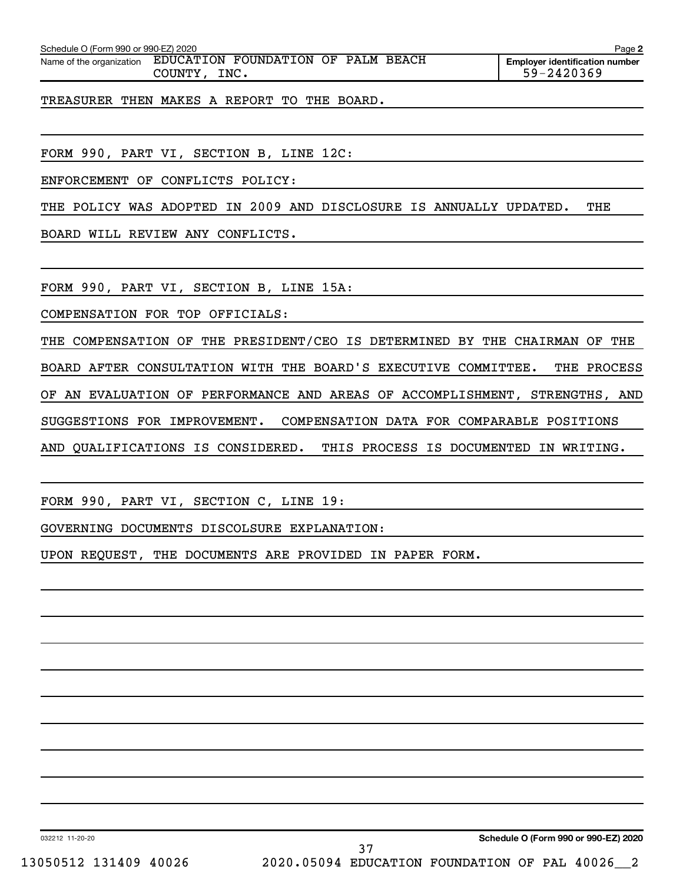| Schedule O (Form 990 or 990-EZ) 2020 |        |                                    |  |  | Page 2                                |
|--------------------------------------|--------|------------------------------------|--|--|---------------------------------------|
| Name of the organization             |        | EDUCATION FOUNDATION OF PALM BEACH |  |  | <b>Emplover identification number</b> |
|                                      | COUNTY | INC.                               |  |  | $59 - 2420369$                        |

TREASURER THEN MAKES A REPORT TO THE BOARD.

FORM 990, PART VI, SECTION B, LINE 12C:

ENFORCEMENT OF CONFLICTS POLICY:

THE POLICY WAS ADOPTED IN 2009 AND DISCLOSURE IS ANNUALLY UPDATED. THE

BOARD WILL REVIEW ANY CONFLICTS.

FORM 990, PART VI, SECTION B, LINE 15A:

COMPENSATION FOR TOP OFFICIALS:

THE COMPENSATION OF THE PRESIDENT/CEO IS DETERMINED BY THE CHAIRMAN OF THE BOARD AFTER CONSULTATION WITH THE BOARD'S EXECUTIVE COMMITTEE. THE PROCESS OF AN EVALUATION OF PERFORMANCE AND AREAS OF ACCOMPLISHMENT, STRENGTHS, AND SUGGESTIONS FOR IMPROVEMENT. COMPENSATION DATA FOR COMPARABLE POSITIONS AND QUALIFICATIONS IS CONSIDERED. THIS PROCESS IS DOCUMENTED IN WRITING.

FORM 990, PART VI, SECTION C, LINE 19:

GOVERNING DOCUMENTS DISCOLSURE EXPLANATION:

UPON REQUEST, THE DOCUMENTS ARE PROVIDED IN PAPER FORM.